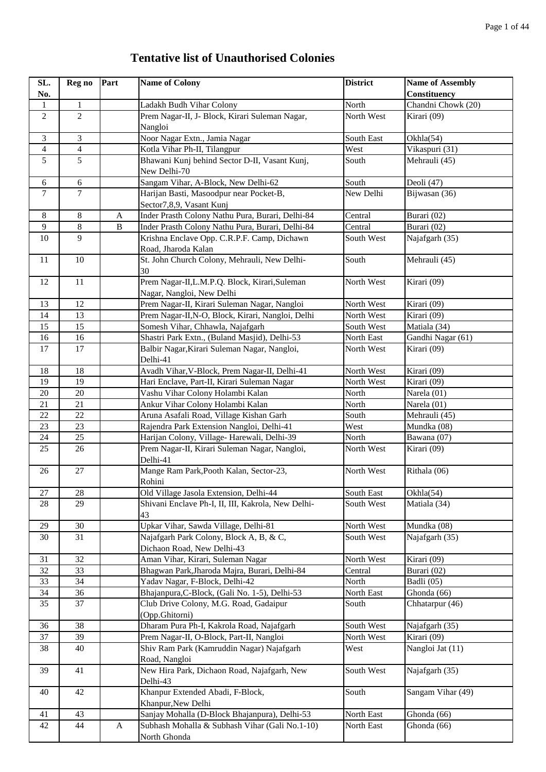## **Tentative list of Unauthorised Colonies**

| SL.<br>No.      | Reg no                   | Part                      | <b>Name of Colony</b>                                                       | <b>District</b> | <b>Name of Assembly</b><br>Constituency |
|-----------------|--------------------------|---------------------------|-----------------------------------------------------------------------------|-----------------|-----------------------------------------|
| $\mathbf{1}$    | $\mathbf{1}$             |                           | Ladakh Budh Vihar Colony                                                    | North           | Chandni Chowk (20)                      |
| $\overline{2}$  | $\overline{2}$           |                           | Prem Nagar-II, J- Block, Kirari Suleman Nagar,<br>Nangloi                   | North West      | Kirari (09)                             |
| 3               | 3                        |                           | Noor Nagar Extn., Jamia Nagar                                               | South East      | Okhla(54)                               |
| 4               | $\overline{\mathcal{A}}$ |                           | Kotla Vihar Ph-II, Tilangpur                                                | West            | Vikaspuri (31)                          |
| 5               | 5                        |                           | Bhawani Kunj behind Sector D-II, Vasant Kunj,<br>New Delhi-70               | South           | Mehrauli (45)                           |
| 6               | 6                        |                           | Sangam Vihar, A-Block, New Delhi-62                                         | South           | Deoli $(47)$                            |
| $\tau$          | $\overline{7}$           |                           | Harijan Basti, Masoodpur near Pocket-B,<br>Sector7,8,9, Vasant Kunj         | New Delhi       | Bijwasan (36)                           |
| $\,8\,$         | $8\,$                    | $\boldsymbol{\mathsf{A}}$ | Inder Prasth Colony Nathu Pura, Burari, Delhi-84                            | Central         | Burari (02)                             |
| 9               | $\overline{8}$           | $\, {\bf B}$              | Inder Prasth Colony Nathu Pura, Burari, Delhi-84                            | Central         | Burari (02)                             |
| 10              | 9                        |                           | Krishna Enclave Opp. C.R.P.F. Camp, Dichawn<br>Road, Jharoda Kalan          | South West      | Najafgarh (35)                          |
| 11              | 10                       |                           | St. John Church Colony, Mehrauli, New Delhi-<br>30                          | South           | Mehrauli (45)                           |
| 12              | 11                       |                           | Prem Nagar-II, L.M.P.Q. Block, Kirari, Suleman<br>Nagar, Nangloi, New Delhi | North West      | Kirari (09)                             |
| 13              | 12                       |                           | Prem Nagar-II, Kirari Suleman Nagar, Nangloi                                | North West      | Kirari (09)                             |
| 14              | 13                       |                           | Prem Nagar-II, N-O, Block, Kirari, Nangloi, Delhi                           | North West      | Kirari (09)                             |
| 15              | 15                       |                           | Somesh Vihar, Chhawla, Najafgarh                                            | South West      | Matiala (34)                            |
| 16              | 16                       |                           | Shastri Park Extn., (Buland Masjid), Delhi-53                               | North East      | Gandhi Nagar (61)                       |
| 17              | 17                       |                           | Balbir Nagar, Kirari Suleman Nagar, Nangloi,<br>Delhi-41                    | North West      | Kirari (09)                             |
| 18              | 18                       |                           | Avadh Vihar, V-Block, Prem Nagar-II, Delhi-41                               | North West      | Kirari (09)                             |
| 19              | 19                       |                           | Hari Enclave, Part-II, Kirari Suleman Nagar                                 | North West      | Kirari (09)                             |
| $20\,$          | 20                       |                           | Vashu Vihar Colony Holambi Kalan                                            | North           | Narela (01)                             |
| $21\,$          | 21                       |                           | Ankur Vihar Colony Holambi Kalan                                            | North           | Narela (01)                             |
| 22              | 22                       |                           | Aruna Asafali Road, Village Kishan Garh                                     | South           | Mehrauli (45)                           |
| 23              | 23                       |                           | Rajendra Park Extension Nangloi, Delhi-41                                   | West            | Mundka (08)                             |
| 24              | 25                       |                           | Harijan Colony, Village- Harewali, Delhi-39                                 | North           | Bawana (07)                             |
| 25              | 26                       |                           | Prem Nagar-II, Kirari Suleman Nagar, Nangloi,<br>Delhi-41                   | North West      | Kirari (09)                             |
| 26              | 27                       |                           | Mange Ram Park, Pooth Kalan, Sector-23,<br>Rohini                           | North West      | Rithala (06)                            |
| $27\,$          | 28                       |                           | Old Village Jasola Extension, Delhi-44                                      | South East      | Okhla(54)                               |
| 28              | 29                       |                           | Shivani Enclave Ph-I, II, III, Kakrola, New Delhi-<br>43                    | South West      | Matiala (34)                            |
| 29              | 30                       |                           | Upkar Vihar, Sawda Village, Delhi-81                                        | North West      | Mundka (08)                             |
| 30              | 31                       |                           | Najafgarh Park Colony, Block A, B, & C,<br>Dichaon Road, New Delhi-43       | South West      | Najafgarh (35)                          |
| 31              | 32                       |                           | Aman Vihar, Kirari, Suleman Nagar                                           | North West      | Kirari (09)                             |
| $\overline{32}$ | $\overline{33}$          |                           | Bhagwan Park, Jharoda Majra, Burari, Delhi-84                               | Central         | Burari (02)                             |
| 33              | 34                       |                           | Yadav Nagar, F-Block, Delhi-42                                              | North           | Badli (05)                              |
| 34              | 36                       |                           | Bhajanpura, C-Block, (Gali No. 1-5), Delhi-53                               | North East      | Ghonda (66)                             |
| 35              | 37                       |                           | Club Drive Colony, M.G. Road, Gadaipur<br>(Opp.Ghitorni)                    | South           | Chhatarpur (46)                         |
| 36              | 38                       |                           | Dharam Pura Ph-I, Kakrola Road, Najafgarh                                   | South West      | Najafgarh (35)                          |
| 37              | 39                       |                           | Prem Nagar-II, O-Block, Part-II, Nangloi                                    | North West      | Kirari (09)                             |
| 38              | 40                       |                           | Shiv Ram Park (Kamruddin Nagar) Najafgarh<br>Road, Nangloi                  | West            | Nangloi Jat (11)                        |
| 39              | 41                       |                           | New Hira Park, Dichaon Road, Najafgarh, New<br>Delhi-43                     | South West      | Najafgarh (35)                          |
| 40              | 42                       |                           | Khanpur Extended Abadi, F-Block,<br>Khanpur, New Delhi                      | South           | Sangam Vihar (49)                       |
| 41              | 43                       |                           | Sanjay Mohalla (D-Block Bhajanpura), Delhi-53                               | North East      | Ghonda (66)                             |
| 42              | 44                       | A                         | Subhash Mohalla & Subhash Vihar (Gali No.1-10)<br>North Ghonda              | North East      | Ghonda (66)                             |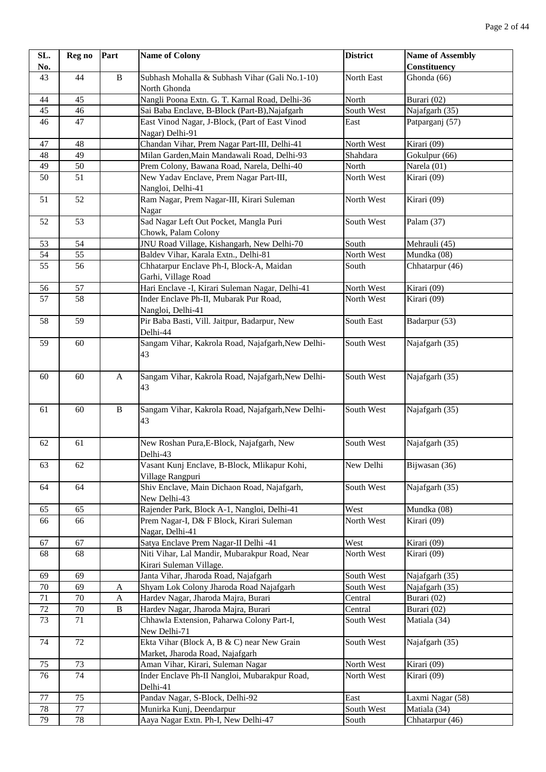| SL.      | Reg no          | Part         | <b>Name of Colony</b>                                                              | <b>District</b>          | <b>Name of Assembly</b>    |
|----------|-----------------|--------------|------------------------------------------------------------------------------------|--------------------------|----------------------------|
| No.      |                 |              |                                                                                    |                          | Constituency               |
| 43       | 44              | $\, {\bf B}$ | Subhash Mohalla & Subhash Vihar (Gali No.1-10)                                     | North East               | Ghonda (66)                |
|          |                 |              | North Ghonda                                                                       |                          |                            |
| 44       | 45              |              | Nangli Poona Extn. G. T. Karnal Road, Delhi-36                                     | North                    | Burari (02)                |
| 45       | 46              |              | Sai Baba Enclave, B-Block (Part-B), Najafgarh                                      | South West               | Najafgarh (35)             |
| 46       | 47              |              | East Vinod Nagar, J-Block, (Part of East Vinod                                     | East                     | Patparganj (57)            |
|          |                 |              | Nagar) Delhi-91                                                                    |                          |                            |
| 47       | 48              |              | Chandan Vihar, Prem Nagar Part-III, Delhi-41                                       | North West               | Kirari (09)                |
| 48       | 49              |              | Milan Garden, Main Mandawali Road, Delhi-93                                        | Shahdara                 | Gokulpur (66)              |
| 49       | $\overline{50}$ |              | Prem Colony, Bawana Road, Narela, Delhi-40                                         | North                    | Narela (01)                |
| 50       | 51              |              | New Yadav Enclave, Prem Nagar Part-III,<br>Nangloi, Delhi-41                       | North West               | Kirari (09)                |
| 51       | 52              |              | Ram Nagar, Prem Nagar-III, Kirari Suleman                                          | North West               | Kirari (09)                |
|          |                 |              | Nagar                                                                              |                          |                            |
| 52       | 53              |              | Sad Nagar Left Out Pocket, Mangla Puri                                             | South West               | Palam (37)                 |
|          |                 |              | Chowk, Palam Colony                                                                |                          |                            |
| 53       | 54              |              | JNU Road Village, Kishangarh, New Delhi-70                                         | South                    | Mehrauli (45)              |
| 54       | 55              |              | Baldev Vihar, Karala Extn., Delhi-81                                               | North West               | Mundka (08)                |
| 55       | 56              |              | Chhatarpur Enclave Ph-I, Block-A, Maidan                                           | South                    | Chhatarpur (46)            |
|          |                 |              | Garhi, Village Road                                                                |                          |                            |
| 56       | 57              |              | Hari Enclave -I, Kirari Suleman Nagar, Delhi-41                                    | North West               | Kirari (09)                |
| 57       | 58              |              | Inder Enclave Ph-II, Mubarak Pur Road,                                             | North West               | Kirari (09)                |
|          |                 |              | Nangloi, Delhi-41                                                                  |                          |                            |
| 58       | 59              |              | Pir Baba Basti, Vill. Jaitpur, Badarpur, New                                       | South East               | Badarpur (53)              |
|          |                 |              | Delhi-44                                                                           |                          |                            |
| 59       | 60              |              | Sangam Vihar, Kakrola Road, Najafgarh, New Delhi-                                  | South West               | Najafgarh (35)             |
|          |                 |              | 43                                                                                 |                          |                            |
|          |                 |              |                                                                                    |                          |                            |
| 60       | 60              | $\mathbf{A}$ | Sangam Vihar, Kakrola Road, Najafgarh, New Delhi-                                  | South West               | Najafgarh (35)             |
|          |                 |              | 43                                                                                 |                          |                            |
|          |                 |              |                                                                                    |                          |                            |
| 61       | 60              | $\, {\bf B}$ | Sangam Vihar, Kakrola Road, Najafgarh, New Delhi-                                  | South West               | Najafgarh (35)             |
|          |                 |              | 43                                                                                 |                          |                            |
| 62       | 61              |              | New Roshan Pura, E-Block, Najafgarh, New                                           | South West               | Najafgarh (35)             |
|          |                 |              | Delhi-43                                                                           |                          |                            |
| 63       | 62              |              | Vasant Kunj Enclave, B-Block, Mlikapur Kohi,                                       | New Delhi                | Bijwasan (36)              |
|          |                 |              | Village Rangpuri                                                                   |                          |                            |
| 64       | 64              |              | Shiv Enclave, Main Dichaon Road, Najafgarh,                                        | South West               | Najafgarh (35)             |
|          |                 |              | New Delhi-43                                                                       |                          |                            |
| 65       | 65              |              | Rajender Park, Block A-1, Nangloi, Delhi-41                                        | West                     | Mundka (08)                |
| 66       | 66              |              | Prem Nagar-I, D& F Block, Kirari Suleman                                           | North West               | Kirari (09)                |
|          |                 |              | Nagar, Delhi-41                                                                    |                          |                            |
| 67       | 67              |              | Satya Enclave Prem Nagar-II Delhi -41                                              | West                     | Kirari (09)                |
| 68       | 68              |              | Niti Vihar, Lal Mandir, Mubarakpur Road, Near                                      | North West               | Kirari (09)                |
|          |                 |              | Kirari Suleman Village.                                                            |                          |                            |
| 69       | 69              |              | Janta Vihar, Jharoda Road, Najafgarh                                               | South West               | Najafgarh (35)             |
| 70       | 69              | A            | Shyam Lok Colony Jharoda Road Najafgarh                                            | South West               | Najafgarh (35)             |
| 71       | $70\,$          | $\mathbf A$  | Hardev Nagar, Jharoda Majra, Burari                                                | Central                  | Burari (02)                |
| $72\,$   | $70\,$          | $\, {\bf B}$ | Hardev Nagar, Jharoda Majra, Burari                                                | Central                  | Burari (02)                |
| 73       | 71              |              | Chhawla Extension, Paharwa Colony Part-I,                                          | South West               | Matiala (34)               |
|          |                 |              | New Delhi-71                                                                       |                          |                            |
| 74       | 72              |              | Ekta Vihar (Block A, B & C) near New Grain                                         | South West               | Najafgarh (35)             |
|          | 73              |              | Market, Jharoda Road, Najafgarh                                                    |                          |                            |
| 75<br>76 | $\overline{74}$ |              | Aman Vihar, Kirari, Suleman Nagar<br>Inder Enclave Ph-II Nangloi, Mubarakpur Road, | North West<br>North West | Kirari (09)<br>Kirari (09) |
|          |                 |              | Delhi-41                                                                           |                          |                            |
| $77\,$   | 75              |              | Pandav Nagar, S-Block, Delhi-92                                                    | East                     | Laxmi Nagar (58)           |
| $78\,$   | $77 \,$         |              | Munirka Kunj, Deendarpur                                                           | South West               | Matiala (34)               |
| 79       | 78              |              | Aaya Nagar Extn. Ph-I, New Delhi-47                                                | South                    | Chhatarpur $(46)$          |
|          |                 |              |                                                                                    |                          |                            |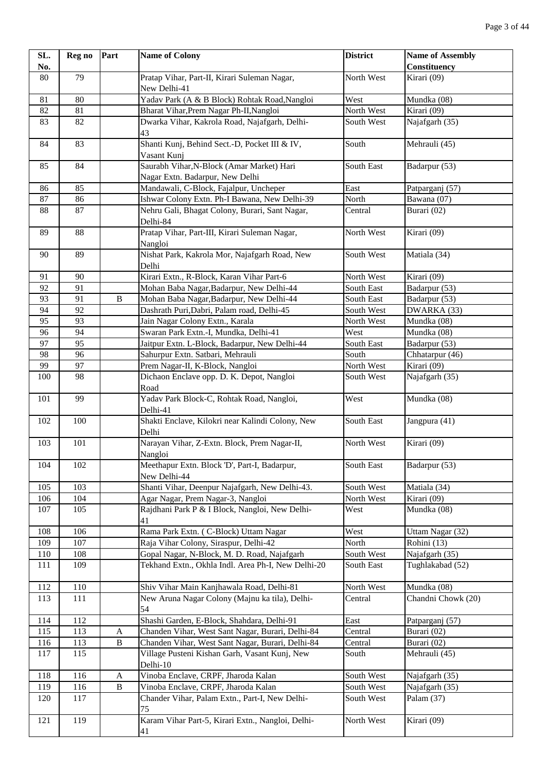| SL. | Reg no          | Part           | <b>Name of Colony</b>                                                        | <b>District</b> | <b>Name of Assembly</b> |
|-----|-----------------|----------------|------------------------------------------------------------------------------|-----------------|-------------------------|
| No. |                 |                |                                                                              |                 | <b>Constituency</b>     |
| 80  | 79              |                | Pratap Vihar, Part-II, Kirari Suleman Nagar,<br>New Delhi-41                 | North West      | Kirari (09)             |
| 81  | $\overline{80}$ |                | Yadav Park (A & B Block) Rohtak Road, Nangloi                                | West            | Mundka (08)             |
| 82  | 81              |                | Bharat Vihar, Prem Nagar Ph-II, Nangloi                                      | North West      | Kirari (09)             |
| 83  | 82              |                | Dwarka Vihar, Kakrola Road, Najafgarh, Delhi-<br>43                          | South West      | Najafgarh (35)          |
| 84  | 83              |                | Shanti Kunj, Behind Sect.-D, Pocket III & IV,<br>Vasant Kuni                 | South           | Mehrauli (45)           |
| 85  | 84              |                | Saurabh Vihar, N-Block (Amar Market) Hari<br>Nagar Extn. Badarpur, New Delhi | South East      | Badarpur (53)           |
| 86  | 85              |                | Mandawali, C-Block, Fajalpur, Uncheper                                       | East            | Patparganj (57)         |
| 87  | 86              |                | Ishwar Colony Extn. Ph-I Bawana, New Delhi-39                                | North           | Bawana (07)             |
| 88  | 87              |                | Nehru Gali, Bhagat Colony, Burari, Sant Nagar,<br>Delhi-84                   | Central         | Burari (02)             |
| 89  | 88              |                | Pratap Vihar, Part-III, Kirari Suleman Nagar,<br>Nangloi                     | North West      | Kirari (09)             |
| 90  | 89              |                | Nishat Park, Kakrola Mor, Najafgarh Road, New<br>Delhi                       | South West      | Matiala (34)            |
| 91  | 90              |                | Kirari Extn., R-Block, Karan Vihar Part-6                                    | North West      | Kirari (09)             |
| 92  | 91              |                | Mohan Baba Nagar, Badarpur, New Delhi-44                                     | South East      | Badarpur (53)           |
| 93  | 91              | $\, {\bf B}$   | Mohan Baba Nagar, Badarpur, New Delhi-44                                     | South East      | Badarpur (53)           |
| 94  | 92              |                | Dashrath Puri, Dabri, Palam road, Delhi-45                                   | South West      | DWARKA (33)             |
| 95  | 93              |                | Jain Nagar Colony Extn., Karala                                              | North West      | Mundka (08)             |
| 96  | 94              |                | Swaran Park Extn.-I, Mundka, Delhi-41                                        | West            | Mundka (08)             |
| 97  | 95              |                | Jaitpur Extn. L-Block, Badarpur, New Delhi-44                                | South East      | Badarpur (53)           |
| 98  | 96              |                | Sahurpur Extn. Satbari, Mehrauli                                             | South           | Chhatarpur (46)         |
| 99  | 97              |                | Prem Nagar-II, K-Block, Nangloi                                              | North West      | Kirari (09)             |
| 100 | 98              |                | Dichaon Enclave opp. D. K. Depot, Nangloi<br>Road                            | South West      | Najafgarh (35)          |
| 101 | 99              |                | Yadav Park Block-C, Rohtak Road, Nangloi,<br>Delhi-41                        | West            | Mundka (08)             |
| 102 | 100             |                | Shakti Enclave, Kilokri near Kalindi Colony, New<br>Delhi                    | South East      | Jangpura (41)           |
| 103 | 101             |                | Narayan Vihar, Z-Extn. Block, Prem Nagar-II,<br>Nangloi                      | North West      | Kirari (09)             |
| 104 | 102             |                | Meethapur Extn. Block 'D', Part-I, Badarpur,<br>New Delhi-44                 | South East      | Badarpur (53)           |
| 105 | 103             |                | Shanti Vihar, Deenpur Najafgarh, New Delhi-43.                               | South West      | Matiala (34)            |
| 106 | 104             |                | Agar Nagar, Prem Nagar-3, Nangloi                                            | North West      | Kirari (09)             |
| 107 | 105             |                | Rajdhani Park P & I Block, Nangloi, New Delhi-<br>41                         | West            | Mundka (08)             |
| 108 | 106             |                | Rama Park Extn. (C-Block) Uttam Nagar                                        | West            | Uttam Nagar (32)        |
| 109 | 107             |                | Raja Vihar Colony, Siraspur, Delhi-42                                        | North           | Rohini (13)             |
| 110 | 108             |                | Gopal Nagar, N-Block, M. D. Road, Najafgarh                                  | South West      | Najafgarh (35)          |
| 111 | 109             |                | Tekhand Extn., Okhla Indl. Area Ph-I, New Delhi-20                           | South East      | Tughlakabad (52)        |
| 112 | 110             |                | Shiv Vihar Main Kanjhawala Road, Delhi-81                                    | North West      | Mundka (08)             |
| 113 | 111             |                | New Aruna Nagar Colony (Majnu ka tila), Delhi-<br>54                         | Central         | Chandni Chowk (20)      |
| 114 | 112             |                | Shashi Garden, E-Block, Shahdara, Delhi-91                                   | East            | Patparganj (57)         |
| 115 | 113             | A              | Chanden Vihar, West Sant Nagar, Burari, Delhi-84                             | Central         | Burari (02)             |
| 116 | 113             | $\, {\bf B}$   | Chanden Vihar, West Sant Nagar, Burari, Delhi-84                             | Central         | Burari (02)             |
| 117 | 115             |                | Village Pusteni Kishan Garh, Vasant Kunj, New<br>Delhi-10                    | South           | Mehrauli (45)           |
| 118 | 116             | A              | Vinoba Enclave, CRPF, Jharoda Kalan                                          | South West      | Najafgarh (35)          |
| 119 | 116             | $\overline{B}$ | Vinoba Enclave, CRPF, Jharoda Kalan                                          | South West      | Najafgarh (35)          |
| 120 | 117             |                | Chander Vihar, Palam Extn., Part-I, New Delhi-<br>75                         | South West      | Palam (37)              |
| 121 | 119             |                | Karam Vihar Part-5, Kirari Extn., Nangloi, Delhi-<br>41                      | North West      | Kirari (09)             |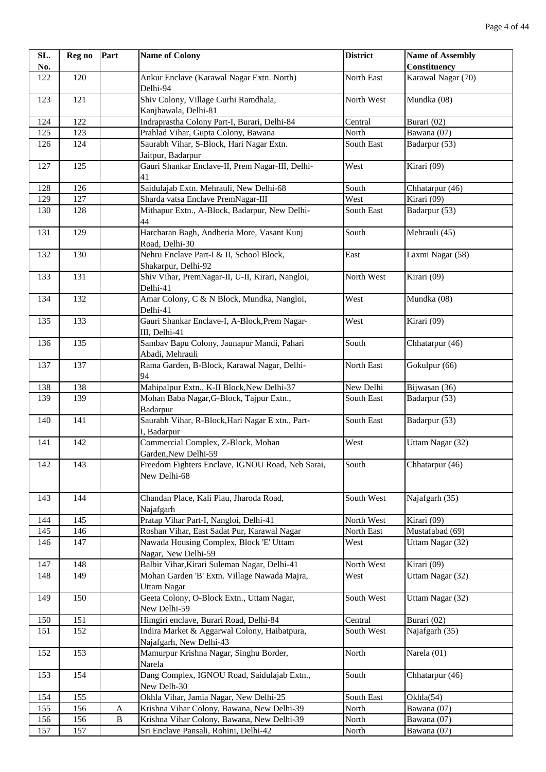| SL. | Reg no | Part         | <b>Name of Colony</b>                                          | <b>District</b> | <b>Name of Assembly</b> |
|-----|--------|--------------|----------------------------------------------------------------|-----------------|-------------------------|
| No. |        |              |                                                                |                 | Constituency            |
| 122 | 120    |              | Ankur Enclave (Karawal Nagar Extn. North)                      | North East      | Karawal Nagar (70)      |
|     |        |              | Delhi-94                                                       |                 |                         |
| 123 | 121    |              | Shiv Colony, Village Gurhi Ramdhala,                           | North West      | Mundka (08)             |
|     |        |              | Kanjhawala, Delhi-81                                           |                 |                         |
| 124 | 122    |              | Indraprastha Colony Part-I, Burari, Delhi-84                   | Central         | Burari (02)             |
| 125 | 123    |              | Prahlad Vihar, Gupta Colony, Bawana                            | North           | Bawana (07)             |
| 126 | 124    |              | Saurabh Vihar, S-Block, Hari Nagar Extn.                       | South East      | Badarpur (53)           |
|     |        |              | Jaitpur, Badarpur                                              |                 |                         |
| 127 | 125    |              | Gauri Shankar Enclave-II, Prem Nagar-III, Delhi-               | West            | Kirari (09)             |
|     |        |              | 41                                                             |                 |                         |
| 128 | 126    |              | Saidulajab Extn. Mehrauli, New Delhi-68                        | South           | Chhatarpur (46)         |
| 129 | 127    |              | Sharda vatsa Enclave PremNagar-III                             | West            | Kirari (09)             |
| 130 | 128    |              | Mithapur Extn., A-Block, Badarpur, New Delhi-<br>44            | South East      | Badarpur (53)           |
|     | 129    |              |                                                                |                 |                         |
| 131 |        |              | Harcharan Bagh, Andheria More, Vasant Kunj<br>Road, Delhi-30   | South           | Mehrauli (45)           |
| 132 | 130    |              | Nehru Enclave Part-I & II, School Block,                       | East            | Laxmi Nagar (58)        |
|     |        |              | Shakarpur, Delhi-92                                            |                 |                         |
| 133 | 131    |              | Shiv Vihar, PremNagar-II, U-II, Kirari, Nangloi,               | North West      | Kirari (09)             |
|     |        |              | Delhi-41                                                       |                 |                         |
| 134 | 132    |              | Amar Colony, C & N Block, Mundka, Nangloi,                     | West            | Mundka (08)             |
|     |        |              | Delhi-41                                                       |                 |                         |
| 135 | 133    |              | Gauri Shankar Enclave-I, A-Block, Prem Nagar-                  | West            | Kirari (09)             |
|     |        |              | III, Delhi-41                                                  |                 |                         |
| 136 | 135    |              | Sambav Bapu Colony, Jaunapur Mandi, Pahari                     | South           | Chhatarpur (46)         |
|     |        |              | Abadi, Mehrauli                                                |                 |                         |
| 137 | 137    |              | Rama Garden, B-Block, Karawal Nagar, Delhi-                    | North East      | Gokulpur (66)           |
|     |        |              | 94                                                             |                 |                         |
| 138 | 138    |              | Mahipalpur Extn., K-II Block, New Delhi-37                     | New Delhi       | Bijwasan (36)           |
| 139 | 139    |              | Mohan Baba Nagar, G-Block, Tajpur Extn.,                       | South East      | Badarpur (53)           |
|     |        |              | Badarpur                                                       |                 |                         |
| 140 | 141    |              | Saurabh Vihar, R-Block, Hari Nagar E xtn., Part-               | South East      | Badarpur (53)           |
|     |        |              | I, Badarpur                                                    |                 |                         |
| 141 | 142    |              | Commercial Complex, Z-Block, Mohan                             | West            | Uttam Nagar (32)        |
|     |        |              | Garden, New Delhi-59                                           |                 |                         |
| 142 | 143    |              | Freedom Fighters Enclave, IGNOU Road, Neb Sarai,               | South           | Chhatarpur (46)         |
|     |        |              | New Delhi-68                                                   |                 |                         |
|     |        |              |                                                                |                 |                         |
| 143 | 144    |              | Chandan Place, Kali Piau, Jharoda Road,                        | South West      | Najafgarh (35)          |
|     |        |              | Najafgarh                                                      |                 |                         |
| 144 | 145    |              | Pratap Vihar Part-I, Nangloi, Delhi-41                         | North West      | Kirari (09)             |
| 145 | 146    |              | Roshan Vihar, East Sadat Pur, Karawal Nagar                    | North East      | Mustafabad (69)         |
| 146 | 147    |              | Nawada Housing Complex, Block 'E' Uttam<br>Nagar, New Delhi-59 | West            | Uttam Nagar (32)        |
| 147 | 148    |              | Balbir Vihar, Kirari Suleman Nagar, Delhi-41                   | North West      | Kirari (09)             |
| 148 | 149    |              | Mohan Garden 'B' Extn. Village Nawada Majra,                   | West            | Uttam Nagar (32)        |
|     |        |              | <b>Uttam Nagar</b>                                             |                 |                         |
| 149 | 150    |              | Geeta Colony, O-Block Extn., Uttam Nagar,                      | South West      | Uttam Nagar (32)        |
|     |        |              | New Delhi-59                                                   |                 |                         |
| 150 | 151    |              | Himgiri enclave, Burari Road, Delhi-84                         | Central         | Burari (02)             |
| 151 | 152    |              | Indira Market & Aggarwal Colony, Haibatpura,                   | South West      | Najafgarh (35)          |
|     |        |              | Najafgarh, New Delhi-43                                        |                 |                         |
| 152 | 153    |              | Mamurpur Krishna Nagar, Singhu Border,                         | North           | Narela (01)             |
|     |        |              | Narela                                                         |                 |                         |
| 153 | 154    |              | Dang Complex, IGNOU Road, Saidulajab Extn.,                    | South           | Chhatarpur (46)         |
|     |        |              | New Delh-30                                                    |                 |                         |
| 154 | 155    |              | Okhla Vihar, Jamia Nagar, New Delhi-25                         | South East      | Okhla(54)               |
| 155 | 156    | A            | Krishna Vihar Colony, Bawana, New Delhi-39                     | North           | Bawana (07)             |
| 156 | 156    | $\, {\bf B}$ | Krishna Vihar Colony, Bawana, New Delhi-39                     | North           | Bawana (07)             |
| 157 | 157    |              | Sri Enclave Pansali, Rohini, Delhi-42                          | North           | Bawana (07)             |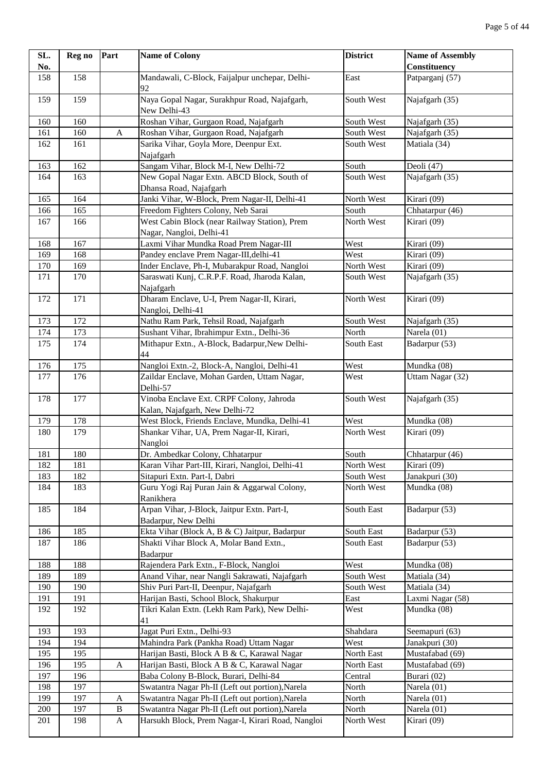| SL. | Reg no | Part         | <b>Name of Colony</b>                                                      | <b>District</b> | <b>Name of Assembly</b> |
|-----|--------|--------------|----------------------------------------------------------------------------|-----------------|-------------------------|
| No. |        |              |                                                                            |                 | Constituency            |
| 158 | 158    |              | Mandawali, C-Block, Faijalpur unchepar, Delhi-<br>92                       | East            | Patparganj (57)         |
| 159 | 159    |              | Naya Gopal Nagar, Surakhpur Road, Najafgarh,<br>New Delhi-43               | South West      | Najafgarh (35)          |
| 160 | 160    |              | Roshan Vihar, Gurgaon Road, Najafgarh                                      | South West      | Najafgarh (35)          |
| 161 | 160    | A            | Roshan Vihar, Gurgaon Road, Najafgarh                                      | South West      | Najafgarh (35)          |
| 162 | 161    |              | Sarika Vihar, Goyla More, Deenpur Ext.                                     | South West      | Matiala (34)            |
|     |        |              | Najafgarh                                                                  |                 |                         |
| 163 | 162    |              | Sangam Vihar, Block M-I, New Delhi-72                                      | South           | Deoli (47)              |
| 164 | 163    |              | New Gopal Nagar Extn. ABCD Block, South of<br>Dhansa Road, Najafgarh       | South West      | Najafgarh (35)          |
| 165 | 164    |              | Janki Vihar, W-Block, Prem Nagar-II, Delhi-41                              | North West      | Kirari (09)             |
| 166 | 165    |              | Freedom Fighters Colony, Neb Sarai                                         | South           | Chhatarpur (46)         |
| 167 | 166    |              | West Cabin Block (near Railway Station), Prem                              | North West      | Kirari (09)             |
|     |        |              | Nagar, Nangloi, Delhi-41                                                   |                 |                         |
| 168 | 167    |              | Laxmi Vihar Mundka Road Prem Nagar-III                                     | West            | Kirari (09)             |
| 169 | 168    |              | Pandey enclave Prem Nagar-III, delhi-41                                    | West            | Kirari (09)             |
| 170 | 169    |              | Inder Enclave, Ph-I, Mubarakpur Road, Nangloi                              | North West      | Kirari (09)             |
| 171 | 170    |              | Saraswati Kunj, C.R.P.F. Road, Jharoda Kalan,<br>Najafgarh                 | South West      | Najafgarh (35)          |
| 172 | 171    |              | Dharam Enclave, U-I, Prem Nagar-II, Kirari,<br>Nangloi, Delhi-41           | North West      | Kirari (09)             |
| 173 | 172    |              | Nathu Ram Park, Tehsil Road, Najafgarh                                     | South West      | Najafgarh (35)          |
| 174 | 173    |              | Sushant Vihar, Ibrahimpur Extn., Delhi-36                                  | North           | Narela (01)             |
| 175 | 174    |              | Mithapur Extn., A-Block, Badarpur, New Delhi-<br>44                        | South East      | Badarpur (53)           |
| 176 | 175    |              | Nangloi Extn.-2, Block-A, Nangloi, Delhi-41                                | West            | Mundka (08)             |
| 177 | 176    |              | Zaildar Enclave, Mohan Garden, Uttam Nagar,                                | West            | Uttam Nagar (32)        |
|     |        |              | Delhi-57                                                                   |                 |                         |
| 178 | 177    |              | Vinoba Enclave Ext. CRPF Colony, Jahroda<br>Kalan, Najafgarh, New Delhi-72 | South West      | Najafgarh (35)          |
| 179 | 178    |              | West Block, Friends Enclave, Mundka, Delhi-41                              | West            | Mundka (08)             |
| 180 | 179    |              | Shankar Vihar, UA, Prem Nagar-II, Kirari,                                  | North West      | Kirari (09)             |
|     |        |              | Nangloi                                                                    |                 |                         |
| 181 | 180    |              | Dr. Ambedkar Colony, Chhatarpur                                            | South           | Chhatarpur (46)         |
| 182 | 181    |              | Karan Vihar Part-III, Kirari, Nangloi, Delhi-41                            | North West      | Kirari (09)             |
| 183 | 182    |              | Sitapuri Extn. Part-I, Dabri                                               | South West      | Janakpuri (30)          |
| 184 | 183    |              | Guru Yogi Raj Puran Jain & Aggarwal Colony,<br>Ranikhera                   | North West      | Mundka (08)             |
| 185 | 184    |              | Arpan Vihar, J-Block, Jaitpur Extn. Part-I,<br>Badarpur, New Delhi         | South East      | Badarpur (53)           |
| 186 | 185    |              | Ekta Vihar (Block A, B & C) Jaitpur, Badarpur                              | South East      | Badarpur (53)           |
| 187 | 186    |              | Shakti Vihar Block A, Molar Band Extn.,                                    | South East      | Badarpur (53)           |
|     |        |              | Badarpur                                                                   |                 |                         |
| 188 | 188    |              | Rajendera Park Extn., F-Block, Nangloi                                     | West            | Mundka (08)             |
| 189 | 189    |              | Anand Vihar, near Nangli Sakrawati, Najafgarh                              | South West      | Matiala (34)            |
| 190 | 190    |              | Shiv Puri Part-II, Deenpur, Najafgarh                                      | South West      | Matiala (34)            |
| 191 | 191    |              | Harijan Basti, School Block, Shakurpur                                     | East            | Laxmi Nagar (58)        |
| 192 | 192    |              | Tikri Kalan Extn. (Lekh Ram Park), New Delhi-<br>41                        | West            | Mundka (08)             |
| 193 | 193    |              | Jagat Puri Extn., Delhi-93                                                 | Shahdara        | Seemapuri (63)          |
| 194 | 194    |              | Mahindra Park (Pankha Road) Uttam Nagar                                    | West            | Janakpuri (30)          |
| 195 | 195    |              | Harijan Basti, Block A B & C, Karawal Nagar                                | North East      | Mustafabad (69)         |
| 196 | 195    | $\mathbf A$  | Harijan Basti, Block A B & C, Karawal Nagar                                | North East      | Mustafabad (69)         |
| 197 | 196    |              | Baba Colony B-Block, Burari, Delhi-84                                      | Central         | Burari (02)             |
| 198 | 197    |              | Swatantra Nagar Ph-II (Left out portion), Narela                           | North           | Narela (01)             |
| 199 | 197    | A            | Swatantra Nagar Ph-II (Left out portion), Narela                           | North           | Narela (01)             |
| 200 | 197    | $\, {\bf B}$ | Swatantra Nagar Ph-II (Left out portion), Narela                           | North           | Narela (01)             |
| 201 | 198    | $\mathbf{A}$ | Harsukh Block, Prem Nagar-I, Kirari Road, Nangloi                          | North West      | Kirari (09)             |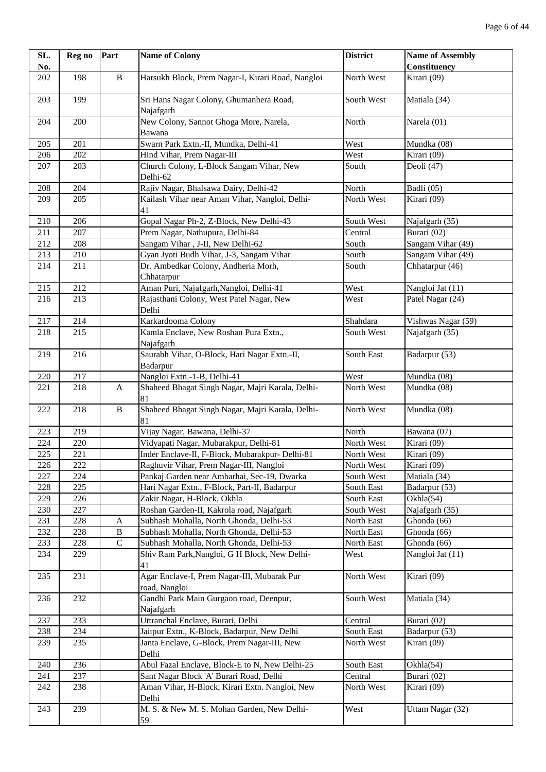| SL. | Reg no | Part         | <b>Name of Colony</b>                                        | <b>District</b> | <b>Name of Assembly</b> |
|-----|--------|--------------|--------------------------------------------------------------|-----------------|-------------------------|
| No. |        |              |                                                              |                 | Constituency            |
| 202 | 198    | $\, {\bf B}$ | Harsukh Block, Prem Nagar-I, Kirari Road, Nangloi            | North West      | Kirari (09)             |
| 203 | 199    |              | Sri Hans Nagar Colony, Ghumanhera Road,<br>Najafgarh         | South West      | Matiala (34)            |
| 204 | 200    |              | New Colony, Sannot Ghoga More, Narela,<br>Bawana             | North           | Narela (01)             |
| 205 | 201    |              | Swarn Park Extn.-II, Mundka, Delhi-41                        | West            | Mundka (08)             |
| 206 | 202    |              | Hind Vihar, Prem Nagar-III                                   | West            | Kirari (09)             |
| 207 | 203    |              | Church Colony, L-Block Sangam Vihar, New<br>Delhi-62         | South           | Deoli (47)              |
| 208 | 204    |              | Rajiv Nagar, Bhalsawa Dairy, Delhi-42                        | North           | Badli (05)              |
| 209 | 205    |              | Kailash Vihar near Aman Vihar, Nangloi, Delhi-<br>41         | North West      | Kirari (09)             |
| 210 | 206    |              | Gopal Nagar Ph-2, Z-Block, New Delhi-43                      | South West      | Najafgarh (35)          |
| 211 | 207    |              | Prem Nagar, Nathupura, Delhi-84                              | Central         | Burari (02)             |
| 212 | 208    |              | Sangam Vihar, J-II, New Delhi-62                             | South           | Sangam Vihar (49)       |
| 213 | 210    |              | Gyan Jyoti Budh Vihar, J-3, Sangam Vihar                     | South           | Sangam Vihar (49)       |
| 214 | 211    |              | Dr. Ambedkar Colony, Andheria Morh,<br>Chhatarpur            | South           | Chhatarpur (46)         |
| 215 | 212    |              | Aman Puri, Najafgarh, Nangloi, Delhi-41                      | West            | Nangloi Jat (11)        |
| 216 | 213    |              | Rajasthani Colony, West Patel Nagar, New<br>Delhi            | West            | Patel Nagar (24)        |
| 217 | 214    |              | Karkardooma Colony                                           | Shahdara        | Vishwas Nagar (59)      |
| 218 | 215    |              | Kamla Enclave, New Roshan Pura Extn.,<br>Najafgarh           | South West      | Najafgarh (35)          |
| 219 | 216    |              | Saurabh Vihar, O-Block, Hari Nagar Extn.-II,<br>Badarpur     | South East      | Badarpur (53)           |
| 220 | 217    |              | Nangloi Extn.-1-B, Delhi-41                                  | West            | Mundka (08)             |
| 221 | 218    | A            | Shaheed Bhagat Singh Nagar, Majri Karala, Delhi-<br>81       | North West      | Mundka (08)             |
| 222 | 218    | $\, {\bf B}$ | Shaheed Bhagat Singh Nagar, Majri Karala, Delhi-<br>81       | North West      | Mundka (08)             |
| 223 | 219    |              | Vijay Nagar, Bawana, Delhi-37                                | North           | Bawana (07)             |
| 224 | 220    |              | Vidyapati Nagar, Mubarakpur, Delhi-81                        | North West      | Kirari (09)             |
| 225 | 221    |              | Inder Enclave-II, F-Block, Mubarakpur- Delhi-81              | North West      | Kirari (09)             |
| 226 | 222    |              | Raghuvir Vihar, Prem Nagar-III, Nangloi                      | North West      | Kirari (09)             |
| 227 | 224    |              | Pankaj Garden near Ambarhai, Sec-19, Dwarka                  | South West      | Matiala (34)            |
| 228 | 225    |              | Hari Nagar Extn., F-Block, Part-II, Badarpur                 | South East      | Badarpur (53)           |
| 229 | 226    |              | Zakir Nagar, H-Block, Okhla                                  | South East      | Okhla(54)               |
| 230 | 227    |              | Roshan Garden-II, Kakrola road, Najafgarh                    | South West      | Najafgarh (35)          |
| 231 | 228    | A            | Subhash Mohalla, North Ghonda, Delhi-53                      | North East      | Ghonda (66)             |
| 232 | 228    | $\, {\bf B}$ | Subhash Mohalla, North Ghonda, Delhi-53                      | North East      | Ghonda (66)             |
| 233 | 228    | $\mathbf C$  | Subhash Mohalla, North Ghonda, Delhi-53                      | North East      | Ghonda (66)             |
| 234 | 229    |              | Shiv Ram Park, Nangloi, G H Block, New Delhi-<br>41          | West            | Nangloi Jat (11)        |
| 235 | 231    |              | Agar Enclave-I, Prem Nagar-III, Mubarak Pur<br>road, Nangloi | North West      | Kirari (09)             |
| 236 | 232    |              | Gandhi Park Main Gurgaon road, Deenpur,<br>Najafgarh         | South West      | Matiala (34)            |
| 237 | 233    |              | Uttranchal Enclave, Burari, Delhi                            | Central         | Burari (02)             |
| 238 | 234    |              | Jaitpur Extn., K-Block, Badarpur, New Delhi                  | South East      | Badarpur (53)           |
| 239 | 235    |              | Janta Enclave, G-Block, Prem Nagar-III, New<br>Delhi         | North West      | Kirari (09)             |
| 240 | 236    |              | Abul Fazal Enclave, Block-E to N, New Delhi-25               | South East      | Okhla(54)               |
| 241 | 237    |              | Sant Nagar Block 'A' Burari Road, Delhi                      | Central         | Burari (02)             |
| 242 | 238    |              | Aman Vihar, H-Block, Kirari Extn. Nangloi, New<br>Delhi      | North West      | Kirari (09)             |
| 243 | 239    |              | M. S. & New M. S. Mohan Garden, New Delhi-<br>59             | West            | Uttam Nagar (32)        |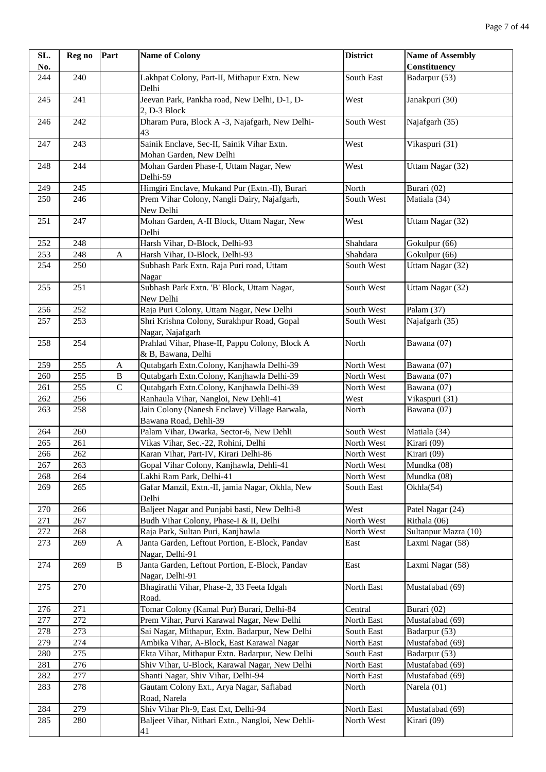| SL.        | Reg no           | Part         | <b>Name of Colony</b>                                                               | <b>District</b>          | <b>Name of Assembly</b>            |
|------------|------------------|--------------|-------------------------------------------------------------------------------------|--------------------------|------------------------------------|
| No.        |                  |              |                                                                                     |                          | <b>Constituency</b>                |
| 244        | $\overline{240}$ |              | Lakhpat Colony, Part-II, Mithapur Extn. New<br>Delhi                                | South East               | Badarpur $(53)$                    |
| 245        | 241              |              | Jeevan Park, Pankha road, New Delhi, D-1, D-<br>2, D-3 Block                        | West                     | Janakpuri (30)                     |
| 246        | 242              |              | Dharam Pura, Block A -3, Najafgarh, New Delhi-<br>43                                | South West               | Najafgarh (35)                     |
| 247        | 243              |              | Sainik Enclave, Sec-II, Sainik Vihar Extn.<br>Mohan Garden, New Delhi               | West                     | Vikaspuri (31)                     |
| 248        | 244              |              | Mohan Garden Phase-I, Uttam Nagar, New<br>Delhi-59                                  | West                     | Uttam Nagar (32)                   |
| 249        | 245              |              | Himgiri Enclave, Mukand Pur (Extn.-II), Burari                                      | North                    | Burari (02)                        |
| 250        | 246              |              | Prem Vihar Colony, Nangli Dairy, Najafgarh,                                         | South West               | Matiala (34)                       |
|            |                  |              | New Delhi                                                                           |                          |                                    |
| 251        | 247              |              | Mohan Garden, A-II Block, Uttam Nagar, New<br>Delhi                                 | West                     | Uttam Nagar (32)                   |
| 252        | 248              |              | Harsh Vihar, D-Block, Delhi-93                                                      | Shahdara                 | Gokulpur (66)                      |
| 253        | 248              | A            | Harsh Vihar, D-Block, Delhi-93                                                      | Shahdara                 | Gokulpur (66)                      |
| 254        | 250              |              | Subhash Park Extn. Raja Puri road, Uttam<br>Nagar                                   | South West               | Uttam Nagar (32)                   |
| 255        | 251              |              | Subhash Park Extn. 'B' Block, Uttam Nagar,<br>New Delhi                             | South West               | Uttam Nagar (32)                   |
| 256        | 252              |              | Raja Puri Colony, Uttam Nagar, New Delhi                                            | South West               | Palam (37)                         |
| 257        | 253              |              | Shri Krishna Colony, Surakhpur Road, Gopal<br>Nagar, Najafgarh                      | South West               | Najafgarh (35)                     |
| 258        | 254              |              | Prahlad Vihar, Phase-II, Pappu Colony, Block A<br>& B, Bawana, Delhi                | North                    | Bawana (07)                        |
| 259        | 255              | A            | Qutabgarh Extn.Colony, Kanjhawla Delhi-39                                           | North West               | Bawana (07)                        |
| 260        | 255              | $\, {\bf B}$ | Qutabgarh Extn.Colony, Kanjhawla Delhi-39                                           | North West               | Bawana (07)                        |
| 261        | 255              | ${\bf C}$    | Qutabgarh Extn.Colony, Kanjhawla Delhi-39                                           | North West               | Bawana (07)                        |
| 262        | 256              |              | Ranhaula Vihar, Nangloi, New Dehli-41                                               | West                     | Vikaspuri (31)                     |
| 263        | 258              |              | Jain Colony (Nanesh Enclave) Village Barwala,<br>Bawana Road, Dehli-39              | North                    | Bawana (07)                        |
| 264        | 260              |              | Palam Vihar, Dwarka, Sector-6, New Dehli                                            | South West               | Matiala (34)                       |
| 265        | 261              |              | Vikas Vihar, Sec.-22, Rohini, Delhi                                                 | North West               | Kirari (09)                        |
| 266        | 262              |              | Karan Vihar, Part-IV, Kirari Delhi-86                                               | North West               | Kirari (09)                        |
| 267        | 263              |              | Gopal Vihar Colony, Kanjhawla, Dehli-41                                             | North West               | Mundka (08)                        |
| 268        | 264              |              | Lakhi Ram Park, Delhi-41                                                            | North West               | Mundka (08)                        |
| 269        | 265              |              | Gafar Manzil, Extn.-II, jamia Nagar, Okhla, New<br>Delhi                            | South East               | Okhla(54)                          |
| 270        | 266              |              | Baljeet Nagar and Punjabi basti, New Delhi-8                                        | West                     | Patel Nagar (24)                   |
| 271        | 267              |              | Budh Vihar Colony, Phase-I & II, Delhi                                              | North West               | Rithala (06)                       |
| 272        | 268              |              | Raja Park, Sultan Puri, Kanjhawla                                                   | North West               | Sultanpur Mazra (10)               |
| 273        | 269              | A            | Janta Garden, Leftout Portion, E-Block, Pandav<br>Nagar, Delhi-91                   | East                     | Laxmi Nagar (58)                   |
| 274        | 269              | $\, {\bf B}$ | Janta Garden, Leftout Portion, E-Block, Pandav<br>Nagar, Delhi-91                   | East                     | Laxmi Nagar (58)                   |
| 275        | 270              |              | Bhagirathi Vihar, Phase-2, 33 Feeta Idgah<br>Road.                                  | North East               | Mustafabad (69)                    |
| 276        | 271              |              | Tomar Colony (Kamal Pur) Burari, Delhi-84                                           | Central                  | Burari (02)                        |
| 277        | 272              |              | Prem Vihar, Purvi Karawal Nagar, New Delhi                                          | North East               | Mustafabad (69)                    |
| 278        | 273              |              | Sai Nagar, Mithapur, Extn. Badarpur, New Delhi                                      | South East               | Badarpur (53)                      |
| 279        | 274              |              | Ambika Vihar, A-Block, East Karawal Nagar                                           | North East               | Mustafabad (69)                    |
| 280        | 275              |              | Ekta Vihar, Mithapur Extn. Badarpur, New Delhi                                      | South East               | Badarpur (53)                      |
| 281<br>282 | 276<br>277       |              | Shiv Vihar, U-Block, Karawal Nagar, New Delhi<br>Shanti Nagar, Shiv Vihar, Delhi-94 | North East<br>North East | Mustafabad (69)<br>Mustafabad (69) |
| 283        | 278              |              | Gautam Colony Ext., Arya Nagar, Safiabad                                            | North                    | Narela (01)                        |
|            |                  |              | Road, Narela                                                                        |                          |                                    |
| 284        | 279              |              | Shiv Vihar Ph-9, East Ext, Delhi-94                                                 | North East               | Mustafabad (69)                    |
| 285        | 280              |              | Baljeet Vihar, Nithari Extn., Nangloi, New Dehli-<br>41                             | North West               | Kirari (09)                        |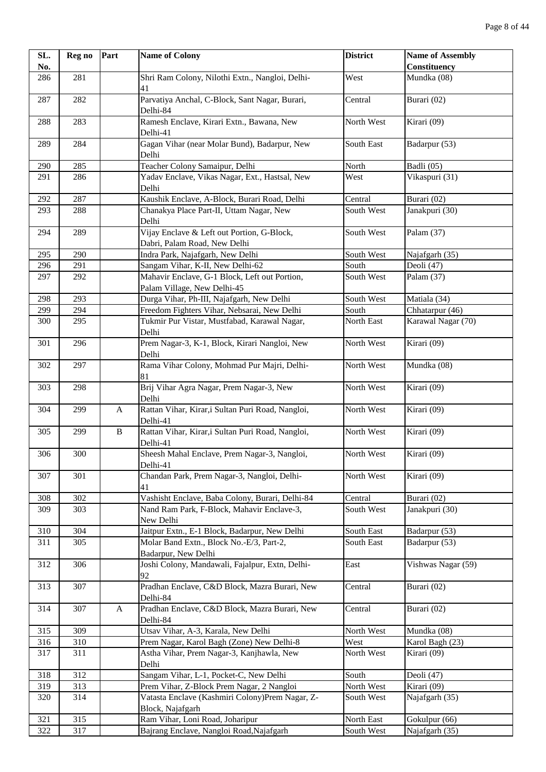| SL. | Reg no | Part         | <b>Name of Colony</b>                                                        | <b>District</b> | <b>Name of Assembly</b> |
|-----|--------|--------------|------------------------------------------------------------------------------|-----------------|-------------------------|
| No. |        |              |                                                                              |                 | Constituency            |
| 286 | 281    |              | Shri Ram Colony, Nilothi Extn., Nangloi, Delhi-<br>41                        | West            | Mundka (08)             |
| 287 | 282    |              | Parvatiya Anchal, C-Block, Sant Nagar, Burari,<br>Delhi-84                   | Central         | Burari (02)             |
| 288 | 283    |              | Ramesh Enclave, Kirari Extn., Bawana, New<br>Delhi-41                        | North West      | Kirari (09)             |
| 289 | 284    |              | Gagan Vihar (near Molar Bund), Badarpur, New<br>Delhi                        | South East      | Badarpur (53)           |
| 290 | 285    |              | Teacher Colony Samaipur, Delhi                                               | North           | Badli (05)              |
| 291 | 286    |              | Yadav Enclave, Vikas Nagar, Ext., Hastsal, New<br>Delhi                      | West            | Vikaspuri (31)          |
| 292 | 287    |              | Kaushik Enclave, A-Block, Burari Road, Delhi                                 | Central         | Burari (02)             |
| 293 | 288    |              | Chanakya Place Part-II, Uttam Nagar, New<br>Delhi                            | South West      | Janakpuri (30)          |
| 294 | 289    |              | Vijay Enclave & Left out Portion, G-Block,<br>Dabri, Palam Road, New Delhi   | South West      | Palam (37)              |
| 295 | 290    |              | Indra Park, Najafgarh, New Delhi                                             | South West      | Najafgarh (35)          |
| 296 | 291    |              | Sangam Vihar, K-II, New Delhi-62                                             | South           | Deoli (47)              |
| 297 | 292    |              | Mahavir Enclave, G-1 Block, Left out Portion,<br>Palam Village, New Delhi-45 | South West      | Palam (37)              |
| 298 | 293    |              | Durga Vihar, Ph-III, Najafgarh, New Delhi                                    | South West      | Matiala (34)            |
| 299 | 294    |              | Freedom Fighters Vihar, Nebsarai, New Delhi                                  | South           | Chhatarpur (46)         |
| 300 | 295    |              | Tukmir Pur Vistar, Mustfabad, Karawal Nagar,<br>Delhi                        | North East      | Karawal Nagar (70)      |
| 301 | 296    |              | Prem Nagar-3, K-1, Block, Kirari Nangloi, New<br>Delhi                       | North West      | Kirari (09)             |
| 302 | 297    |              | Rama Vihar Colony, Mohmad Pur Majri, Delhi-<br>81                            | North West      | Mundka (08)             |
| 303 | 298    |              | Brij Vihar Agra Nagar, Prem Nagar-3, New<br>Delhi                            | North West      | Kirari (09)             |
| 304 | 299    | A            | Rattan Vihar, Kirar,i Sultan Puri Road, Nangloi,<br>Delhi-41                 | North West      | Kirari (09)             |
| 305 | 299    | $\, {\bf B}$ | Rattan Vihar, Kirar,i Sultan Puri Road, Nangloi,<br>Delhi-41                 | North West      | Kirari (09)             |
| 306 | 300    |              | Sheesh Mahal Enclave, Prem Nagar-3, Nangloi,<br>Delhi-41                     | North West      | Kirari (09)             |
| 307 | 301    |              | Chandan Park, Prem Nagar-3, Nangloi, Delhi-<br>41                            | North West      | Kirari (09)             |
| 308 | 302    |              | Vashisht Enclave, Baba Colony, Burari, Delhi-84                              | Central         | Burari (02)             |
| 309 | 303    |              | Nand Ram Park, F-Block, Mahavir Enclave-3,<br>New Delhi                      | South West      | Janakpuri (30)          |
| 310 | 304    |              | Jaitpur Extn., E-1 Block, Badarpur, New Delhi                                | South East      | Badarpur (53)           |
| 311 | 305    |              | Molar Band Extn., Block No.-E/3, Part-2,<br>Badarpur, New Delhi              | South East      | Badarpur (53)           |
| 312 | 306    |              | Joshi Colony, Mandawali, Fajalpur, Extn, Delhi-<br>92                        | East            | Vishwas Nagar (59)      |
| 313 | 307    |              | Pradhan Enclave, C&D Block, Mazra Burari, New<br>Delhi-84                    | Central         | Burari (02)             |
| 314 | 307    | $\mathbf{A}$ | Pradhan Enclave, C&D Block, Mazra Burari, New<br>Delhi-84                    | Central         | Burari (02)             |
| 315 | 309    |              | Utsav Vihar, A-3, Karala, New Delhi                                          | North West      | Mundka (08)             |
| 316 | 310    |              | Prem Nagar, Karol Bagh (Zone) New Delhi-8                                    | West            | Karol Bagh (23)         |
| 317 | 311    |              | Astha Vihar, Prem Nagar-3, Kanjhawla, New<br>Delhi                           | North West      | Kirari (09)             |
| 318 | 312    |              | Sangam Vihar, L-1, Pocket-C, New Delhi                                       | South           | Deoli (47)              |
| 319 | 313    |              | Prem Vihar, Z-Block Prem Nagar, 2 Nangloi                                    | North West      | Kirari (09)             |
| 320 | 314    |              | Vatasta Enclave (Kashmiri Colony)Prem Nagar, Z-<br>Block, Najafgarh          | South West      | Najafgarh (35)          |
| 321 | 315    |              | Ram Vihar, Loni Road, Joharipur                                              | North East      | Gokulpur (66)           |
| 322 | 317    |              | Bajrang Enclave, Nangloi Road, Najafgarh                                     | South West      | Najafgarh (35)          |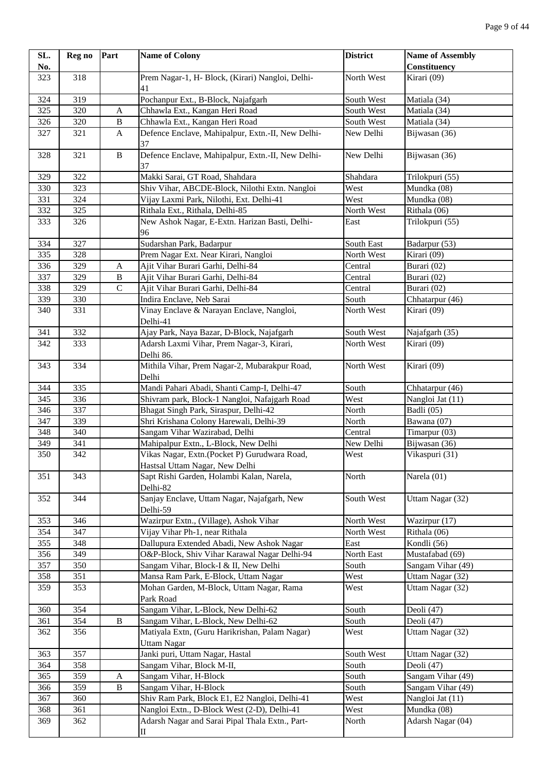| SL. | Reg no | Part         | <b>Name of Colony</b>                                                          | <b>District</b> | <b>Name of Assembly</b>            |
|-----|--------|--------------|--------------------------------------------------------------------------------|-----------------|------------------------------------|
| No. |        |              |                                                                                |                 | Constituency                       |
| 323 | 318    |              | Prem Nagar-1, H- Block, (Kirari) Nangloi, Delhi-<br>41                         | North West      | Kirari (09)                        |
| 324 | 319    |              | Pochanpur Ext., B-Block, Najafgarh                                             | South West      | Matiala (34)                       |
| 325 | 320    | A            | Chhawla Ext., Kangan Heri Road                                                 | South West      | Matiala (34)                       |
| 326 | 320    | $\, {\bf B}$ | Chhawla Ext., Kangan Heri Road                                                 | South West      | Matiala (34)                       |
| 327 | 321    | A            | Defence Enclave, Mahipalpur, Extn.-II, New Delhi-<br>37                        | New Delhi       | Bijwasan (36)                      |
| 328 | 321    | $\, {\bf B}$ | Defence Enclave, Mahipalpur, Extn.-II, New Delhi-<br>37                        | New Delhi       | Bijwasan (36)                      |
| 329 | 322    |              | Makki Sarai, GT Road, Shahdara                                                 | Shahdara        | Trilokpuri (55)                    |
| 330 | 323    |              | Shiv Vihar, ABCDE-Block, Nilothi Extn. Nangloi                                 | West            | Mundka (08)                        |
| 331 | 324    |              | Vijay Laxmi Park, Nilothi, Ext. Delhi-41                                       | West            | Mundka (08)                        |
| 332 | 325    |              | Rithala Ext., Rithala, Delhi-85                                                | North West      | Rithala (06)                       |
| 333 | 326    |              | New Ashok Nagar, E-Extn. Harizan Basti, Delhi-<br>96                           | East            | Trilokpuri (55)                    |
| 334 | 327    |              | Sudarshan Park, Badarpur                                                       | South East      | Badarpur (53)                      |
| 335 | 328    |              | Prem Nagar Ext. Near Kirari, Nangloi                                           | North West      | $\overline{\text{Kirari}}(09)$     |
| 336 | 329    | A            | Ajit Vihar Burari Garhi, Delhi-84                                              | Central         | Burari (02)                        |
| 337 | 329    | $\, {\bf B}$ | Ajit Vihar Burari Garhi, Delhi-84                                              | Central         | Burari (02)                        |
| 338 | 329    | $\mathbf C$  | Ajit Vihar Burari Garhi, Delhi-84                                              | Central         | Burari (02)                        |
| 339 | 330    |              | Indira Enclave, Neb Sarai                                                      | South           | Chhatarpur (46)                    |
| 340 | 331    |              | Vinay Enclave & Narayan Enclave, Nangloi,<br>Delhi-41                          | North West      | Kirari (09)                        |
| 341 | 332    |              | Ajay Park, Naya Bazar, D-Block, Najafgarh                                      | South West      | Najafgarh (35)                     |
| 342 | 333    |              | Adarsh Laxmi Vihar, Prem Nagar-3, Kirari,<br>Delhi 86.                         | North West      | Kirari (09)                        |
| 343 | 334    |              | Mithila Vihar, Prem Nagar-2, Mubarakpur Road,<br>Delhi                         | North West      | Kirari (09)                        |
| 344 | 335    |              | Mandi Pahari Abadi, Shanti Camp-I, Delhi-47                                    | South           | Chhatarpur (46)                    |
| 345 | 336    |              | Shivram park, Block-1 Nangloi, Nafajgarh Road                                  | West            | Nangloi Jat (11)                   |
| 346 | 337    |              | Bhagat Singh Park, Siraspur, Delhi-42                                          | North           | Badli (05)                         |
| 347 | 339    |              | Shri Krishana Colony Harewali, Delhi-39                                        | North           | Bawana (07)                        |
| 348 | 340    |              | Sangam Vihar Wazirabad, Delhi                                                  | Central         | Timarpur (03)                      |
| 349 | 341    |              | Mahipalpur Extn., L-Block, New Delhi                                           | New Delhi       | Bijwasan (36)                      |
| 350 | 342    |              | Vikas Nagar, Extn.(Pocket P) Gurudwara Road,<br>Hastsal Uttam Nagar, New Delhi | West            | Vikaspuri (31)                     |
| 351 | 343    |              | Sapt Rishi Garden, Holambi Kalan, Narela,<br>Delhi-82                          | North           | Narela (01)                        |
| 352 | 344    |              | Sanjay Enclave, Uttam Nagar, Najafgarh, New<br>Delhi-59                        | South West      | Uttam Nagar (32)                   |
| 353 | 346    |              | Wazirpur Extn., (Village), Ashok Vihar                                         | North West      | Wazirpur (17)                      |
| 354 | 347    |              | Vijay Vihar Ph-1, near Rithala                                                 | North West      | Rithala (06)                       |
| 355 | 348    |              | Dallupura Extended Abadi, New Ashok Nagar                                      | East            | Kondli (56)                        |
| 356 | 349    |              | O&P-Block, Shiv Vihar Karawal Nagar Delhi-94                                   | North East      | Mustafabad (69)                    |
| 357 | 350    |              | Sangam Vihar, Block-I & II, New Delhi                                          | South           | Sangam Vihar (49)                  |
| 358 | 351    |              | Mansa Ram Park, E-Block, Uttam Nagar                                           | West            | Uttam Nagar (32)                   |
| 359 | 353    |              | Mohan Garden, M-Block, Uttam Nagar, Rama<br>Park Road                          | West            | Uttam Nagar (32)                   |
| 360 | 354    |              | Sangam Vihar, L-Block, New Delhi-62                                            | South           | Deoli (47)                         |
| 361 | 354    | $\, {\bf B}$ | Sangam Vihar, L-Block, New Delhi-62                                            | South           | Deoli (47)                         |
| 362 | 356    |              | Matiyala Extn, (Guru Harikrishan, Palam Nagar)<br><b>Uttam Nagar</b>           | West            | Uttam Nagar (32)                   |
| 363 | 357    |              | Janki puri, Uttam Nagar, Hastal                                                | South West      | Uttam Nagar (32)                   |
| 364 | 358    |              | Sangam Vihar, Block M-II,                                                      | South           | Deoli (47)                         |
| 365 | 359    | A            | Sangam Vihar, H-Block                                                          | South           | Sangam Vihar (49)                  |
| 366 | 359    | $\bf{B}$     | Sangam Vihar, H-Block                                                          | South           | Sangam Vihar (49)                  |
| 367 | 360    |              | Shiv Ram Park, Block E1, E2 Nangloi, Delhi-41                                  | West            | Nangloi Jat (11)                   |
| 368 | 361    |              | Nangloi Extn., D-Block West (2-D), Delhi-41                                    | West            | $\overline{\mathrm{M}}$ undka (08) |
| 369 | 362    |              | Adarsh Nagar and Sarai Pipal Thala Extn., Part-<br>П                           | North           | Adarsh Nagar (04)                  |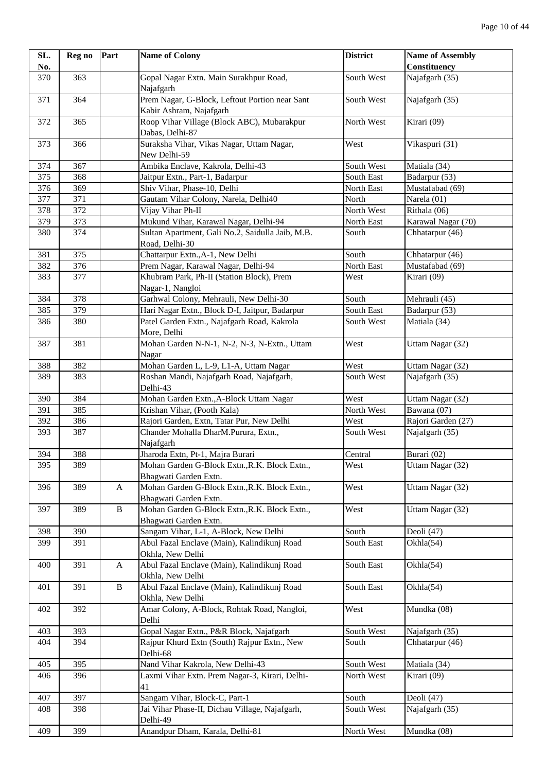| SL. | Reg no | Part         | <b>Name of Colony</b>                                                                  | <b>District</b> | <b>Name of Assembly</b> |
|-----|--------|--------------|----------------------------------------------------------------------------------------|-----------------|-------------------------|
| No. |        |              |                                                                                        |                 | Constituency            |
| 370 | 363    |              | Gopal Nagar Extn. Main Surakhpur Road,<br>Najafgarh                                    | South West      | Najafgarh $(35)$        |
| 371 | 364    |              | Prem Nagar, G-Block, Leftout Portion near Sant                                         | South West      | Najafgarh (35)          |
|     |        |              | Kabir Ashram, Najafgarh                                                                |                 |                         |
| 372 | 365    |              | Roop Vihar Village (Block ABC), Mubarakpur<br>Dabas, Delhi-87                          | North West      | Kirari (09)             |
| 373 | 366    |              | Suraksha Vihar, Vikas Nagar, Uttam Nagar,<br>New Delhi-59                              | West            | Vikaspuri (31)          |
| 374 | 367    |              | Ambika Enclave, Kakrola, Delhi-43                                                      | South West      | Matiala (34)            |
| 375 | 368    |              | Jaitpur Extn., Part-1, Badarpur                                                        | South East      | Badarpur (53)           |
| 376 | 369    |              | Shiv Vihar, Phase-10, Delhi                                                            | North East      | Mustafabad (69)         |
| 377 | 371    |              | Gautam Vihar Colony, Narela, Delhi40                                                   | North           | Narela (01)             |
| 378 | 372    |              | Vijay Vihar Ph-II                                                                      | North West      | Rithala (06)            |
| 379 | 373    |              | Mukund Vihar, Karawal Nagar, Delhi-94                                                  | North East      | Karawal Nagar (70)      |
| 380 | 374    |              | Sultan Apartment, Gali No.2, Saidulla Jaib, M.B.<br>Road, Delhi-30                     | South           | Chhatarpur (46)         |
| 381 | 375    |              | Chattarpur Extn., A-1, New Delhi                                                       | South           | Chhatarpur (46)         |
| 382 | 376    |              | Prem Nagar, Karawal Nagar, Delhi-94                                                    | North East      | Mustafabad (69)         |
| 383 | 377    |              | Khubram Park, Ph-II (Station Block), Prem<br>Nagar-1, Nangloi                          | West            | Kirari (09)             |
| 384 | 378    |              | Garhwal Colony, Mehrauli, New Delhi-30                                                 | South           | Mehrauli (45)           |
| 385 | 379    |              | Hari Nagar Extn., Block D-I, Jaitpur, Badarpur                                         | South East      | Badarpur (53)           |
| 386 | 380    |              | Patel Garden Extn., Najafgarh Road, Kakrola<br>More, Delhi                             | South West      | Matiala (34)            |
| 387 | 381    |              | Mohan Garden N-N-1, N-2, N-3, N-Extn., Uttam<br>Nagar                                  | West            | Uttam Nagar (32)        |
| 388 | 382    |              | Mohan Garden L, L-9, L1-A, Uttam Nagar                                                 | West            | Uttam Nagar $(32)$      |
| 389 | 383    |              | Roshan Mandi, Najafgarh Road, Najafgarh,<br>Delhi-43                                   | South West      | Najafgarh (35)          |
| 390 | 384    |              | Mohan Garden Extn., A-Block Uttam Nagar                                                | West            | Uttam Nagar (32)        |
| 391 | 385    |              | Krishan Vihar, (Pooth Kala)                                                            | North West      | Bawana (07)             |
| 392 | 386    |              | Rajori Garden, Extn, Tatar Pur, New Delhi                                              | West            | Rajori Garden (27)      |
| 393 | 387    |              | Chander Mohalla DharM.Purura, Extn.,                                                   | South West      | Najafgarh (35)          |
|     |        |              | Najafgarh                                                                              |                 |                         |
| 394 | 388    |              | Jharoda Extn, Pt-1, Majra Burari                                                       | Central         | Burari (02)             |
| 395 | 389    |              | Mohan Garden G-Block Extn., R.K. Block Extn.,<br>Bhagwati Garden Extn.                 | West            | Uttam Nagar (32)        |
| 396 | 389    | A            | Mohan Garden G-Block Extn., R.K. Block Extn.,<br>Bhagwati Garden Extn.                 | West            | Uttam Nagar (32)        |
| 397 | 389    | $\, {\bf B}$ | Mohan Garden G-Block Extn., R.K. Block Extn.,<br>Bhagwati Garden Extn.                 | West            | Uttam Nagar (32)        |
| 398 | 390    |              | Sangam Vihar, L-1, A-Block, New Delhi                                                  | South           | Deoli (47)              |
| 399 | 391    |              | Abul Fazal Enclave (Main), Kalindikunj Road<br>Okhla, New Delhi                        | South East      | Okhla(54)               |
| 400 | 391    | A            | Abul Fazal Enclave (Main), Kalindikunj Road<br>Okhla, New Delhi                        | South East      | Okhla(54)               |
| 401 | 391    | $\bf{B}$     | Abul Fazal Enclave (Main), Kalindikunj Road<br>Okhla, New Delhi                        | South East      | Okhla(54)               |
| 402 | 392    |              | Amar Colony, A-Block, Rohtak Road, Nangloi,                                            | West            | Mundka (08)             |
|     |        |              | Delhi                                                                                  |                 |                         |
| 403 | 393    |              | Gopal Nagar Extn., P&R Block, Najafgarh<br>Rajpur Khurd Extn (South) Rajpur Extn., New | South West      | Najafgarh (35)          |
| 404 | 394    |              | Delhi-68                                                                               | South           | Chhatarpur (46)         |
| 405 | 395    |              | Nand Vihar Kakrola, New Delhi-43                                                       | South West      | Matiala (34)            |
| 406 | 396    |              | Laxmi Vihar Extn. Prem Nagar-3, Kirari, Delhi-<br>41                                   | North West      | Kirari (09)             |
| 407 | 397    |              | Sangam Vihar, Block-C, Part-1                                                          | South           | Deoli (47)              |
| 408 | 398    |              | Jai Vihar Phase-II, Dichau Village, Najafgarh,<br>Delhi-49                             | South West      | Najafgarh (35)          |
| 409 | 399    |              | Anandpur Dham, Karala, Delhi-81                                                        | North West      | Mundka (08)             |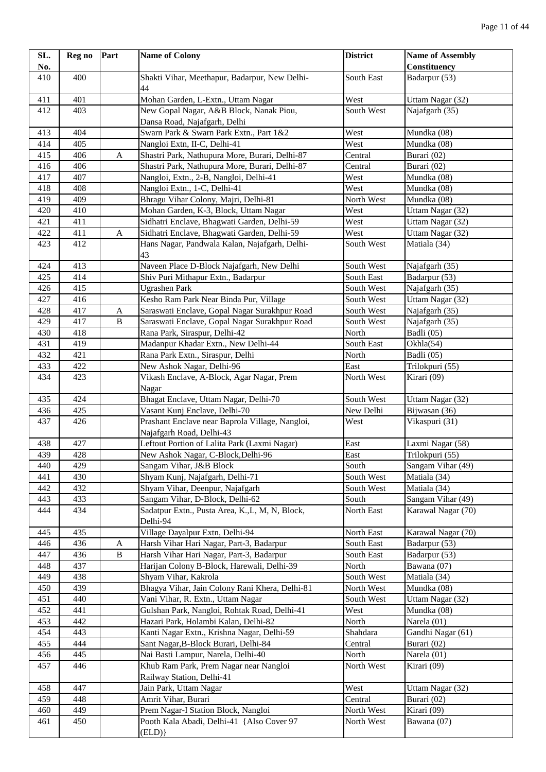| SL. | Reg no | Part         | <b>Name of Colony</b>                           | <b>District</b> | <b>Name of Assembly</b>               |
|-----|--------|--------------|-------------------------------------------------|-----------------|---------------------------------------|
| No. |        |              |                                                 |                 | Constituency                          |
| 410 | 400    |              | Shakti Vihar, Meethapur, Badarpur, New Delhi-   | South East      | Badarpur (53)                         |
|     |        |              | 44                                              |                 |                                       |
| 411 | 401    |              | Mohan Garden, L-Extn., Uttam Nagar              | West            | Uttam Nagar (32)                      |
| 412 | 403    |              | New Gopal Nagar, A&B Block, Nanak Piou,         | South West      | Najafgarh (35)                        |
|     |        |              | Dansa Road, Najafgarh, Delhi                    |                 |                                       |
| 413 | 404    |              | Swarn Park & Swarn Park Extn., Part 1&2         | West            | Mundka (08)                           |
| 414 | 405    |              | Nangloi Extn, II-C, Delhi-41                    | West            | Mundka (08)                           |
| 415 | 406    | A            | Shastri Park, Nathupura More, Burari, Delhi-87  | Central         | Burari (02)                           |
| 416 | 406    |              | Shastri Park, Nathupura More, Burari, Delhi-87  | Central         | Burari (02)                           |
| 417 | 407    |              | Nangloi, Extn., 2-B, Nangloi, Delhi-41          | West            | Mundka (08)                           |
| 418 | 408    |              | Nangloi Extn., 1-C, Delhi-41                    | West            | Mundka (08)                           |
| 419 | 409    |              | Bhragu Vihar Colony, Majri, Delhi-81            | North West      | Mundka (08)                           |
| 420 | 410    |              | Mohan Garden, K-3, Block, Uttam Nagar           | West            | Uttam Nagar (32)                      |
| 421 | 411    |              | Sidhatri Enclave, Bhagwati Garden, Delhi-59     | West            | Uttam Nagar (32)                      |
| 422 | 411    | A            | Sidhatri Enclave, Bhagwati Garden, Delhi-59     | West            | Uttam Nagar (32)                      |
| 423 | 412    |              | Hans Nagar, Pandwala Kalan, Najafgarh, Delhi-   | South West      | Matiala (34)                          |
|     |        |              | 43                                              |                 |                                       |
| 424 | 413    |              | Naveen Place D-Block Najafgarh, New Delhi       | South West      | Najafgarh (35)                        |
| 425 | 414    |              | Shiv Puri Mithapur Extn., Badarpur              | South East      | Badarpur (53)                         |
| 426 | 415    |              | <b>Ugrashen Park</b>                            | South West      | Najafgarh (35)                        |
| 427 | 416    |              | Kesho Ram Park Near Binda Pur, Village          | South West      | Uttam Nagar (32)                      |
| 428 | 417    | A            | Saraswati Enclave, Gopal Nagar Surakhpur Road   | South West      | Najafgarh (35)                        |
| 429 | 417    | B            | Saraswati Enclave, Gopal Nagar Surakhpur Road   | South West      | Najafgarh (35)                        |
| 430 | 418    |              | Rana Park, Siraspur, Delhi-42                   | North           | Badli (05)                            |
| 431 | 419    |              | Madanpur Khadar Extn., New Delhi-44             | South East      | $\overline{O}$ khla $(54)$            |
| 432 | 421    |              | Rana Park Extn., Siraspur, Delhi                | North           | Badli (05)                            |
| 433 | 422    |              | New Ashok Nagar, Delhi-96                       | East            | Trilokpuri (55)                       |
| 434 | 423    |              | Vikash Enclave, A-Block, Agar Nagar, Prem       | North West      | Kirari (09)                           |
|     |        |              | Nagar                                           |                 |                                       |
| 435 | 424    |              | Bhagat Enclave, Uttam Nagar, Delhi-70           | South West      | Uttam Nagar (32)                      |
| 436 | 425    |              | Vasant Kunj Enclave, Delhi-70                   | New Delhi       | Bijwasan (36)                         |
| 437 | 426    |              | Prashant Enclave near Baprola Village, Nangloi, | West            | Vikaspuri (31)                        |
|     |        |              | Najafgarh Road, Delhi-43                        |                 |                                       |
| 438 | 427    |              | Leftout Portion of Lalita Park (Laxmi Nagar)    | East            | Laxmi Nagar (58)                      |
| 439 | 428    |              | New Ashok Nagar, C-Block, Delhi-96              | East            | Trilokpuri (55)                       |
| 440 | 429    |              | Sangam Vihar, J&B Block                         | South           | Sangam Vihar (49)                     |
| 441 | 430    |              | Shyam Kunj, Najafgarh, Delhi-71                 | South West      | Matiala (34)                          |
| 442 | 432    |              | Shyam Vihar, Deenpur, Najafgarh                 | South West      | Matiala (34)                          |
| 443 | 433    |              | Sangam Vihar, D-Block, Delhi-62                 | South           | $\overline{\text{Sangan}}$ Vihar (49) |
| 444 | 434    |              | Sadatpur Extn., Pusta Area, K., L, M, N, Block, | North East      | Karawal Nagar (70)                    |
|     |        |              | Delhi-94                                        |                 |                                       |
| 445 | 435    |              | Village Dayalpur Extn, Delhi-94                 | North East      | Karawal Nagar (70)                    |
| 446 | 436    | A            | Harsh Vihar Hari Nagar, Part-3, Badarpur        | South East      | Badarpur (53)                         |
| 447 | 436    | $\, {\bf B}$ | Harsh Vihar Hari Nagar, Part-3, Badarpur        | South East      | Badarpur (53)                         |
| 448 | 437    |              | Harijan Colony B-Block, Harewali, Delhi-39      | North           | Bawana (07)                           |
| 449 | 438    |              | Shyam Vihar, Kakrola                            | South West      | Matiala (34)                          |
| 450 | 439    |              | Bhagya Vihar, Jain Colony Rani Khera, Delhi-81  | North West      | Mundka (08)                           |
| 451 | 440    |              | Vani Vihar, R. Extn., Uttam Nagar               | South West      | Uttam Nagar (32)                      |
| 452 | 441    |              | Gulshan Park, Nangloi, Rohtak Road, Delhi-41    | West            | Mundka (08)                           |
| 453 | 442    |              | Hazari Park, Holambi Kalan, Delhi-82            | North           | Narela (01)                           |
| 454 | 443    |              | Kanti Nagar Extn., Krishna Nagar, Delhi-59      | Shahdara        | Gandhi Nagar (61)                     |
| 455 | 444    |              | Sant Nagar, B-Block Burari, Delhi-84            | Central         | Burari (02)                           |
| 456 | 445    |              | Nai Basti Lampur, Narela, Delhi-40              | North           | Narela (01)                           |
| 457 | 446    |              | Khub Ram Park, Prem Nagar near Nangloi          | North West      | Kirari (09)                           |
|     |        |              | Railway Station, Delhi-41                       |                 |                                       |
| 458 | 447    |              | Jain Park, Uttam Nagar                          | West            | Uttam Nagar (32)                      |
| 459 | 448    |              | Amrit Vihar, Burari                             | Central         | Burari (02)                           |
| 460 | 449    |              | Prem Nagar-I Station Block, Nangloi             | North West      | Kirari (09)                           |
| 461 | 450    |              | Pooth Kala Abadi, Delhi-41 {Also Cover 97       | North West      | Bawana (07)                           |
|     |        |              | (ELD)                                           |                 |                                       |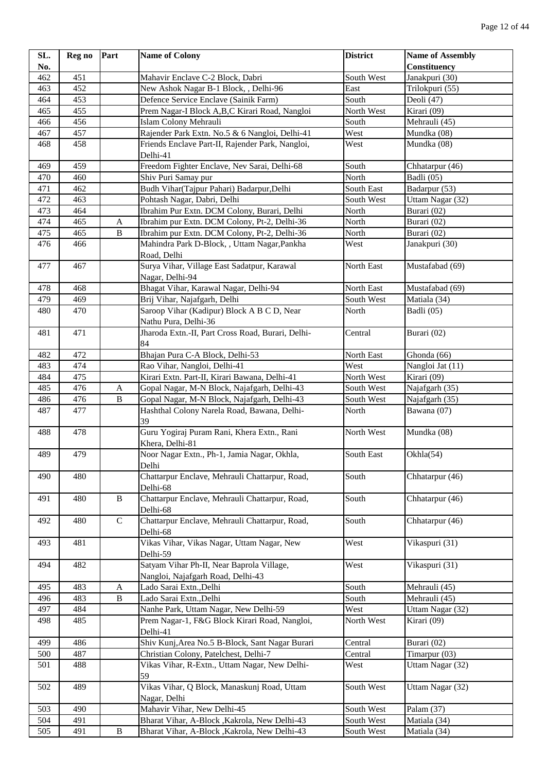| SL. | Reg no | Part         | <b>Name of Colony</b>                             | <b>District</b> | <b>Name of Assembly</b> |
|-----|--------|--------------|---------------------------------------------------|-----------------|-------------------------|
| No. |        |              |                                                   |                 | Constituency            |
| 462 | 451    |              | Mahavir Enclave C-2 Block, Dabri                  | South West      | Janakpuri (30)          |
| 463 | 452    |              | New Ashok Nagar B-1 Block, , Delhi-96             | East            | Trilokpuri (55)         |
| 464 | 453    |              | Defence Service Enclave (Sainik Farm)             | South           | Deoli (47)              |
| 465 | 455    |              | Prem Nagar-I Block A,B,C Kirari Road, Nangloi     | North West      | Kirari (09)             |
| 466 | 456    |              | Islam Colony Mehrauli                             | South           | Mehrauli (45)           |
| 467 | 457    |              | Rajender Park Extn. No.5 & 6 Nangloi, Delhi-41    | West            | Mundka (08)             |
| 468 | 458    |              | Friends Enclave Part-II, Rajender Park, Nangloi,  | West            | Mundka (08)             |
|     |        |              | Delhi-41                                          |                 |                         |
| 469 | 459    |              | Freedom Fighter Enclave, Nev Sarai, Delhi-68      | South           | Chhatarpur (46)         |
| 470 | 460    |              | Shiv Puri Samay pur                               | North           | Badli (05)              |
| 471 | 462    |              | Budh Vihar(Tajpur Pahari) Badarpur, Delhi         | South East      | Badarpur (53)           |
| 472 | 463    |              | Pohtash Nagar, Dabri, Delhi                       | South West      | Uttam Nagar (32)        |
| 473 | 464    |              | Ibrahim Pur Extn. DCM Colony, Burari, Delhi       | North           | Burari (02)             |
| 474 | 465    | A            | Ibrahim pur Extn. DCM Colony, Pt-2, Delhi-36      | North           | Burari (02)             |
| 475 | 465    | $\, {\bf B}$ | Ibrahim pur Extn. DCM Colony, Pt-2, Delhi-36      | North           | Burari (02)             |
| 476 | 466    |              | Mahindra Park D-Block, , Uttam Nagar, Pankha      | West            | Janakpuri (30)          |
|     |        |              | Road, Delhi                                       |                 |                         |
| 477 | 467    |              | Surya Vihar, Village East Sadatpur, Karawal       | North East      | Mustafabad (69)         |
|     |        |              | Nagar, Delhi-94                                   |                 |                         |
| 478 | 468    |              | Bhagat Vihar, Karawal Nagar, Delhi-94             | North East      | Mustafabad (69)         |
| 479 | 469    |              | Brij Vihar, Najafgarh, Delhi                      | South West      | Matiala (34)            |
| 480 | 470    |              | Saroop Vihar (Kadipur) Block A B C D, Near        | North           | Badli (05)              |
|     |        |              | Nathu Pura, Delhi-36                              |                 |                         |
| 481 | 471    |              | Jharoda Extn.-II, Part Cross Road, Burari, Delhi- | Central         | Burari (02)             |
|     |        |              | 84                                                |                 |                         |
| 482 | 472    |              | Bhajan Pura C-A Block, Delhi-53                   | North East      | Ghonda (66)             |
| 483 | 474    |              | Rao Vihar, Nangloi, Delhi-41                      | West            | Nangloi Jat (11)        |
| 484 | 475    |              | Kirari Extn. Part-II, Kirari Bawana, Delhi-41     | North West      | Kirari (09)             |
| 485 | 476    | A            | Gopal Nagar, M-N Block, Najafgarh, Delhi-43       | South West      | Najafgarh (35)          |
| 486 | 476    | $\, {\bf B}$ | Gopal Nagar, M-N Block, Najafgarh, Delhi-43       | South West      | Najafgarh (35)          |
| 487 | 477    |              | Hashthal Colony Narela Road, Bawana, Delhi-       | North           | Bawana (07)             |
|     |        |              | 39                                                |                 |                         |
| 488 | 478    |              | Guru Yogiraj Puram Rani, Khera Extn., Rani        | North West      | Mundka (08)             |
|     |        |              | Khera, Delhi-81                                   |                 |                         |
| 489 | 479    |              | Noor Nagar Extn., Ph-1, Jamia Nagar, Okhla,       | South East      | Okhla(54)               |
|     |        |              | Delhi                                             |                 |                         |
| 490 | 480    |              | Chattarpur Enclave, Mehrauli Chattarpur, Road,    | South           | Chhatarpur (46)         |
|     |        |              | Delhi-68                                          |                 |                         |
| 491 | 480    | $\, {\bf B}$ | Chattarpur Enclave, Mehrauli Chattarpur, Road,    | South           | Chhatarpur (46)         |
|     |        |              | Delhi-68                                          |                 |                         |
| 492 | 480    | $\mathbf C$  | Chattarpur Enclave, Mehrauli Chattarpur, Road,    | South           | Chhatarpur (46)         |
|     |        |              | Delhi-68                                          |                 |                         |
| 493 | 481    |              | Vikas Vihar, Vikas Nagar, Uttam Nagar, New        | West            | Vikaspuri (31)          |
|     |        |              | Delhi-59                                          |                 |                         |
| 494 | 482    |              | Satyam Vihar Ph-II, Near Baprola Village,         | West            | Vikaspuri (31)          |
|     |        |              | Nangloi, Najafgarh Road, Delhi-43                 |                 |                         |
| 495 | 483    | A            | Lado Sarai Extn., Delhi                           | South           | Mehrauli (45)           |
| 496 | 483    | $\, {\bf B}$ | Lado Sarai Extn., Delhi                           | South           | Mehrauli (45)           |
| 497 | 484    |              | Nanhe Park, Uttam Nagar, New Delhi-59             | West            | Uttam Nagar (32)        |
| 498 | 485    |              | Prem Nagar-1, F&G Block Kirari Road, Nangloi,     | North West      | Kirari (09)             |
|     |        |              | Delhi-41                                          |                 |                         |
| 499 | 486    |              | Shiv Kunj, Area No.5 B-Block, Sant Nagar Burari   | Central         | Burari (02)             |
| 500 | 487    |              | Christian Colony, Patelchest, Delhi-7             | Central         | Timarpur (03)           |
| 501 | 488    |              | Vikas Vihar, R-Extn., Uttam Nagar, New Delhi-     | West            | Uttam Nagar (32)        |
|     |        |              | 59                                                |                 |                         |
| 502 | 489    |              | Vikas Vihar, Q Block, Manaskunj Road, Uttam       | South West      | Uttam Nagar (32)        |
|     |        |              | Nagar, Delhi                                      |                 |                         |
| 503 | 490    |              | Mahavir Vihar, New Delhi-45                       | South West      | Palam (37)              |
| 504 | 491    |              | Bharat Vihar, A-Block , Kakrola, New Delhi-43     | South West      | Matiala (34)            |
| 505 | 491    | $\, {\bf B}$ | Bharat Vihar, A-Block , Kakrola, New Delhi-43     | South West      | Matiala (34)            |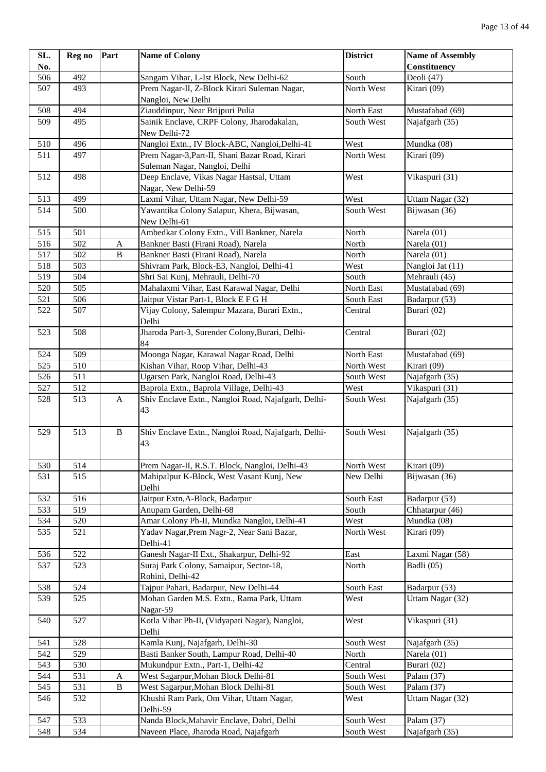| SL. | Reg no | Part         | <b>Name of Colony</b>                                                            | <b>District</b> | <b>Name of Assembly</b>              |
|-----|--------|--------------|----------------------------------------------------------------------------------|-----------------|--------------------------------------|
| No. |        |              |                                                                                  |                 | Constituency                         |
| 506 | 492    |              | Sangam Vihar, L-Ist Block, New Delhi-62                                          | South           | Deoli (47)                           |
| 507 | 493    |              | Prem Nagar-II, Z-Block Kirari Suleman Nagar,<br>Nangloi, New Delhi               | North West      | Kirari (09)                          |
| 508 | 494    |              | Ziauddinpur, Near Brijpuri Pulia                                                 | North East      | Mustafabad (69)                      |
| 509 | 495    |              | Sainik Enclave, CRPF Colony, Jharodakalan,                                       | South West      | Najafgarh (35)                       |
|     |        |              | New Delhi-72                                                                     |                 |                                      |
| 510 | 496    |              | Nangloi Extn., IV Block-ABC, Nangloi, Delhi-41                                   | West            | Mundka (08)                          |
| 511 | 497    |              | Prem Nagar-3, Part-II, Shani Bazar Road, Kirari<br>Suleman Nagar, Nangloi, Delhi | North West      | Kirari (09)                          |
| 512 | 498    |              | Deep Enclave, Vikas Nagar Hastsal, Uttam<br>Nagar, New Delhi-59                  | West            | Vikaspuri (31)                       |
| 513 | 499    |              | Laxmi Vihar, Uttam Nagar, New Delhi-59                                           | West            | Uttam Nagar (32)                     |
| 514 | 500    |              | Yawantika Colony Salapur, Khera, Bijwasan,<br>New Delhi-61                       | South West      | Bijwasan (36)                        |
| 515 | 501    |              | Ambedkar Colony Extn., Vill Bankner, Narela                                      | North           | Narela (01)                          |
| 516 | 502    | A            | Bankner Basti (Firani Road), Narela                                              | North           | Narela (01)                          |
| 517 | 502    | $\, {\bf B}$ | Bankner Basti (Firani Road), Narela                                              | North           | Narela (01)                          |
| 518 | 503    |              | Shivram Park, Block-E3, Nangloi, Delhi-41                                        | West            | Nangloi Jat (11)                     |
| 519 | 504    |              | Shri Sai Kunj, Mehrauli, Delhi-70                                                | South           | Mehrauli (45)                        |
| 520 | 505    |              | Mahalaxmi Vihar, East Karawal Nagar, Delhi                                       | North East      | Mustafabad (69)                      |
| 521 | 506    |              | Jaitpur Vistar Part-1, Block E F G H                                             | South East      | Badarpur (53)                        |
| 522 | 507    |              | Vijay Colony, Salempur Mazara, Burari Extn.,                                     | Central         | Burari (02)                          |
|     |        |              | Delhi                                                                            |                 |                                      |
| 523 | 508    |              | Jharoda Part-3, Surender Colony, Burari, Delhi-<br>84                            | Central         | Burari (02)                          |
| 524 | 509    |              | Moonga Nagar, Karawal Nagar Road, Delhi                                          | North East      | $\overline{\text{M}}$ ustafabad (69) |
| 525 | 510    |              | Kishan Vihar, Roop Vihar, Delhi-43                                               | North West      | Kirari (09)                          |
| 526 | 511    |              | Ugarsen Park, Nangloi Road, Delhi-43                                             | South West      | Najafgarh (35)                       |
| 527 | 512    |              | Baprola Extn., Baprola Village, Delhi-43                                         | West            | Vikaspuri (31)                       |
| 528 | 513    | A            | Shiv Enclave Extn., Nangloi Road, Najafgarh, Delhi-<br>43                        | South West      | Najafgarh (35)                       |
| 529 | 513    | $\, {\bf B}$ | Shiv Enclave Extn., Nangloi Road, Najafgarh, Delhi-<br>43                        | South West      | Najafgarh (35)                       |
| 530 | 514    |              | Prem Nagar-II, R.S.T. Block, Nangloi, Delhi-43                                   | North West      | Kirari (09)                          |
| 531 | 515    |              | Mahipalpur K-Block, West Vasant Kunj, New<br>Delhi                               | New Delhi       | Bijwasan (36)                        |
| 532 | 516    |              | Jaitpur Extn, A-Block, Badarpur                                                  | South East      | Badarpur (53)                        |
| 533 | 519    |              | Anupam Garden, Delhi-68                                                          | South           | Chhatarpur (46)                      |
| 534 | 520    |              | Amar Colony Ph-II, Mundka Nangloi, Delhi-41                                      | West            | Mundka (08)                          |
| 535 | 521    |              | Yadav Nagar, Prem Nagr-2, Near Sani Bazar,<br>Delhi-41                           | North West      | Kirari (09)                          |
|     |        |              |                                                                                  |                 |                                      |
| 536 | 522    |              | Ganesh Nagar-II Ext., Shakarpur, Delhi-92                                        | East            | Laxmi Nagar (58)                     |
| 537 | 523    |              | Suraj Park Colony, Samaipur, Sector-18,                                          | North           | Badli (05)                           |
|     |        |              | Rohini, Delhi-42                                                                 |                 |                                      |
| 538 | 524    |              | Tajpur Pahari, Badarpur, New Delhi-44                                            | South East      | Badarpur (53)                        |
| 539 | 525    |              | Mohan Garden M.S. Extn., Rama Park, Uttam<br>Nagar-59                            | West            | Uttam Nagar (32)                     |
| 540 | 527    |              | Kotla Vihar Ph-II, (Vidyapati Nagar), Nangloi,<br>Delhi                          | West            | Vikaspuri (31)                       |
| 541 | 528    |              | Kamla Kunj, Najafgarh, Delhi-30                                                  | South West      | Najafgarh (35)                       |
| 542 | 529    |              | Basti Banker South, Lampur Road, Delhi-40                                        | North           | Narela (01)                          |
| 543 | 530    |              | Mukundpur Extn., Part-1, Delhi-42                                                | Central         | Burari (02)                          |
| 544 | 531    | A            | West Sagarpur, Mohan Block Delhi-81                                              | South West      | Palam (37)                           |
| 545 | 531    | $\, {\bf B}$ | West Sagarpur, Mohan Block Delhi-81                                              | South West      | Palam (37)                           |
| 546 | 532    |              | Khushi Ram Park, Om Vihar, Uttam Nagar,<br>Delhi-59                              | West            | Uttam Nagar (32)                     |
| 547 | 533    |              | Nanda Block, Mahavir Enclave, Dabri, Delhi                                       | South West      | Palam (37)                           |
| 548 | 534    |              | Naveen Place, Jharoda Road, Najafgarh                                            | South West      | Najafgarh (35)                       |
|     |        |              |                                                                                  |                 |                                      |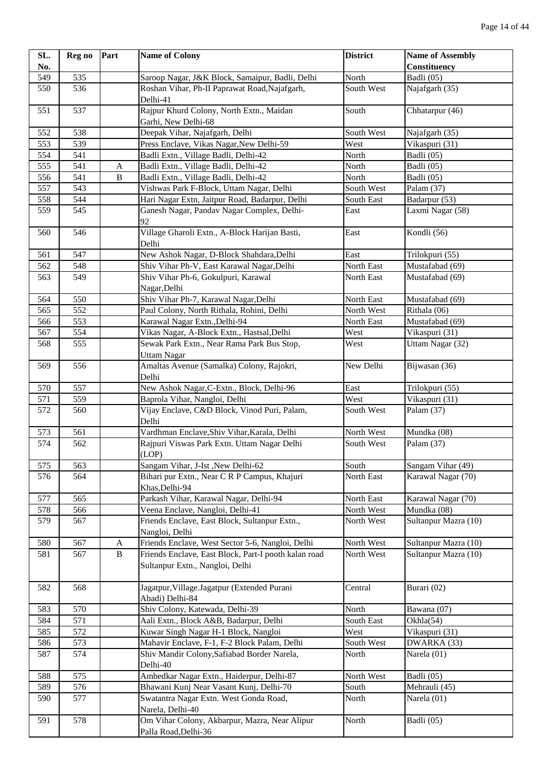| SL. | Reg no | Part           | <b>Name of Colony</b>                                                                   | <b>District</b> | <b>Name of Assembly</b> |
|-----|--------|----------------|-----------------------------------------------------------------------------------------|-----------------|-------------------------|
| No. |        |                |                                                                                         |                 | Constituency            |
| 549 | 535    |                | Saroop Nagar, J&K Block, Samaipur, Badli, Delhi                                         | North           | Badli $(05)$            |
| 550 | 536    |                | Roshan Vihar, Ph-II Paprawat Road, Najafgarh,<br>Delhi-41                               | South West      | Najafgarh (35)          |
| 551 | 537    |                | Rajpur Khurd Colony, North Extn., Maidan<br>Garhi, New Delhi-68                         | South           | Chhatarpur (46)         |
| 552 | 538    |                | Deepak Vihar, Najafgarh, Delhi                                                          | South West      | Najafgarh (35)          |
| 553 | 539    |                | Press Enclave, Vikas Nagar, New Delhi-59                                                | West            | Vikaspuri (31)          |
| 554 | 541    |                | Badli Extn., Village Badli, Delhi-42                                                    | North           | Badli (05)              |
| 555 | 541    | A              | Badli Extn., Village Badli, Delhi-42                                                    | North           | Badli (05)              |
| 556 | 541    | $\overline{B}$ | Badli Extn., Village Badli, Delhi-42                                                    | North           | Badli (05)              |
| 557 | 543    |                | Vishwas Park F-Block, Uttam Nagar, Delhi                                                | South West      | Palam (37)              |
| 558 | 544    |                | Hari Nagar Extn, Jaitpur Road, Badarpur, Delhi                                          | South East      | Badarpur (53)           |
| 559 | 545    |                | Ganesh Nagar, Pandav Nagar Complex, Delhi-<br>92                                        | East            | Laxmi Nagar (58)        |
| 560 | 546    |                | Village Gharoli Extn., A-Block Harijan Basti,<br>Delhi                                  | East            | Kondli (56)             |
| 561 | 547    |                | New Ashok Nagar, D-Block Shahdara, Delhi                                                | East            | Trilokpuri (55)         |
| 562 | 548    |                | Shiv Vihar Ph-V, East Karawal Nagar, Delhi                                              | North East      | Mustafabad (69)         |
| 563 | 549    |                | Shiv Vihar Ph-6, Gokulpuri, Karawal<br>Nagar, Delhi                                     | North East      | Mustafabad (69)         |
| 564 | 550    |                | Shiv Vihar Ph-7, Karawal Nagar, Delhi                                                   | North East      | Mustafabad (69)         |
| 565 | 552    |                | Paul Colony, North Rithala, Rohini, Delhi                                               | North West      | Rithala (06)            |
| 566 | 553    |                | Karawal Nagar Extn., Delhi-94                                                           | North East      | Mustafabad (69)         |
| 567 | 554    |                | Vikas Nagar, A-Block Extn., Hastsal, Delhi                                              | West            | Vikaspuri (31)          |
| 568 | 555    |                | Sewak Park Extn., Near Rama Park Bus Stop,<br><b>Uttam Nagar</b>                        | West            | Uttam Nagar (32)        |
| 569 | 556    |                | Amaltas Avenue (Samalka) Colony, Rajokri,<br>Delhi                                      | New Delhi       | Bijwasan (36)           |
| 570 | 557    |                | New Ashok Nagar, C-Extn., Block, Delhi-96                                               | East            | Trilokpuri (55)         |
| 571 | 559    |                | Baprola Vihar, Nangloi, Delhi                                                           | West            | Vikaspuri (31)          |
| 572 | 560    |                | Vijay Enclave, C&D Block, Vinod Puri, Palam,<br>Delhi                                   | South West      | Palam $(37)$            |
| 573 | 561    |                | Vardhman Enclave, Shiv Vihar, Karala, Delhi                                             | North West      | Mundka (08)             |
| 574 | 562    |                | Rajpuri Viswas Park Extn. Uttam Nagar Delhi<br>(LOP)                                    | South West      | Palam (37)              |
| 575 | 563    |                | Sangam Vihar, J-Ist, New Delhi-62                                                       | South           | Sangam Vihar (49)       |
| 576 | 564    |                | Bihari pur Extn., Near C R P Campus, Khajuri<br>Khas, Delhi-94                          | North East      | Karawal Nagar (70)      |
| 577 | 565    |                | Parkash Vihar, Karawal Nagar, Delhi-94                                                  | North East      | Karawal Nagar (70)      |
| 578 | 566    |                | Veena Enclave, Nangloi, Delhi-41                                                        | North West      | Mundka (08)             |
| 579 | 567    |                | Friends Enclave, East Block, Sultanpur Extn.,<br>Nangloi, Delhi                         | North West      | Sultanpur Mazra (10)    |
| 580 | 567    | A              | Friends Enclave, West Sector 5-6, Nangloi, Delhi                                        | North West      | Sultanpur Mazra (10)    |
| 581 | 567    | $\, {\bf B}$   | Friends Enclave, East Block, Part-I pooth kalan road<br>Sultanpur Extn., Nangloi, Delhi | North West      | Sultanpur Mazra (10)    |
| 582 | 568    |                | Jagatpur, Village. Jagatpur (Extended Purani<br>Abadi) Delhi-84                         | Central         | Burari (02)             |
| 583 | 570    |                | Shiv Colony, Katewada, Delhi-39                                                         | North           | Bawana (07)             |
| 584 | 571    |                | Aali Extn., Block A&B, Badarpur, Delhi                                                  | South East      | Okhla(54)               |
| 585 | 572    |                | Kuwar Singh Nagar H-1 Block, Nangloi                                                    | West            | Vikaspuri (31)          |
| 586 | 573    |                | Mahavir Enclave, F-1, F-2 Block Palam, Delhi                                            | South West      | DWARKA (33)             |
| 587 | 574    |                | Shiv Mandir Colony, Safiabad Border Narela,<br>Delhi-40                                 | North           | Narela (01)             |
| 588 | 575    |                | Ambedkar Nagar Extn., Haiderpur, Delhi-87                                               | North West      | Badli (05)              |
| 589 | 576    |                | Bhawani Kunj Near Vasant Kunj, Delhi-70                                                 | South           | Mehrauli (45)           |
| 590 | 577    |                | Swatantra Nagar Extn. West Gonda Road,<br>Narela, Delhi-40                              | North           | Narela $(01)$           |
| 591 | 578    |                | Om Vihar Colony, Akbarpur, Mazra, Near Alipur<br>Palla Road, Delhi-36                   | North           | Badli (05)              |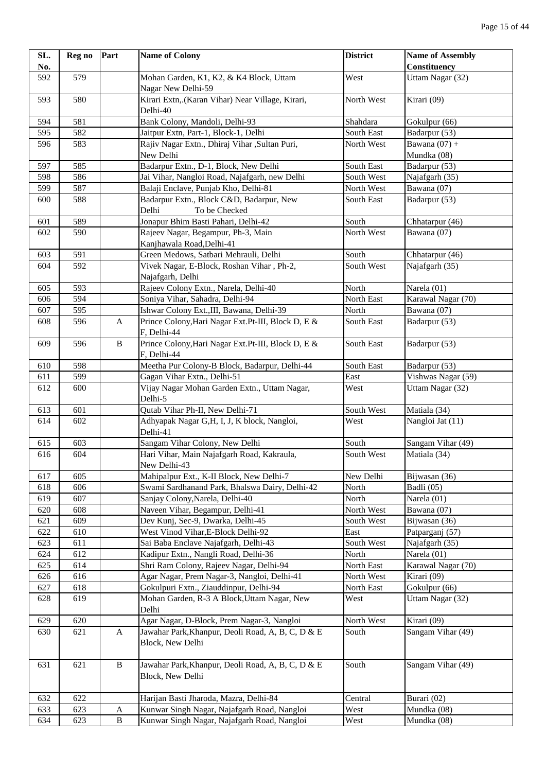| No.<br>592<br>579<br>Mohan Garden, K1, K2, & K4 Block, Uttam<br>West<br>Uttam Nagar (32)<br>Nagar New Delhi-59<br>Kirari Extn, (Karan Vihar) Near Village, Kirari,<br>Kirari (09)<br>580<br>North West<br>593<br>Delhi-40<br>Bank Colony, Mandoli, Delhi-93<br>581<br>Shahdara<br>Gokulpur (66)<br>594<br>582<br>Jaitpur Extn, Part-1, Block-1, Delhi<br>595<br>South East<br>Badarpur (53)<br>Rajiv Nagar Extn., Dhiraj Vihar , Sultan Puri,<br>North West<br>Bawana $(07) +$<br>596<br>583<br>New Delhi<br>Mundka (08)<br>Badarpur Extn., D-1, Block, New Delhi<br>585<br>South East<br>Badarpur (53)<br>597<br>586<br>598<br>Jai Vihar, Nangloi Road, Najafgarh, new Delhi<br>South West<br>Najafgarh (35)<br>599<br>587<br>Balaji Enclave, Punjab Kho, Delhi-81<br>North West<br>Bawana (07)<br>588<br>Badarpur Extn., Block C&D, Badarpur, New<br>Badarpur (53)<br>600<br>South East<br>Delhi<br>To be Checked<br>589<br>Jonapur Bhim Basti Pahari, Delhi-42<br>601<br>South<br>Chhatarpur (46)<br>590<br>North West<br>Bawana (07)<br>Rajeev Nagar, Begampur, Ph-3, Main<br>602<br>Kanjhawala Road, Delhi-41<br>591<br>Green Medows, Satbari Mehrauli, Delhi<br>South<br>Chhatarpur (46)<br>603<br>592<br>Vivek Nagar, E-Block, Roshan Vihar, Ph-2,<br>South West<br>Najafgarh (35)<br>604<br>Najafgarh, Delhi<br>593<br>Rajeev Colony Extn., Narela, Delhi-40<br>North<br>Narela (01)<br>605<br>594<br>Karawal Nagar (70)<br>Soniya Vihar, Sahadra, Delhi-94<br>North East<br>606<br>595<br>Ishwar Colony Ext., III, Bawana, Delhi-39<br>North<br>Bawana (07)<br>607<br>Prince Colony, Hari Nagar Ext.Pt-III, Block D, E &<br>596<br>South East<br>Badarpur (53)<br>608<br>A<br>F, Delhi-44<br>Prince Colony, Hari Nagar Ext. Pt-III, Block D, E &<br>$\, {\bf B}$<br>Badarpur (53)<br>609<br>596<br>South East<br>F, Delhi-44<br>598<br>Meetha Pur Colony-B Block, Badarpur, Delhi-44<br>Badarpur (53)<br>610<br>South East<br>599<br>Vishwas Nagar (59)<br>611<br>Gagan Vihar Extn., Delhi-51<br>East<br>Vijay Nagar Mohan Garden Extn., Uttam Nagar,<br>612<br>600<br>West<br>Uttam Nagar (32)<br>Delhi-5<br>601<br>Qutab Vihar Ph-II, New Delhi-71<br>South West<br>Matiala (34)<br>613<br>Adhyapak Nagar G,H, I, J, K block, Nangloi,<br>Nangloi Jat (11)<br>614<br>602<br>West<br>Delhi-41<br>603<br>Sangam Vihar Colony, New Delhi<br>South<br>Sangam Vihar (49)<br>615<br>Hari Vihar, Main Najafgarh Road, Kakraula,<br>South West<br>616<br>604<br>Matiala (34)<br>New Delhi-43<br>New Delhi<br>617<br>Bijwasan (36)<br>605<br>Mahipalpur Ext., K-II Block, New Delhi-7<br>Swami Sardhanand Park, Bhalswa Dairy, Delhi-42<br>618<br>606<br>North<br>Badli (05)<br>Sanjay Colony, Narela, Delhi-40<br>North<br>Narela (01)<br>619<br>607<br>Naveen Vihar, Begampur, Delhi-41<br>North West<br>620<br>608<br>Bawana (07)<br>Dev Kunj, Sec-9, Dwarka, Delhi-45<br>621<br>609<br>South West<br>Bijwasan (36)<br>610<br>West Vinod Vihar, E-Block Delhi-92<br>East<br>622<br>Patparganj (57)<br>623<br>611<br>Sai Baba Enclave Najafgarh, Delhi-43<br>South West<br>Najafgarh (35)<br>612<br>Kadipur Extn., Nangli Road, Delhi-36<br>North<br>Narela (01)<br>624<br>614<br>Shri Ram Colony, Rajeev Nagar, Delhi-94<br>Karawal Nagar (70)<br>625<br>North East<br>616<br>Agar Nagar, Prem Nagar-3, Nangloi, Delhi-41<br>North West<br>Kirari (09)<br>626<br>Gokulpuri Extn., Ziauddinpur, Delhi-94<br>618<br>North East<br>Gokulpur (66)<br>627<br>619<br>Mohan Garden, R-3 A Block, Uttam Nagar, New<br>West<br>Uttam Nagar (32)<br>628<br>Delhi<br>620<br>Agar Nagar, D-Block, Prem Nagar-3, Nangloi<br>North West<br>Kirari (09)<br>629<br>Jawahar Park, Khanpur, Deoli Road, A, B, C, D & E<br>South<br>Sangam Vihar (49)<br>630<br>621<br>A<br>Block, New Delhi<br>South<br>621<br>$\bf{B}$<br>Jawahar Park, Khanpur, Deoli Road, A, B, C, D & E<br>Sangam Vihar (49)<br>631<br>Block, New Delhi<br>622<br>632<br>Harijan Basti Jharoda, Mazra, Delhi-84<br>Central<br>Burari (02)<br>623<br>Kunwar Singh Nagar, Najafgarh Road, Nangloi<br>West<br>633<br>$\mathbf A$<br>Mundka (08)<br>$\, {\bf B}$<br>Kunwar Singh Nagar, Najafgarh Road, Nangloi<br>West<br>634<br>623<br>Mundka (08) | SL. | Reg no | Part | <b>Name of Colony</b> | <b>District</b> | <b>Name of Assembly</b> |
|----------------------------------------------------------------------------------------------------------------------------------------------------------------------------------------------------------------------------------------------------------------------------------------------------------------------------------------------------------------------------------------------------------------------------------------------------------------------------------------------------------------------------------------------------------------------------------------------------------------------------------------------------------------------------------------------------------------------------------------------------------------------------------------------------------------------------------------------------------------------------------------------------------------------------------------------------------------------------------------------------------------------------------------------------------------------------------------------------------------------------------------------------------------------------------------------------------------------------------------------------------------------------------------------------------------------------------------------------------------------------------------------------------------------------------------------------------------------------------------------------------------------------------------------------------------------------------------------------------------------------------------------------------------------------------------------------------------------------------------------------------------------------------------------------------------------------------------------------------------------------------------------------------------------------------------------------------------------------------------------------------------------------------------------------------------------------------------------------------------------------------------------------------------------------------------------------------------------------------------------------------------------------------------------------------------------------------------------------------------------------------------------------------------------------------------------------------------------------------------------------------------------------------------------------------------------------------------------------------------------------------------------------------------------------------------------------------------------------------------------------------------------------------------------------------------------------------------------------------------------------------------------------------------------------------------------------------------------------------------------------------------------------------------------------------------------------------------------------------------------------------------------------------------------------------------------------------------------------------------------------------------------------------------------------------------------------------------------------------------------------------------------------------------------------------------------------------------------------------------------------------------------------------------------------------------------------------------------------------------------------------------------------------------------------------------------------------------------------------------------------------------------------------------------------------------------------------------------------------------------------------------------------------------------------------------------------------------------------------------------------------------------------------------------------------------------------------------------------------------------------------------------------------------------------------------------------------|-----|--------|------|-----------------------|-----------------|-------------------------|
|                                                                                                                                                                                                                                                                                                                                                                                                                                                                                                                                                                                                                                                                                                                                                                                                                                                                                                                                                                                                                                                                                                                                                                                                                                                                                                                                                                                                                                                                                                                                                                                                                                                                                                                                                                                                                                                                                                                                                                                                                                                                                                                                                                                                                                                                                                                                                                                                                                                                                                                                                                                                                                                                                                                                                                                                                                                                                                                                                                                                                                                                                                                                                                                                                                                                                                                                                                                                                                                                                                                                                                                                                                                                                                                                                                                                                                                                                                                                                                                                                                                                                                                                                                                                          |     |        |      |                       |                 | <b>Constituency</b>     |
|                                                                                                                                                                                                                                                                                                                                                                                                                                                                                                                                                                                                                                                                                                                                                                                                                                                                                                                                                                                                                                                                                                                                                                                                                                                                                                                                                                                                                                                                                                                                                                                                                                                                                                                                                                                                                                                                                                                                                                                                                                                                                                                                                                                                                                                                                                                                                                                                                                                                                                                                                                                                                                                                                                                                                                                                                                                                                                                                                                                                                                                                                                                                                                                                                                                                                                                                                                                                                                                                                                                                                                                                                                                                                                                                                                                                                                                                                                                                                                                                                                                                                                                                                                                                          |     |        |      |                       |                 |                         |
|                                                                                                                                                                                                                                                                                                                                                                                                                                                                                                                                                                                                                                                                                                                                                                                                                                                                                                                                                                                                                                                                                                                                                                                                                                                                                                                                                                                                                                                                                                                                                                                                                                                                                                                                                                                                                                                                                                                                                                                                                                                                                                                                                                                                                                                                                                                                                                                                                                                                                                                                                                                                                                                                                                                                                                                                                                                                                                                                                                                                                                                                                                                                                                                                                                                                                                                                                                                                                                                                                                                                                                                                                                                                                                                                                                                                                                                                                                                                                                                                                                                                                                                                                                                                          |     |        |      |                       |                 |                         |
|                                                                                                                                                                                                                                                                                                                                                                                                                                                                                                                                                                                                                                                                                                                                                                                                                                                                                                                                                                                                                                                                                                                                                                                                                                                                                                                                                                                                                                                                                                                                                                                                                                                                                                                                                                                                                                                                                                                                                                                                                                                                                                                                                                                                                                                                                                                                                                                                                                                                                                                                                                                                                                                                                                                                                                                                                                                                                                                                                                                                                                                                                                                                                                                                                                                                                                                                                                                                                                                                                                                                                                                                                                                                                                                                                                                                                                                                                                                                                                                                                                                                                                                                                                                                          |     |        |      |                       |                 |                         |
|                                                                                                                                                                                                                                                                                                                                                                                                                                                                                                                                                                                                                                                                                                                                                                                                                                                                                                                                                                                                                                                                                                                                                                                                                                                                                                                                                                                                                                                                                                                                                                                                                                                                                                                                                                                                                                                                                                                                                                                                                                                                                                                                                                                                                                                                                                                                                                                                                                                                                                                                                                                                                                                                                                                                                                                                                                                                                                                                                                                                                                                                                                                                                                                                                                                                                                                                                                                                                                                                                                                                                                                                                                                                                                                                                                                                                                                                                                                                                                                                                                                                                                                                                                                                          |     |        |      |                       |                 |                         |
|                                                                                                                                                                                                                                                                                                                                                                                                                                                                                                                                                                                                                                                                                                                                                                                                                                                                                                                                                                                                                                                                                                                                                                                                                                                                                                                                                                                                                                                                                                                                                                                                                                                                                                                                                                                                                                                                                                                                                                                                                                                                                                                                                                                                                                                                                                                                                                                                                                                                                                                                                                                                                                                                                                                                                                                                                                                                                                                                                                                                                                                                                                                                                                                                                                                                                                                                                                                                                                                                                                                                                                                                                                                                                                                                                                                                                                                                                                                                                                                                                                                                                                                                                                                                          |     |        |      |                       |                 |                         |
|                                                                                                                                                                                                                                                                                                                                                                                                                                                                                                                                                                                                                                                                                                                                                                                                                                                                                                                                                                                                                                                                                                                                                                                                                                                                                                                                                                                                                                                                                                                                                                                                                                                                                                                                                                                                                                                                                                                                                                                                                                                                                                                                                                                                                                                                                                                                                                                                                                                                                                                                                                                                                                                                                                                                                                                                                                                                                                                                                                                                                                                                                                                                                                                                                                                                                                                                                                                                                                                                                                                                                                                                                                                                                                                                                                                                                                                                                                                                                                                                                                                                                                                                                                                                          |     |        |      |                       |                 |                         |
|                                                                                                                                                                                                                                                                                                                                                                                                                                                                                                                                                                                                                                                                                                                                                                                                                                                                                                                                                                                                                                                                                                                                                                                                                                                                                                                                                                                                                                                                                                                                                                                                                                                                                                                                                                                                                                                                                                                                                                                                                                                                                                                                                                                                                                                                                                                                                                                                                                                                                                                                                                                                                                                                                                                                                                                                                                                                                                                                                                                                                                                                                                                                                                                                                                                                                                                                                                                                                                                                                                                                                                                                                                                                                                                                                                                                                                                                                                                                                                                                                                                                                                                                                                                                          |     |        |      |                       |                 |                         |
|                                                                                                                                                                                                                                                                                                                                                                                                                                                                                                                                                                                                                                                                                                                                                                                                                                                                                                                                                                                                                                                                                                                                                                                                                                                                                                                                                                                                                                                                                                                                                                                                                                                                                                                                                                                                                                                                                                                                                                                                                                                                                                                                                                                                                                                                                                                                                                                                                                                                                                                                                                                                                                                                                                                                                                                                                                                                                                                                                                                                                                                                                                                                                                                                                                                                                                                                                                                                                                                                                                                                                                                                                                                                                                                                                                                                                                                                                                                                                                                                                                                                                                                                                                                                          |     |        |      |                       |                 |                         |
|                                                                                                                                                                                                                                                                                                                                                                                                                                                                                                                                                                                                                                                                                                                                                                                                                                                                                                                                                                                                                                                                                                                                                                                                                                                                                                                                                                                                                                                                                                                                                                                                                                                                                                                                                                                                                                                                                                                                                                                                                                                                                                                                                                                                                                                                                                                                                                                                                                                                                                                                                                                                                                                                                                                                                                                                                                                                                                                                                                                                                                                                                                                                                                                                                                                                                                                                                                                                                                                                                                                                                                                                                                                                                                                                                                                                                                                                                                                                                                                                                                                                                                                                                                                                          |     |        |      |                       |                 |                         |
|                                                                                                                                                                                                                                                                                                                                                                                                                                                                                                                                                                                                                                                                                                                                                                                                                                                                                                                                                                                                                                                                                                                                                                                                                                                                                                                                                                                                                                                                                                                                                                                                                                                                                                                                                                                                                                                                                                                                                                                                                                                                                                                                                                                                                                                                                                                                                                                                                                                                                                                                                                                                                                                                                                                                                                                                                                                                                                                                                                                                                                                                                                                                                                                                                                                                                                                                                                                                                                                                                                                                                                                                                                                                                                                                                                                                                                                                                                                                                                                                                                                                                                                                                                                                          |     |        |      |                       |                 |                         |
|                                                                                                                                                                                                                                                                                                                                                                                                                                                                                                                                                                                                                                                                                                                                                                                                                                                                                                                                                                                                                                                                                                                                                                                                                                                                                                                                                                                                                                                                                                                                                                                                                                                                                                                                                                                                                                                                                                                                                                                                                                                                                                                                                                                                                                                                                                                                                                                                                                                                                                                                                                                                                                                                                                                                                                                                                                                                                                                                                                                                                                                                                                                                                                                                                                                                                                                                                                                                                                                                                                                                                                                                                                                                                                                                                                                                                                                                                                                                                                                                                                                                                                                                                                                                          |     |        |      |                       |                 |                         |
|                                                                                                                                                                                                                                                                                                                                                                                                                                                                                                                                                                                                                                                                                                                                                                                                                                                                                                                                                                                                                                                                                                                                                                                                                                                                                                                                                                                                                                                                                                                                                                                                                                                                                                                                                                                                                                                                                                                                                                                                                                                                                                                                                                                                                                                                                                                                                                                                                                                                                                                                                                                                                                                                                                                                                                                                                                                                                                                                                                                                                                                                                                                                                                                                                                                                                                                                                                                                                                                                                                                                                                                                                                                                                                                                                                                                                                                                                                                                                                                                                                                                                                                                                                                                          |     |        |      |                       |                 |                         |
|                                                                                                                                                                                                                                                                                                                                                                                                                                                                                                                                                                                                                                                                                                                                                                                                                                                                                                                                                                                                                                                                                                                                                                                                                                                                                                                                                                                                                                                                                                                                                                                                                                                                                                                                                                                                                                                                                                                                                                                                                                                                                                                                                                                                                                                                                                                                                                                                                                                                                                                                                                                                                                                                                                                                                                                                                                                                                                                                                                                                                                                                                                                                                                                                                                                                                                                                                                                                                                                                                                                                                                                                                                                                                                                                                                                                                                                                                                                                                                                                                                                                                                                                                                                                          |     |        |      |                       |                 |                         |
|                                                                                                                                                                                                                                                                                                                                                                                                                                                                                                                                                                                                                                                                                                                                                                                                                                                                                                                                                                                                                                                                                                                                                                                                                                                                                                                                                                                                                                                                                                                                                                                                                                                                                                                                                                                                                                                                                                                                                                                                                                                                                                                                                                                                                                                                                                                                                                                                                                                                                                                                                                                                                                                                                                                                                                                                                                                                                                                                                                                                                                                                                                                                                                                                                                                                                                                                                                                                                                                                                                                                                                                                                                                                                                                                                                                                                                                                                                                                                                                                                                                                                                                                                                                                          |     |        |      |                       |                 |                         |
|                                                                                                                                                                                                                                                                                                                                                                                                                                                                                                                                                                                                                                                                                                                                                                                                                                                                                                                                                                                                                                                                                                                                                                                                                                                                                                                                                                                                                                                                                                                                                                                                                                                                                                                                                                                                                                                                                                                                                                                                                                                                                                                                                                                                                                                                                                                                                                                                                                                                                                                                                                                                                                                                                                                                                                                                                                                                                                                                                                                                                                                                                                                                                                                                                                                                                                                                                                                                                                                                                                                                                                                                                                                                                                                                                                                                                                                                                                                                                                                                                                                                                                                                                                                                          |     |        |      |                       |                 |                         |
|                                                                                                                                                                                                                                                                                                                                                                                                                                                                                                                                                                                                                                                                                                                                                                                                                                                                                                                                                                                                                                                                                                                                                                                                                                                                                                                                                                                                                                                                                                                                                                                                                                                                                                                                                                                                                                                                                                                                                                                                                                                                                                                                                                                                                                                                                                                                                                                                                                                                                                                                                                                                                                                                                                                                                                                                                                                                                                                                                                                                                                                                                                                                                                                                                                                                                                                                                                                                                                                                                                                                                                                                                                                                                                                                                                                                                                                                                                                                                                                                                                                                                                                                                                                                          |     |        |      |                       |                 |                         |
|                                                                                                                                                                                                                                                                                                                                                                                                                                                                                                                                                                                                                                                                                                                                                                                                                                                                                                                                                                                                                                                                                                                                                                                                                                                                                                                                                                                                                                                                                                                                                                                                                                                                                                                                                                                                                                                                                                                                                                                                                                                                                                                                                                                                                                                                                                                                                                                                                                                                                                                                                                                                                                                                                                                                                                                                                                                                                                                                                                                                                                                                                                                                                                                                                                                                                                                                                                                                                                                                                                                                                                                                                                                                                                                                                                                                                                                                                                                                                                                                                                                                                                                                                                                                          |     |        |      |                       |                 |                         |
|                                                                                                                                                                                                                                                                                                                                                                                                                                                                                                                                                                                                                                                                                                                                                                                                                                                                                                                                                                                                                                                                                                                                                                                                                                                                                                                                                                                                                                                                                                                                                                                                                                                                                                                                                                                                                                                                                                                                                                                                                                                                                                                                                                                                                                                                                                                                                                                                                                                                                                                                                                                                                                                                                                                                                                                                                                                                                                                                                                                                                                                                                                                                                                                                                                                                                                                                                                                                                                                                                                                                                                                                                                                                                                                                                                                                                                                                                                                                                                                                                                                                                                                                                                                                          |     |        |      |                       |                 |                         |
|                                                                                                                                                                                                                                                                                                                                                                                                                                                                                                                                                                                                                                                                                                                                                                                                                                                                                                                                                                                                                                                                                                                                                                                                                                                                                                                                                                                                                                                                                                                                                                                                                                                                                                                                                                                                                                                                                                                                                                                                                                                                                                                                                                                                                                                                                                                                                                                                                                                                                                                                                                                                                                                                                                                                                                                                                                                                                                                                                                                                                                                                                                                                                                                                                                                                                                                                                                                                                                                                                                                                                                                                                                                                                                                                                                                                                                                                                                                                                                                                                                                                                                                                                                                                          |     |        |      |                       |                 |                         |
|                                                                                                                                                                                                                                                                                                                                                                                                                                                                                                                                                                                                                                                                                                                                                                                                                                                                                                                                                                                                                                                                                                                                                                                                                                                                                                                                                                                                                                                                                                                                                                                                                                                                                                                                                                                                                                                                                                                                                                                                                                                                                                                                                                                                                                                                                                                                                                                                                                                                                                                                                                                                                                                                                                                                                                                                                                                                                                                                                                                                                                                                                                                                                                                                                                                                                                                                                                                                                                                                                                                                                                                                                                                                                                                                                                                                                                                                                                                                                                                                                                                                                                                                                                                                          |     |        |      |                       |                 |                         |
|                                                                                                                                                                                                                                                                                                                                                                                                                                                                                                                                                                                                                                                                                                                                                                                                                                                                                                                                                                                                                                                                                                                                                                                                                                                                                                                                                                                                                                                                                                                                                                                                                                                                                                                                                                                                                                                                                                                                                                                                                                                                                                                                                                                                                                                                                                                                                                                                                                                                                                                                                                                                                                                                                                                                                                                                                                                                                                                                                                                                                                                                                                                                                                                                                                                                                                                                                                                                                                                                                                                                                                                                                                                                                                                                                                                                                                                                                                                                                                                                                                                                                                                                                                                                          |     |        |      |                       |                 |                         |
|                                                                                                                                                                                                                                                                                                                                                                                                                                                                                                                                                                                                                                                                                                                                                                                                                                                                                                                                                                                                                                                                                                                                                                                                                                                                                                                                                                                                                                                                                                                                                                                                                                                                                                                                                                                                                                                                                                                                                                                                                                                                                                                                                                                                                                                                                                                                                                                                                                                                                                                                                                                                                                                                                                                                                                                                                                                                                                                                                                                                                                                                                                                                                                                                                                                                                                                                                                                                                                                                                                                                                                                                                                                                                                                                                                                                                                                                                                                                                                                                                                                                                                                                                                                                          |     |        |      |                       |                 |                         |
|                                                                                                                                                                                                                                                                                                                                                                                                                                                                                                                                                                                                                                                                                                                                                                                                                                                                                                                                                                                                                                                                                                                                                                                                                                                                                                                                                                                                                                                                                                                                                                                                                                                                                                                                                                                                                                                                                                                                                                                                                                                                                                                                                                                                                                                                                                                                                                                                                                                                                                                                                                                                                                                                                                                                                                                                                                                                                                                                                                                                                                                                                                                                                                                                                                                                                                                                                                                                                                                                                                                                                                                                                                                                                                                                                                                                                                                                                                                                                                                                                                                                                                                                                                                                          |     |        |      |                       |                 |                         |
|                                                                                                                                                                                                                                                                                                                                                                                                                                                                                                                                                                                                                                                                                                                                                                                                                                                                                                                                                                                                                                                                                                                                                                                                                                                                                                                                                                                                                                                                                                                                                                                                                                                                                                                                                                                                                                                                                                                                                                                                                                                                                                                                                                                                                                                                                                                                                                                                                                                                                                                                                                                                                                                                                                                                                                                                                                                                                                                                                                                                                                                                                                                                                                                                                                                                                                                                                                                                                                                                                                                                                                                                                                                                                                                                                                                                                                                                                                                                                                                                                                                                                                                                                                                                          |     |        |      |                       |                 |                         |
|                                                                                                                                                                                                                                                                                                                                                                                                                                                                                                                                                                                                                                                                                                                                                                                                                                                                                                                                                                                                                                                                                                                                                                                                                                                                                                                                                                                                                                                                                                                                                                                                                                                                                                                                                                                                                                                                                                                                                                                                                                                                                                                                                                                                                                                                                                                                                                                                                                                                                                                                                                                                                                                                                                                                                                                                                                                                                                                                                                                                                                                                                                                                                                                                                                                                                                                                                                                                                                                                                                                                                                                                                                                                                                                                                                                                                                                                                                                                                                                                                                                                                                                                                                                                          |     |        |      |                       |                 |                         |
|                                                                                                                                                                                                                                                                                                                                                                                                                                                                                                                                                                                                                                                                                                                                                                                                                                                                                                                                                                                                                                                                                                                                                                                                                                                                                                                                                                                                                                                                                                                                                                                                                                                                                                                                                                                                                                                                                                                                                                                                                                                                                                                                                                                                                                                                                                                                                                                                                                                                                                                                                                                                                                                                                                                                                                                                                                                                                                                                                                                                                                                                                                                                                                                                                                                                                                                                                                                                                                                                                                                                                                                                                                                                                                                                                                                                                                                                                                                                                                                                                                                                                                                                                                                                          |     |        |      |                       |                 |                         |
|                                                                                                                                                                                                                                                                                                                                                                                                                                                                                                                                                                                                                                                                                                                                                                                                                                                                                                                                                                                                                                                                                                                                                                                                                                                                                                                                                                                                                                                                                                                                                                                                                                                                                                                                                                                                                                                                                                                                                                                                                                                                                                                                                                                                                                                                                                                                                                                                                                                                                                                                                                                                                                                                                                                                                                                                                                                                                                                                                                                                                                                                                                                                                                                                                                                                                                                                                                                                                                                                                                                                                                                                                                                                                                                                                                                                                                                                                                                                                                                                                                                                                                                                                                                                          |     |        |      |                       |                 |                         |
|                                                                                                                                                                                                                                                                                                                                                                                                                                                                                                                                                                                                                                                                                                                                                                                                                                                                                                                                                                                                                                                                                                                                                                                                                                                                                                                                                                                                                                                                                                                                                                                                                                                                                                                                                                                                                                                                                                                                                                                                                                                                                                                                                                                                                                                                                                                                                                                                                                                                                                                                                                                                                                                                                                                                                                                                                                                                                                                                                                                                                                                                                                                                                                                                                                                                                                                                                                                                                                                                                                                                                                                                                                                                                                                                                                                                                                                                                                                                                                                                                                                                                                                                                                                                          |     |        |      |                       |                 |                         |
|                                                                                                                                                                                                                                                                                                                                                                                                                                                                                                                                                                                                                                                                                                                                                                                                                                                                                                                                                                                                                                                                                                                                                                                                                                                                                                                                                                                                                                                                                                                                                                                                                                                                                                                                                                                                                                                                                                                                                                                                                                                                                                                                                                                                                                                                                                                                                                                                                                                                                                                                                                                                                                                                                                                                                                                                                                                                                                                                                                                                                                                                                                                                                                                                                                                                                                                                                                                                                                                                                                                                                                                                                                                                                                                                                                                                                                                                                                                                                                                                                                                                                                                                                                                                          |     |        |      |                       |                 |                         |
|                                                                                                                                                                                                                                                                                                                                                                                                                                                                                                                                                                                                                                                                                                                                                                                                                                                                                                                                                                                                                                                                                                                                                                                                                                                                                                                                                                                                                                                                                                                                                                                                                                                                                                                                                                                                                                                                                                                                                                                                                                                                                                                                                                                                                                                                                                                                                                                                                                                                                                                                                                                                                                                                                                                                                                                                                                                                                                                                                                                                                                                                                                                                                                                                                                                                                                                                                                                                                                                                                                                                                                                                                                                                                                                                                                                                                                                                                                                                                                                                                                                                                                                                                                                                          |     |        |      |                       |                 |                         |
|                                                                                                                                                                                                                                                                                                                                                                                                                                                                                                                                                                                                                                                                                                                                                                                                                                                                                                                                                                                                                                                                                                                                                                                                                                                                                                                                                                                                                                                                                                                                                                                                                                                                                                                                                                                                                                                                                                                                                                                                                                                                                                                                                                                                                                                                                                                                                                                                                                                                                                                                                                                                                                                                                                                                                                                                                                                                                                                                                                                                                                                                                                                                                                                                                                                                                                                                                                                                                                                                                                                                                                                                                                                                                                                                                                                                                                                                                                                                                                                                                                                                                                                                                                                                          |     |        |      |                       |                 |                         |
|                                                                                                                                                                                                                                                                                                                                                                                                                                                                                                                                                                                                                                                                                                                                                                                                                                                                                                                                                                                                                                                                                                                                                                                                                                                                                                                                                                                                                                                                                                                                                                                                                                                                                                                                                                                                                                                                                                                                                                                                                                                                                                                                                                                                                                                                                                                                                                                                                                                                                                                                                                                                                                                                                                                                                                                                                                                                                                                                                                                                                                                                                                                                                                                                                                                                                                                                                                                                                                                                                                                                                                                                                                                                                                                                                                                                                                                                                                                                                                                                                                                                                                                                                                                                          |     |        |      |                       |                 |                         |
|                                                                                                                                                                                                                                                                                                                                                                                                                                                                                                                                                                                                                                                                                                                                                                                                                                                                                                                                                                                                                                                                                                                                                                                                                                                                                                                                                                                                                                                                                                                                                                                                                                                                                                                                                                                                                                                                                                                                                                                                                                                                                                                                                                                                                                                                                                                                                                                                                                                                                                                                                                                                                                                                                                                                                                                                                                                                                                                                                                                                                                                                                                                                                                                                                                                                                                                                                                                                                                                                                                                                                                                                                                                                                                                                                                                                                                                                                                                                                                                                                                                                                                                                                                                                          |     |        |      |                       |                 |                         |
|                                                                                                                                                                                                                                                                                                                                                                                                                                                                                                                                                                                                                                                                                                                                                                                                                                                                                                                                                                                                                                                                                                                                                                                                                                                                                                                                                                                                                                                                                                                                                                                                                                                                                                                                                                                                                                                                                                                                                                                                                                                                                                                                                                                                                                                                                                                                                                                                                                                                                                                                                                                                                                                                                                                                                                                                                                                                                                                                                                                                                                                                                                                                                                                                                                                                                                                                                                                                                                                                                                                                                                                                                                                                                                                                                                                                                                                                                                                                                                                                                                                                                                                                                                                                          |     |        |      |                       |                 |                         |
|                                                                                                                                                                                                                                                                                                                                                                                                                                                                                                                                                                                                                                                                                                                                                                                                                                                                                                                                                                                                                                                                                                                                                                                                                                                                                                                                                                                                                                                                                                                                                                                                                                                                                                                                                                                                                                                                                                                                                                                                                                                                                                                                                                                                                                                                                                                                                                                                                                                                                                                                                                                                                                                                                                                                                                                                                                                                                                                                                                                                                                                                                                                                                                                                                                                                                                                                                                                                                                                                                                                                                                                                                                                                                                                                                                                                                                                                                                                                                                                                                                                                                                                                                                                                          |     |        |      |                       |                 |                         |
|                                                                                                                                                                                                                                                                                                                                                                                                                                                                                                                                                                                                                                                                                                                                                                                                                                                                                                                                                                                                                                                                                                                                                                                                                                                                                                                                                                                                                                                                                                                                                                                                                                                                                                                                                                                                                                                                                                                                                                                                                                                                                                                                                                                                                                                                                                                                                                                                                                                                                                                                                                                                                                                                                                                                                                                                                                                                                                                                                                                                                                                                                                                                                                                                                                                                                                                                                                                                                                                                                                                                                                                                                                                                                                                                                                                                                                                                                                                                                                                                                                                                                                                                                                                                          |     |        |      |                       |                 |                         |
|                                                                                                                                                                                                                                                                                                                                                                                                                                                                                                                                                                                                                                                                                                                                                                                                                                                                                                                                                                                                                                                                                                                                                                                                                                                                                                                                                                                                                                                                                                                                                                                                                                                                                                                                                                                                                                                                                                                                                                                                                                                                                                                                                                                                                                                                                                                                                                                                                                                                                                                                                                                                                                                                                                                                                                                                                                                                                                                                                                                                                                                                                                                                                                                                                                                                                                                                                                                                                                                                                                                                                                                                                                                                                                                                                                                                                                                                                                                                                                                                                                                                                                                                                                                                          |     |        |      |                       |                 |                         |
|                                                                                                                                                                                                                                                                                                                                                                                                                                                                                                                                                                                                                                                                                                                                                                                                                                                                                                                                                                                                                                                                                                                                                                                                                                                                                                                                                                                                                                                                                                                                                                                                                                                                                                                                                                                                                                                                                                                                                                                                                                                                                                                                                                                                                                                                                                                                                                                                                                                                                                                                                                                                                                                                                                                                                                                                                                                                                                                                                                                                                                                                                                                                                                                                                                                                                                                                                                                                                                                                                                                                                                                                                                                                                                                                                                                                                                                                                                                                                                                                                                                                                                                                                                                                          |     |        |      |                       |                 |                         |
|                                                                                                                                                                                                                                                                                                                                                                                                                                                                                                                                                                                                                                                                                                                                                                                                                                                                                                                                                                                                                                                                                                                                                                                                                                                                                                                                                                                                                                                                                                                                                                                                                                                                                                                                                                                                                                                                                                                                                                                                                                                                                                                                                                                                                                                                                                                                                                                                                                                                                                                                                                                                                                                                                                                                                                                                                                                                                                                                                                                                                                                                                                                                                                                                                                                                                                                                                                                                                                                                                                                                                                                                                                                                                                                                                                                                                                                                                                                                                                                                                                                                                                                                                                                                          |     |        |      |                       |                 |                         |
|                                                                                                                                                                                                                                                                                                                                                                                                                                                                                                                                                                                                                                                                                                                                                                                                                                                                                                                                                                                                                                                                                                                                                                                                                                                                                                                                                                                                                                                                                                                                                                                                                                                                                                                                                                                                                                                                                                                                                                                                                                                                                                                                                                                                                                                                                                                                                                                                                                                                                                                                                                                                                                                                                                                                                                                                                                                                                                                                                                                                                                                                                                                                                                                                                                                                                                                                                                                                                                                                                                                                                                                                                                                                                                                                                                                                                                                                                                                                                                                                                                                                                                                                                                                                          |     |        |      |                       |                 |                         |
|                                                                                                                                                                                                                                                                                                                                                                                                                                                                                                                                                                                                                                                                                                                                                                                                                                                                                                                                                                                                                                                                                                                                                                                                                                                                                                                                                                                                                                                                                                                                                                                                                                                                                                                                                                                                                                                                                                                                                                                                                                                                                                                                                                                                                                                                                                                                                                                                                                                                                                                                                                                                                                                                                                                                                                                                                                                                                                                                                                                                                                                                                                                                                                                                                                                                                                                                                                                                                                                                                                                                                                                                                                                                                                                                                                                                                                                                                                                                                                                                                                                                                                                                                                                                          |     |        |      |                       |                 |                         |
|                                                                                                                                                                                                                                                                                                                                                                                                                                                                                                                                                                                                                                                                                                                                                                                                                                                                                                                                                                                                                                                                                                                                                                                                                                                                                                                                                                                                                                                                                                                                                                                                                                                                                                                                                                                                                                                                                                                                                                                                                                                                                                                                                                                                                                                                                                                                                                                                                                                                                                                                                                                                                                                                                                                                                                                                                                                                                                                                                                                                                                                                                                                                                                                                                                                                                                                                                                                                                                                                                                                                                                                                                                                                                                                                                                                                                                                                                                                                                                                                                                                                                                                                                                                                          |     |        |      |                       |                 |                         |
|                                                                                                                                                                                                                                                                                                                                                                                                                                                                                                                                                                                                                                                                                                                                                                                                                                                                                                                                                                                                                                                                                                                                                                                                                                                                                                                                                                                                                                                                                                                                                                                                                                                                                                                                                                                                                                                                                                                                                                                                                                                                                                                                                                                                                                                                                                                                                                                                                                                                                                                                                                                                                                                                                                                                                                                                                                                                                                                                                                                                                                                                                                                                                                                                                                                                                                                                                                                                                                                                                                                                                                                                                                                                                                                                                                                                                                                                                                                                                                                                                                                                                                                                                                                                          |     |        |      |                       |                 |                         |
|                                                                                                                                                                                                                                                                                                                                                                                                                                                                                                                                                                                                                                                                                                                                                                                                                                                                                                                                                                                                                                                                                                                                                                                                                                                                                                                                                                                                                                                                                                                                                                                                                                                                                                                                                                                                                                                                                                                                                                                                                                                                                                                                                                                                                                                                                                                                                                                                                                                                                                                                                                                                                                                                                                                                                                                                                                                                                                                                                                                                                                                                                                                                                                                                                                                                                                                                                                                                                                                                                                                                                                                                                                                                                                                                                                                                                                                                                                                                                                                                                                                                                                                                                                                                          |     |        |      |                       |                 |                         |
|                                                                                                                                                                                                                                                                                                                                                                                                                                                                                                                                                                                                                                                                                                                                                                                                                                                                                                                                                                                                                                                                                                                                                                                                                                                                                                                                                                                                                                                                                                                                                                                                                                                                                                                                                                                                                                                                                                                                                                                                                                                                                                                                                                                                                                                                                                                                                                                                                                                                                                                                                                                                                                                                                                                                                                                                                                                                                                                                                                                                                                                                                                                                                                                                                                                                                                                                                                                                                                                                                                                                                                                                                                                                                                                                                                                                                                                                                                                                                                                                                                                                                                                                                                                                          |     |        |      |                       |                 |                         |
|                                                                                                                                                                                                                                                                                                                                                                                                                                                                                                                                                                                                                                                                                                                                                                                                                                                                                                                                                                                                                                                                                                                                                                                                                                                                                                                                                                                                                                                                                                                                                                                                                                                                                                                                                                                                                                                                                                                                                                                                                                                                                                                                                                                                                                                                                                                                                                                                                                                                                                                                                                                                                                                                                                                                                                                                                                                                                                                                                                                                                                                                                                                                                                                                                                                                                                                                                                                                                                                                                                                                                                                                                                                                                                                                                                                                                                                                                                                                                                                                                                                                                                                                                                                                          |     |        |      |                       |                 |                         |
|                                                                                                                                                                                                                                                                                                                                                                                                                                                                                                                                                                                                                                                                                                                                                                                                                                                                                                                                                                                                                                                                                                                                                                                                                                                                                                                                                                                                                                                                                                                                                                                                                                                                                                                                                                                                                                                                                                                                                                                                                                                                                                                                                                                                                                                                                                                                                                                                                                                                                                                                                                                                                                                                                                                                                                                                                                                                                                                                                                                                                                                                                                                                                                                                                                                                                                                                                                                                                                                                                                                                                                                                                                                                                                                                                                                                                                                                                                                                                                                                                                                                                                                                                                                                          |     |        |      |                       |                 |                         |
|                                                                                                                                                                                                                                                                                                                                                                                                                                                                                                                                                                                                                                                                                                                                                                                                                                                                                                                                                                                                                                                                                                                                                                                                                                                                                                                                                                                                                                                                                                                                                                                                                                                                                                                                                                                                                                                                                                                                                                                                                                                                                                                                                                                                                                                                                                                                                                                                                                                                                                                                                                                                                                                                                                                                                                                                                                                                                                                                                                                                                                                                                                                                                                                                                                                                                                                                                                                                                                                                                                                                                                                                                                                                                                                                                                                                                                                                                                                                                                                                                                                                                                                                                                                                          |     |        |      |                       |                 |                         |
|                                                                                                                                                                                                                                                                                                                                                                                                                                                                                                                                                                                                                                                                                                                                                                                                                                                                                                                                                                                                                                                                                                                                                                                                                                                                                                                                                                                                                                                                                                                                                                                                                                                                                                                                                                                                                                                                                                                                                                                                                                                                                                                                                                                                                                                                                                                                                                                                                                                                                                                                                                                                                                                                                                                                                                                                                                                                                                                                                                                                                                                                                                                                                                                                                                                                                                                                                                                                                                                                                                                                                                                                                                                                                                                                                                                                                                                                                                                                                                                                                                                                                                                                                                                                          |     |        |      |                       |                 |                         |
|                                                                                                                                                                                                                                                                                                                                                                                                                                                                                                                                                                                                                                                                                                                                                                                                                                                                                                                                                                                                                                                                                                                                                                                                                                                                                                                                                                                                                                                                                                                                                                                                                                                                                                                                                                                                                                                                                                                                                                                                                                                                                                                                                                                                                                                                                                                                                                                                                                                                                                                                                                                                                                                                                                                                                                                                                                                                                                                                                                                                                                                                                                                                                                                                                                                                                                                                                                                                                                                                                                                                                                                                                                                                                                                                                                                                                                                                                                                                                                                                                                                                                                                                                                                                          |     |        |      |                       |                 |                         |
|                                                                                                                                                                                                                                                                                                                                                                                                                                                                                                                                                                                                                                                                                                                                                                                                                                                                                                                                                                                                                                                                                                                                                                                                                                                                                                                                                                                                                                                                                                                                                                                                                                                                                                                                                                                                                                                                                                                                                                                                                                                                                                                                                                                                                                                                                                                                                                                                                                                                                                                                                                                                                                                                                                                                                                                                                                                                                                                                                                                                                                                                                                                                                                                                                                                                                                                                                                                                                                                                                                                                                                                                                                                                                                                                                                                                                                                                                                                                                                                                                                                                                                                                                                                                          |     |        |      |                       |                 |                         |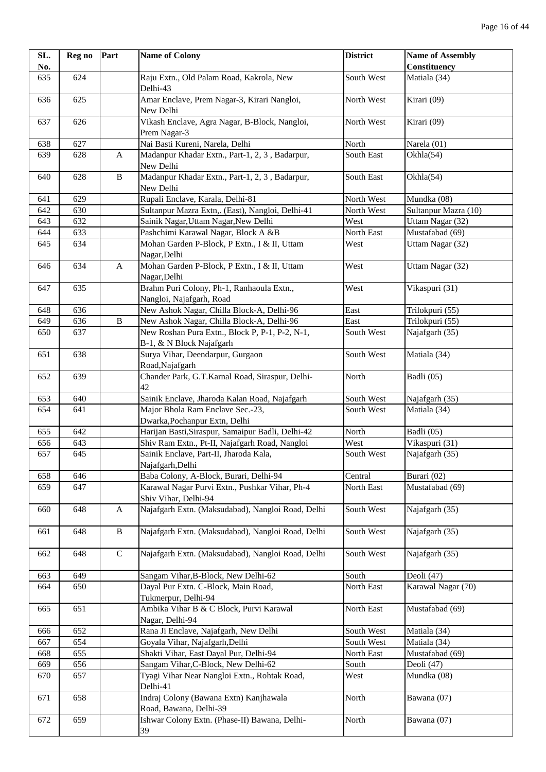| SL. | Reg no | Part         | <b>Name of Colony</b>                                                      | <b>District</b> | <b>Name of Assembly</b> |
|-----|--------|--------------|----------------------------------------------------------------------------|-----------------|-------------------------|
| No. |        |              |                                                                            |                 | <b>Constituency</b>     |
| 635 | 624    |              | Raju Extn., Old Palam Road, Kakrola, New<br>Delhi-43                       | South West      | Matiala (34)            |
| 636 | 625    |              | Amar Enclave, Prem Nagar-3, Kirari Nangloi,<br>New Delhi                   | North West      | Kirari (09)             |
| 637 | 626    |              | Vikash Enclave, Agra Nagar, B-Block, Nangloi,<br>Prem Nagar-3              | North West      | Kirari (09)             |
| 638 | 627    |              | Nai Basti Kureni, Narela, Delhi                                            | North           | Narela (01)             |
| 639 | 628    | A            | Madanpur Khadar Extn., Part-1, 2, 3, Badarpur,<br>New Delhi                | South East      | Okhla(54)               |
| 640 | 628    | $\, {\bf B}$ | Madanpur Khadar Extn., Part-1, 2, 3, Badarpur,<br>New Delhi                | South East      | Okhla(54)               |
| 641 | 629    |              | Rupali Enclave, Karala, Delhi-81                                           | North West      | Mundka (08)             |
| 642 | 630    |              | Sultanpur Mazra Extn,. (East), Nangloi, Delhi-41                           | North West      | Sultanpur Mazra (10)    |
| 643 | 632    |              | Sainik Nagar, Uttam Nagar, New Delhi                                       | West            | Uttam Nagar (32)        |
| 644 | 633    |              | Pashchimi Karawal Nagar, Block A &B                                        | North East      | Mustafabad (69)         |
| 645 | 634    |              | Mohan Garden P-Block, P Extn., I & II, Uttam<br>Nagar, Delhi               | West            | Uttam Nagar (32)        |
| 646 | 634    | A            | Mohan Garden P-Block, P Extn., I & II, Uttam<br>Nagar, Delhi               | West            | Uttam Nagar (32)        |
| 647 | 635    |              | Brahm Puri Colony, Ph-1, Ranhaoula Extn.,<br>Nangloi, Najafgarh, Road      | West            | Vikaspuri (31)          |
| 648 | 636    |              | New Ashok Nagar, Chilla Block-A, Delhi-96                                  | East            | Trilokpuri (55)         |
| 649 | 636    | $\, {\bf B}$ | New Ashok Nagar, Chilla Block-A, Delhi-96                                  | East            | Trilokpuri (55)         |
| 650 | 637    |              | New Roshan Pura Extn., Block P, P-1, P-2, N-1,<br>B-1, & N Block Najafgarh | South West      | Najafgarh (35)          |
| 651 | 638    |              | Surya Vihar, Deendarpur, Gurgaon<br>Road, Najafgarh                        | South West      | Matiala (34)            |
| 652 | 639    |              | Chander Park, G.T.Karnal Road, Siraspur, Delhi-<br>42                      | North           | Badli (05)              |
| 653 | 640    |              | Sainik Enclave, Jharoda Kalan Road, Najafgarh                              | South West      | Najafgarh (35)          |
| 654 | 641    |              | Major Bhola Ram Enclave Sec.-23,<br>Dwarka, Pochanpur Extn, Delhi          | South West      | Matiala (34)            |
| 655 | 642    |              | Harijan Basti, Siraspur, Samaipur Badli, Delhi-42                          | North           | Badli (05)              |
| 656 | 643    |              | Shiv Ram Extn., Pt-II, Najafgarh Road, Nangloi                             | West            | Vikaspuri (31)          |
| 657 | 645    |              | Sainik Enclave, Part-II, Jharoda Kala,<br>Najafgarh, Delhi                 | South West      | Najafgarh (35)          |
| 658 | 646    |              | Baba Colony, A-Block, Burari, Delhi-94                                     | Central         | Burari (02)             |
| 659 | 647    |              | Karawal Nagar Purvi Extn., Pushkar Vihar, Ph-4<br>Shiv Vihar, Delhi-94     | North East      | Mustafabad (69)         |
| 660 | 648    | A            | Najafgarh Extn. (Maksudabad), Nangloi Road, Delhi                          | South West      | Najafgarh (35)          |
| 661 | 648    | $\, {\bf B}$ | Najafgarh Extn. (Maksudabad), Nangloi Road, Delhi                          | South West      | Najafgarh (35)          |
| 662 | 648    | $\mathbf C$  | Najafgarh Extn. (Maksudabad), Nangloi Road, Delhi                          | South West      | Najafgarh (35)          |
| 663 | 649    |              | Sangam Vihar, B-Block, New Delhi-62                                        | South           | Deoli (47)              |
| 664 | 650    |              | Dayal Pur Extn. C-Block, Main Road,<br>Tukmerpur, Delhi-94                 | North East      | Karawal Nagar (70)      |
| 665 | 651    |              | Ambika Vihar B & C Block, Purvi Karawal<br>Nagar, Delhi-94                 | North East      | Mustafabad (69)         |
| 666 | 652    |              | Rana Ji Enclave, Najafgarh, New Delhi                                      | South West      | Matiala (34)            |
| 667 | 654    |              | Goyala Vihar, Najafgarh, Delhi                                             | South West      | Matiala (34)            |
| 668 | 655    |              | Shakti Vihar, East Dayal Pur, Delhi-94                                     | North East      | Mustafabad (69)         |
| 669 | 656    |              | Sangam Vihar, C-Block, New Delhi-62                                        | South           | Deoli (47)              |
| 670 | 657    |              | Tyagi Vihar Near Nangloi Extn., Rohtak Road,<br>Delhi-41                   | West            | Mundka (08)             |
| 671 | 658    |              | Indraj Colony (Bawana Extn) Kanjhawala<br>Road, Bawana, Delhi-39           | North           | Bawana (07)             |
| 672 | 659    |              | Ishwar Colony Extn. (Phase-II) Bawana, Delhi-<br>39                        | North           | Bawana (07)             |
|     |        |              |                                                                            |                 |                         |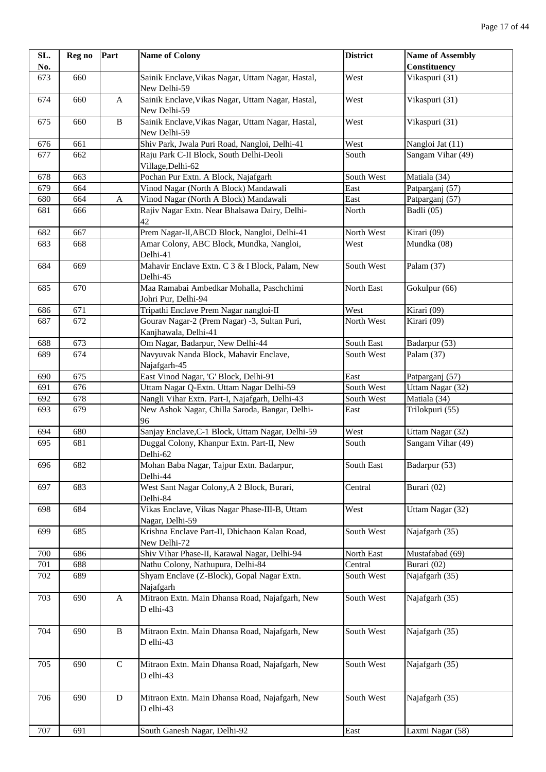| SL. | Reg no | Part         | <b>Name of Colony</b>                                                | <b>District</b> | <b>Name of Assembly</b> |
|-----|--------|--------------|----------------------------------------------------------------------|-----------------|-------------------------|
| No. |        |              |                                                                      |                 | Constituency            |
| 673 | 660    |              | Sainik Enclave, Vikas Nagar, Uttam Nagar, Hastal,<br>New Delhi-59    | West            | Vikaspuri (31)          |
| 674 | 660    | $\mathbf{A}$ | Sainik Enclave, Vikas Nagar, Uttam Nagar, Hastal,<br>New Delhi-59    | West            | Vikaspuri (31)          |
| 675 | 660    | $\, {\bf B}$ | Sainik Enclave, Vikas Nagar, Uttam Nagar, Hastal,<br>New Delhi-59    | West            | Vikaspuri (31)          |
| 676 | 661    |              | Shiv Park, Jwala Puri Road, Nangloi, Delhi-41                        | West            | Nangloi Jat (11)        |
| 677 | 662    |              | Raju Park C-II Block, South Delhi-Deoli<br>Village, Delhi-62         | South           | Sangam Vihar (49)       |
| 678 | 663    |              | Pochan Pur Extn. A Block, Najafgarh                                  | South West      | Matiala (34)            |
| 679 | 664    |              | Vinod Nagar (North A Block) Mandawali                                | East            | Patparganj (57)         |
| 680 | 664    | $\mathbf A$  | Vinod Nagar (North A Block) Mandawali                                | East            | Patparganj (57)         |
| 681 | 666    |              | Rajiv Nagar Extn. Near Bhalsawa Dairy, Delhi-<br>42                  | North           | Badli (05)              |
| 682 | 667    |              | Prem Nagar-II, ABCD Block, Nangloi, Delhi-41                         | North West      | Kirari (09)             |
| 683 | 668    |              | Amar Colony, ABC Block, Mundka, Nangloi,<br>Delhi-41                 | West            | Mundka (08)             |
| 684 | 669    |              | Mahavir Enclave Extn. C 3 & I Block, Palam, New<br>Delhi-45          | South West      | Palam (37)              |
| 685 | 670    |              | Maa Ramabai Ambedkar Mohalla, Paschchimi<br>Johri Pur, Delhi-94      | North East      | Gokulpur (66)           |
| 686 | 671    |              | Tripathi Enclave Prem Nagar nangloi-II                               | West            | Kirari (09)             |
| 687 | 672    |              | Gourav Nagar-2 (Prem Nagar) -3, Sultan Puri,<br>Kanjhawala, Delhi-41 | North West      | Kirari (09)             |
| 688 | 673    |              | Om Nagar, Badarpur, New Delhi-44                                     | South East      | Badarpur (53)           |
| 689 | 674    |              | Navyuvak Nanda Block, Mahavir Enclave,<br>Najafgarh-45               | South West      | Palam (37)              |
| 690 | 675    |              | East Vinod Nagar, 'G' Block, Delhi-91                                | East            | Patparganj (57)         |
| 691 | 676    |              | Uttam Nagar Q-Extn. Uttam Nagar Delhi-59                             | South West      | Uttam Nagar (32)        |
| 692 | 678    |              | Nangli Vihar Extn. Part-I, Najafgarh, Delhi-43                       | South West      | Matiala (34)            |
| 693 | 679    |              | New Ashok Nagar, Chilla Saroda, Bangar, Delhi-<br>96                 | East            | Trilokpuri (55)         |
| 694 | 680    |              | Sanjay Enclave, C-1 Block, Uttam Nagar, Delhi-59                     | West            | Uttam Nagar (32)        |
| 695 | 681    |              | Duggal Colony, Khanpur Extn. Part-II, New<br>Delhi-62                | South           | Sangam Vihar (49)       |
| 696 | 682    |              | Mohan Baba Nagar, Tajpur Extn. Badarpur,<br>Delhi-44                 | South East      | Badarpur (53)           |
| 697 | 683    |              | West Sant Nagar Colony, A 2 Block, Burari,<br>Delhi-84               | Central         | Burari (02)             |
| 698 | 684    |              | Vikas Enclave, Vikas Nagar Phase-III-B, Uttam<br>Nagar, Delhi-59     | West            | Uttam Nagar (32)        |
| 699 | 685    |              | Krishna Enclave Part-II, Dhichaon Kalan Road,<br>New Delhi-72        | South West      | Najafgarh (35)          |
| 700 | 686    |              | Shiv Vihar Phase-II, Karawal Nagar, Delhi-94                         | North East      | Mustafabad (69)         |
| 701 | 688    |              | Nathu Colony, Nathupura, Delhi-84                                    | Central         | Burari (02)             |
| 702 | 689    |              | Shyam Enclave (Z-Block), Gopal Nagar Extn.<br>Najafgarh              | South West      | Najafgarh (35)          |
| 703 | 690    | A            | Mitraon Extn. Main Dhansa Road, Najafgarh, New<br>D elhi-43          | South West      | Najafgarh (35)          |
| 704 | 690    | $\, {\bf B}$ | Mitraon Extn. Main Dhansa Road, Najafgarh, New<br>D elhi-43          | South West      | Najafgarh (35)          |
| 705 | 690    | $\mathsf{C}$ | Mitraon Extn. Main Dhansa Road, Najafgarh, New<br>D elhi-43          | South West      | Najafgarh (35)          |
| 706 | 690    | D            | Mitraon Extn. Main Dhansa Road, Najafgarh, New<br>D elhi-43          | South West      | Najafgarh (35)          |
| 707 | 691    |              | South Ganesh Nagar, Delhi-92                                         | East            | Laxmi Nagar (58)        |
|     |        |              |                                                                      |                 |                         |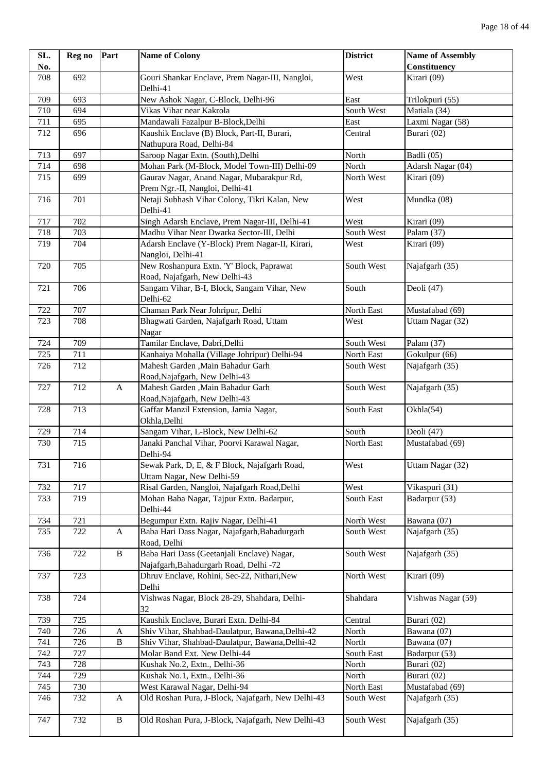| SL.        | Reg no     | Part                             | <b>Name of Colony</b>                                                                              | <b>District</b>          | <b>Name of Assembly</b>        |
|------------|------------|----------------------------------|----------------------------------------------------------------------------------------------------|--------------------------|--------------------------------|
| No.        |            |                                  |                                                                                                    |                          | Constituency                   |
| 708        | 692        |                                  | Gouri Shankar Enclave, Prem Nagar-III, Nangloi,                                                    | West                     | Kirari (09)                    |
|            |            |                                  | Delhi-41                                                                                           |                          |                                |
| 709        | 693        |                                  | New Ashok Nagar, C-Block, Delhi-96                                                                 | East                     | Trilokpuri (55)                |
| 710        | 694        |                                  | Vikas Vihar near Kakrola                                                                           | South West               | Matiala (34)                   |
| 711        | 695        |                                  | Mandawali Fazalpur B-Block, Delhi                                                                  | East                     | Laxmi Nagar (58)               |
| 712        | 696        |                                  | Kaushik Enclave (B) Block, Part-II, Burari,                                                        | Central                  | Burari (02)                    |
|            |            |                                  | Nathupura Road, Delhi-84                                                                           |                          |                                |
| 713        | 697        |                                  | Saroop Nagar Extn. (South), Delhi                                                                  | North                    | Badli (05)                     |
| 714        | 698        |                                  | Mohan Park (M-Block, Model Town-III) Delhi-09                                                      | North                    | Adarsh Nagar (04)              |
| 715        | 699        |                                  | Gaurav Nagar, Anand Nagar, Mubarakpur Rd,                                                          | North West               | Kirari (09)                    |
|            |            |                                  | Prem Ngr.-II, Nangloi, Delhi-41                                                                    |                          |                                |
| 716        | 701        |                                  | Netaji Subhash Vihar Colony, Tikri Kalan, New                                                      | West                     | Mundka (08)                    |
|            |            |                                  | Delhi-41                                                                                           |                          |                                |
| 717        | 702        |                                  | Singh Adarsh Enclave, Prem Nagar-III, Delhi-41                                                     | West                     | Kirari (09)                    |
| 718        | 703        |                                  | Madhu Vihar Near Dwarka Sector-III, Delhi                                                          | South West               | Palam (37)                     |
| 719        | 704        |                                  | Adarsh Enclave (Y-Block) Prem Nagar-II, Kirari,                                                    | West                     | Kirari (09)                    |
|            |            |                                  | Nangloi, Delhi-41                                                                                  |                          |                                |
| 720        | 705        |                                  | New Roshanpura Extn. 'Y' Block, Paprawat                                                           | South West               | Najafgarh (35)                 |
|            |            |                                  | Road, Najafgarh, New Delhi-43                                                                      |                          |                                |
| 721        | 706        |                                  | Sangam Vihar, B-I, Block, Sangam Vihar, New                                                        | South                    | Deoli (47)                     |
|            |            |                                  | Delhi-62                                                                                           |                          |                                |
| 722        | 707        |                                  | Chaman Park Near Johripur, Delhi                                                                   | North East               | Mustafabad (69)                |
| 723        | 708        |                                  | Bhagwati Garden, Najafgarh Road, Uttam                                                             | West                     | Uttam Nagar (32)               |
|            |            |                                  | Nagar                                                                                              |                          |                                |
| 724        | 709        |                                  | Tamilar Enclave, Dabri, Delhi                                                                      | South West               | Palam (37)                     |
| 725        | 711        |                                  | Kanhaiya Mohalla (Village Johripur) Delhi-94                                                       | North East               | Gokulpur (66)                  |
| 726        | 712        |                                  | Mahesh Garden , Main Bahadur Garh                                                                  | South West               | Najafgarh (35)                 |
|            |            |                                  | Road, Najafgarh, New Delhi-43                                                                      |                          |                                |
| 727        | 712        | A                                | Mahesh Garden , Main Bahadur Garh                                                                  | South West               | Najafgarh (35)                 |
|            |            |                                  | Road, Najafgarh, New Delhi-43                                                                      |                          |                                |
| 728        | 713        |                                  | Gaffar Manzil Extension, Jamia Nagar,                                                              | South East               | Okhla(54)                      |
|            |            |                                  | Okhla, Delhi                                                                                       |                          |                                |
| 729        | 714        |                                  | Sangam Vihar, L-Block, New Delhi-62                                                                | South                    | Deoli (47)                     |
| 730        | 715        |                                  | Janaki Panchal Vihar, Poorvi Karawal Nagar,                                                        | North East               | Mustafabad (69)                |
|            |            |                                  | Delhi-94                                                                                           |                          |                                |
| 731        | 716        |                                  | Sewak Park, D, E, & F Block, Najafgarh Road,                                                       | West                     | Uttam Nagar (32)               |
|            |            |                                  | Uttam Nagar, New Delhi-59                                                                          |                          |                                |
| 732        | 717        |                                  | Risal Garden, Nangloi, Najafgarh Road, Delhi                                                       | West                     | Vikaspuri (31)                 |
| 733        | 719        |                                  | Mohan Baba Nagar, Tajpur Extn. Badarpur,                                                           | South East               | Badarpur (53)                  |
|            |            |                                  | Delhi-44                                                                                           |                          |                                |
| 734        | 721        |                                  | Begumpur Extn. Rajiv Nagar, Delhi-41                                                               | North West               | Bawana (07)                    |
| 735        | 722        | A                                | Baba Hari Dass Nagar, Najafgarh, Bahadurgarh                                                       | South West               | Najafgarh (35)                 |
|            |            |                                  | Road, Delhi                                                                                        |                          |                                |
| 736        | 722        | $\, {\bf B}$                     | Baba Hari Dass (Geetanjali Enclave) Nagar,                                                         | South West               | Najafgarh (35)                 |
|            | 723        |                                  | Najafgarh, Bahadurgarh Road, Delhi -72<br>Dhruv Enclave, Rohini, Sec-22, Nithari, New              | North West               | Kirari (09)                    |
| 737        |            |                                  |                                                                                                    |                          |                                |
| 738        | 724        |                                  | Delhi<br>Vishwas Nagar, Block 28-29, Shahdara, Delhi-                                              | Shahdara                 | Vishwas Nagar (59)             |
|            |            |                                  |                                                                                                    |                          |                                |
|            |            |                                  | 32                                                                                                 |                          |                                |
| 739        | 725        |                                  | Kaushik Enclave, Burari Extn. Delhi-84                                                             | Central                  | Burari (02)                    |
| 740<br>741 | 726<br>726 | $\boldsymbol{A}$<br>$\, {\bf B}$ | Shiv Vihar, Shahbad-Daulatpur, Bawana, Delhi-42<br>Shiv Vihar, Shahbad-Daulatpur, Bawana, Delhi-42 | North<br>North           | Bawana (07)<br>Bawana (07)     |
|            |            |                                  |                                                                                                    |                          |                                |
| 742        | 727<br>728 |                                  | Molar Band Ext. New Delhi-44                                                                       | South East<br>North      | Badarpur (53)                  |
| 743        | 729        |                                  | Kushak No.2, Extn., Delhi-36                                                                       | North                    | Burari (02)                    |
| 744        |            |                                  | Kushak No.1, Extn., Delhi-36                                                                       |                          | Burari (02)<br>Mustafabad (69) |
| 745<br>746 | 730<br>732 |                                  | West Karawal Nagar, Delhi-94<br>Old Roshan Pura, J-Block, Najafgarh, New Delhi-43                  | North East<br>South West |                                |
|            |            | A                                |                                                                                                    |                          | Najafgarh (35)                 |
| 747        | 732        | $\, {\bf B}$                     | Old Roshan Pura, J-Block, Najafgarh, New Delhi-43                                                  | South West               |                                |
|            |            |                                  |                                                                                                    |                          | Najafgarh (35)                 |
|            |            |                                  |                                                                                                    |                          |                                |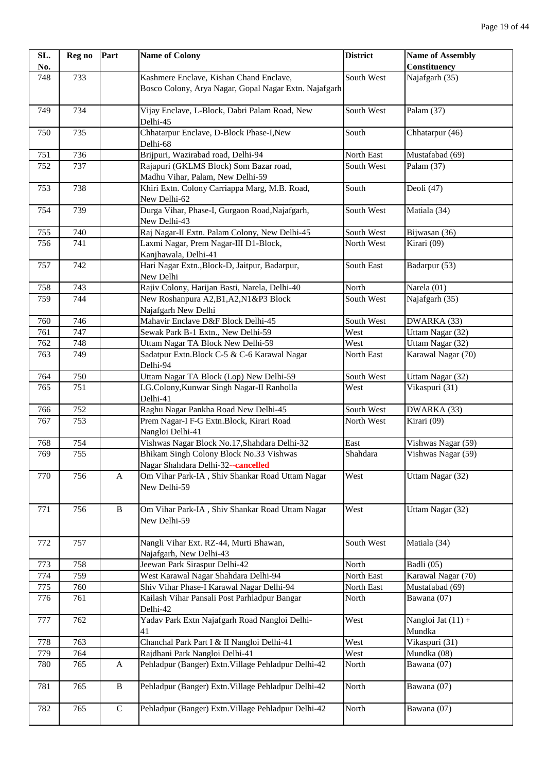| SL. | Reg no | Part         | <b>Name of Colony</b>                                             | <b>District</b> | <b>Name of Assembly</b>        |
|-----|--------|--------------|-------------------------------------------------------------------|-----------------|--------------------------------|
| No. |        |              |                                                                   |                 | <b>Constituency</b>            |
| 748 | 733    |              | Kashmere Enclave, Kishan Chand Enclave,                           | South West      | Najafgarh (35)                 |
|     |        |              | Bosco Colony, Arya Nagar, Gopal Nagar Extn. Najafgarh             |                 |                                |
| 749 | 734    |              | Vijay Enclave, L-Block, Dabri Palam Road, New<br>Delhi-45         | South West      | Palam (37)                     |
| 750 | 735    |              | Chhatarpur Enclave, D-Block Phase-I, New<br>Delhi-68              | South           | Chhatarpur (46)                |
| 751 | 736    |              | Brijpuri, Wazirabad road, Delhi-94                                | North East      | Mustafabad (69)                |
| 752 | 737    |              | Rajapuri (GKLMS Block) Som Bazar road,                            | South West      | Palam (37)                     |
|     |        |              | Madhu Vihar, Palam, New Delhi-59                                  |                 |                                |
| 753 | 738    |              | Khiri Extn. Colony Carriappa Marg, M.B. Road,<br>New Delhi-62     | South           | Deoli (47)                     |
| 754 | 739    |              | Durga Vihar, Phase-I, Gurgaon Road, Najafgarh,<br>New Delhi-43    | South West      | Matiala (34)                   |
| 755 | 740    |              | Raj Nagar-II Extn. Palam Colony, New Delhi-45                     | South West      | Bijwasan (36)                  |
| 756 | 741    |              | Laxmi Nagar, Prem Nagar-III D1-Block,                             | North West      | Kirari (09)                    |
|     |        |              | Kanjhawala, Delhi-41                                              |                 |                                |
| 757 | 742    |              | Hari Nagar Extn., Block-D, Jaitpur, Badarpur,<br>New Delhi        | South East      | Badarpur (53)                  |
| 758 | 743    |              | Rajiv Colony, Harijan Basti, Narela, Delhi-40                     | North           | Narela (01)                    |
| 759 | 744    |              | New Roshanpura A2, B1, A2, N1&P3 Block                            | South West      | Najafgarh (35)                 |
|     |        |              | Najafgarh New Delhi                                               |                 |                                |
| 760 | 746    |              | Mahavir Enclave D&F Block Delhi-45                                | South West      | DWARKA (33)                    |
| 761 | 747    |              | Sewak Park B-1 Extn., New Delhi-59                                | West            | Uttam Nagar (32)               |
| 762 | 748    |              | Uttam Nagar TA Block New Delhi-59                                 | West            | Uttam Nagar (32)               |
| 763 | 749    |              | Sadatpur Extn. Block C-5 & C-6 Karawal Nagar                      | North East      | Karawal Nagar (70)             |
|     |        |              | Delhi-94                                                          |                 |                                |
| 764 | 750    |              | Uttam Nagar TA Block (Lop) New Delhi-59                           | South West      | Uttam Nagar (32)               |
| 765 | 751    |              | I.G.Colony, Kunwar Singh Nagar-II Ranholla                        | West            | Vikaspuri (31)                 |
|     |        |              | Delhi-41                                                          |                 |                                |
| 766 | 752    |              | Raghu Nagar Pankha Road New Delhi-45                              | South West      | DWARKA (33)                    |
| 767 | 753    |              | Prem Nagar-I F-G Extn.Block, Kirari Road                          | North West      | Kirari (09)                    |
|     |        |              | Nangloi Delhi-41                                                  |                 |                                |
| 768 | 754    |              | Vishwas Nagar Block No.17, Shahdara Delhi-32                      | East            | Vishwas Nagar (59)             |
| 769 | 755    |              | Bhikam Singh Colony Block No.33 Vishwas                           | Shahdara        | Vishwas Nagar (59)             |
|     |        |              | Nagar Shahdara Delhi-32--cancelled                                |                 |                                |
| 770 | 756    | A            | Om Vihar Park-IA, Shiv Shankar Road Uttam Nagar<br>New Delhi-59   | West            | Uttam Nagar (32)               |
| 771 | 756    | $\, {\bf B}$ | Om Vihar Park-IA, Shiv Shankar Road Uttam Nagar<br>New Delhi-59   | West            | Uttam Nagar (32)               |
| 772 | 757    |              | Nangli Vihar Ext. RZ-44, Murti Bhawan,<br>Najafgarh, New Delhi-43 | South West      | Matiala (34)                   |
| 773 | 758    |              | Jeewan Park Siraspur Delhi-42                                     | North           | Badli (05)                     |
| 774 | 759    |              | West Karawal Nagar Shahdara Delhi-94                              | North East      | Karawal Nagar (70)             |
| 775 | 760    |              | Shiv Vihar Phase-I Karawal Nagar Delhi-94                         | North East      | Mustafabad (69)                |
| 776 | 761    |              | Kailash Vihar Pansali Post Parhladpur Bangar<br>Delhi-42          | North           | Bawana (07)                    |
| 777 | 762    |              | Yadav Park Extn Najafgarh Road Nangloi Delhi-<br>41               | West            | Nangloi Jat $(11) +$<br>Mundka |
| 778 | 763    |              | Chanchal Park Part I & II Nangloi Delhi-41                        | West            | Vikaspuri (31)                 |
| 779 | 764    |              | Rajdhani Park Nangloi Delhi-41                                    | West            | Mundka (08)                    |
| 780 | 765    | A            | Pehladpur (Banger) Extn. Village Pehladpur Delhi-42               | North           | Bawana (07)                    |
| 781 | 765    | $\, {\bf B}$ | Pehladpur (Banger) Extn. Village Pehladpur Delhi-42               | North           | Bawana (07)                    |
| 782 | 765    | $\mathbf C$  | Pehladpur (Banger) Extn. Village Pehladpur Delhi-42               | North           | Bawana (07)                    |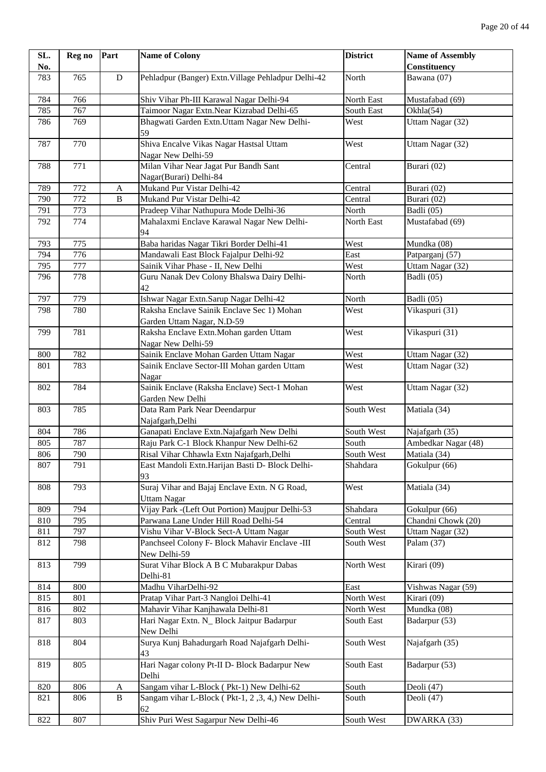| SL. | Reg no           | Part                      | <b>Name of Colony</b>                                                    | <b>District</b> | <b>Name of Assembly</b> |
|-----|------------------|---------------------------|--------------------------------------------------------------------------|-----------------|-------------------------|
| No. |                  |                           |                                                                          |                 | Constituency            |
| 783 | 765              | ${\bf D}$                 | Pehladpur (Banger) Extn. Village Pehladpur Delhi-42                      | North           | Bawana (07)             |
| 784 | 766              |                           | Shiv Vihar Ph-III Karawal Nagar Delhi-94                                 | North East      | Mustafabad (69)         |
| 785 | 767              |                           | Taimoor Nagar Extn. Near Kizrabad Delhi-65                               | South East      | Okhla(54)               |
| 786 | 769              |                           | Bhagwati Garden Extn. Uttam Nagar New Delhi-<br>59                       | West            | Uttam Nagar (32)        |
| 787 | 770              |                           | Shiva Encalve Vikas Nagar Hastsal Uttam<br>Nagar New Delhi-59            | West            | Uttam Nagar (32)        |
| 788 | 771              |                           | Milan Vihar Near Jagat Pur Bandh Sant<br>Nagar(Burari) Delhi-84          | Central         | Burari (02)             |
| 789 | 772              | $\boldsymbol{\mathsf{A}}$ | Mukand Pur Vistar Delhi-42                                               | Central         | Burari (02)             |
| 790 | $\overline{772}$ | $\, {\bf B}$              | Mukand Pur Vistar Delhi-42                                               | Central         | Burari (02)             |
| 791 | 773              |                           | Pradeep Vihar Nathupura Mode Delhi-36                                    | North           | Badli (05)              |
| 792 | 774              |                           | Mahalaxmi Enclave Karawal Nagar New Delhi-<br>94                         | North East      | Mustafabad (69)         |
| 793 | 775              |                           | Baba haridas Nagar Tikri Border Delhi-41                                 | West            | Mundka (08)             |
| 794 | 776              |                           | Mandawali East Block Fajalpur Delhi-92                                   | East            | Patparganj (57)         |
| 795 | 777              |                           | Sainik Vihar Phase - II, New Delhi                                       | West            | Uttam Nagar (32)        |
| 796 | 778              |                           | Guru Nanak Dev Colony Bhalswa Dairy Delhi-<br>42                         | North           | Badli (05)              |
| 797 | 779              |                           | Ishwar Nagar Extn.Sarup Nagar Delhi-42                                   | North           | Badli (05)              |
| 798 | 780              |                           | Raksha Enclave Sainik Enclave Sec 1) Mohan<br>Garden Uttam Nagar, N.D-59 | West            | Vikaspuri (31)          |
| 799 | 781              |                           | Raksha Enclave Extn. Mohan garden Uttam<br>Nagar New Delhi-59            | West            | Vikaspuri (31)          |
| 800 | 782              |                           | Sainik Enclave Mohan Garden Uttam Nagar                                  | West            | Uttam Nagar (32)        |
| 801 | 783              |                           | Sainik Enclave Sector-III Mohan garden Uttam<br>Nagar                    | West            | Uttam Nagar (32)        |
| 802 | 784              |                           | Sainik Enclave (Raksha Enclave) Sect-1 Mohan<br>Garden New Delhi         | West            | Uttam Nagar (32)        |
| 803 | 785              |                           | Data Ram Park Near Deendarpur<br>Najafgarh, Delhi                        | South West      | Matiala (34)            |
| 804 | 786              |                           | Ganapati Enclave Extn.Najafgarh New Delhi                                | South West      | Najafgarh (35)          |
| 805 | 787              |                           | Raju Park C-1 Block Khanpur New Delhi-62                                 | South           | Ambedkar Nagar (48)     |
| 806 | 790              |                           | Risal Vihar Chhawla Extn Najafgarh, Delhi                                | South West      | Matiala (34)            |
| 807 | 791              |                           | East Mandoli Extn. Harijan Basti D- Block Delhi-<br>93                   | Shahdara        | Gokulpur (66)           |
| 808 | 793              |                           | Suraj Vihar and Bajaj Enclave Extn. N G Road,<br><b>Uttam Nagar</b>      | West            | Matiala (34)            |
| 809 | 794              |                           | Vijay Park -(Left Out Portion) Maujpur Delhi-53                          | Shahdara        | Gokulpur (66)           |
| 810 | 795              |                           | Parwana Lane Under Hill Road Delhi-54                                    | Central         | Chandni Chowk (20)      |
| 811 | 797              |                           | Vishu Vihar V-Block Sect-A Uttam Nagar                                   | South West      | Uttam Nagar (32)        |
| 812 | 798              |                           | Panchseel Colony F- Block Mahavir Enclave -III<br>New Delhi-59           | South West      | Palam (37)              |
| 813 | 799              |                           | Surat Vihar Block A B C Mubarakpur Dabas<br>Delhi-81                     | North West      | Kirari (09)             |
| 814 | 800              |                           | Madhu ViharDelhi-92                                                      | East            | Vishwas Nagar (59)      |
| 815 | 801              |                           | Pratap Vihar Part-3 Nangloi Delhi-41                                     | North West      | Kirari (09)             |
| 816 | 802              |                           | Mahavir Vihar Kanjhawala Delhi-81                                        | North West      | Mundka (08)             |
| 817 | 803              |                           | Hari Nagar Extn. N_ Block Jaitpur Badarpur                               | South East      | Badarpur (53)           |
|     |                  |                           | New Delhi                                                                |                 |                         |
| 818 | 804              |                           | Surya Kunj Bahadurgarh Road Najafgarh Delhi-<br>43                       | South West      | Najafgarh (35)          |
| 819 | 805              |                           | Hari Nagar colony Pt-II D- Block Badarpur New<br>Delhi                   | South East      | Badarpur (53)           |
| 820 | 806              | $\mathbf A$               | Sangam vihar L-Block (Pkt-1) New Delhi-62                                | South           | Deoli (47)              |
| 821 | 806              | $\, {\bf B}$              | Sangam vihar L-Block (Pkt-1, 2, 3, 4,) New Delhi-<br>62                  | South           | Deoli (47)              |
| 822 | 807              |                           | Shiv Puri West Sagarpur New Delhi-46                                     | South West      | DWARKA (33)             |
|     |                  |                           |                                                                          |                 |                         |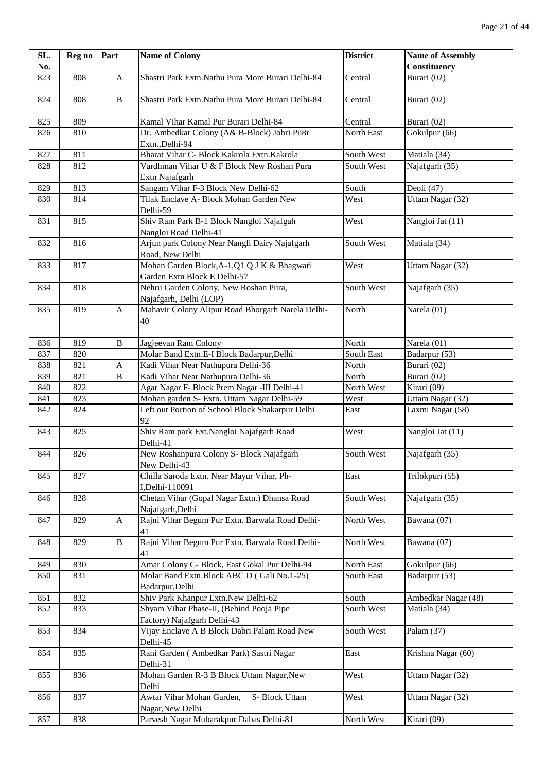| SL. | Reg no | Part                      | <b>Name of Colony</b>                                            | <b>District</b> | <b>Name of Assembly</b> |
|-----|--------|---------------------------|------------------------------------------------------------------|-----------------|-------------------------|
| No. |        |                           |                                                                  |                 | <b>Constituency</b>     |
| 823 | 808    | $\mathbf{A}$              | Shastri Park Extn. Nathu Pura More Burari Delhi-84               | Central         | Burari (02)             |
| 824 | 808    | $\, {\bf B}$              | Shastri Park Extn. Nathu Pura More Burari Delhi-84               | Central         | Burari (02)             |
| 825 | 809    |                           | Kamal Vihar Kamal Pur Burari Delhi-84                            | Central         | Burari (02)             |
| 826 | 810    |                           | Dr. Ambedkar Colony (A& B-Block) Johri Pu8r                      | North East      | Gokulpur (66)           |
|     |        |                           | Extn., Delhi-94                                                  |                 |                         |
| 827 | 811    |                           | Bharat Vihar C- Block Kakrola Extn.Kakrola                       | South West      | Matiala (34)            |
| 828 | 812    |                           | Vardhman Vihar U & F Block New Roshan Pura<br>Extn Najafgarh     | South West      | Najafgarh (35)          |
| 829 | 813    |                           | Sangam Vihar F-3 Block New Delhi-62                              | South           | Deoli (47)              |
| 830 | 814    |                           | Tilak Enclave A- Block Mohan Garden New                          | West            | Uttam Nagar (32)        |
|     |        |                           | Delhi-59                                                         |                 |                         |
| 831 | 815    |                           | Shiv Ram Park B-1 Block Nangloi Najafgah                         | West            | Nangloi Jat (11)        |
|     |        |                           | Nangloi Road Delhi-41                                            |                 |                         |
| 832 | 816    |                           | Arjun park Colony Near Nangli Dairy Najafgarh<br>Road, New Delhi | South West      | Matiala (34)            |
| 833 | 817    |                           | Mohan Garden Block, A-1, Q1 Q J K & Bhagwati                     | West            | Uttam Nagar (32)        |
|     |        |                           | Garden Extn Block E Delhi-57                                     |                 |                         |
| 834 | 818    |                           | Nehru Garden Colony, New Roshan Pura,<br>Najafgarh, Delhi (LOP)  | South West      | Najafgarh (35)          |
| 835 | 819    | $\mathbf{A}$              | Mahavir Colony Alipur Road Bhorgarh Narela Delhi-                | North           | Narela (01)             |
|     |        |                           | 40                                                               |                 |                         |
| 836 | 819    | $\, {\bf B}$              | Jagjeevan Ram Colony                                             | North           | Narela (01)             |
| 837 | 820    |                           | Molar Band Extn.E-I Block Badarpur, Delhi                        | South East      | Badarpur $(53)$         |
| 838 | 821    | $\boldsymbol{\mathsf{A}}$ | Kadi Vihar Near Nathupura Delhi-36                               | North           | Burari (02)             |
| 839 | 821    | $\, {\bf B}$              | Kadi Vihar Near Nathupura Delhi-36                               | North           | Burari (02)             |
| 840 | 822    |                           | Agar Nagar F- Block Prem Nagar -III Delhi-41                     | North West      | Kirari (09)             |
| 841 | 823    |                           | Mohan garden S- Extn. Uttam Nagar Delhi-59                       | West            | Uttam Nagar (32)        |
| 842 | 824    |                           | Left out Portion of School Block Shakarpur Delhi<br>92           | East            | Laxmi Nagar (58)        |
| 843 | 825    |                           | Shiv Ram park Ext.Nangloi Najafgarh Road<br>Delhi-41             | West            | Nangloi Jat (11)        |
| 844 | 826    |                           | New Roshanpura Colony S- Block Najafgarh<br>New Delhi-43         | South West      | Najafgarh (35)          |
| 845 | 827    |                           | Chilla Saroda Extn. Near Mayur Vihar, Ph-<br>I, Delhi-110091     | East            | Trilokpuri (55)         |
| 846 | 828    |                           | Chetan Vihar (Gopal Nagar Extn.) Dhansa Road<br>Najafgarh, Delhi | South West      | Najafgarh (35)          |
| 847 | 829    | A                         | Rajni Vihar Begum Pur Extn. Barwala Road Delhi-<br>41            | North West      | Bawana (07)             |
| 848 | 829    | $\, {\bf B}$              | Rajni Vihar Begum Pur Extn. Barwala Road Delhi-                  | North West      | Bawana (07)             |
| 849 | 830    |                           | 41<br>Amar Colony C- Block, East Gokal Pur Delhi-94              | North East      | Gokulpur (66)           |
| 850 | 831    |                           | Molar Band Extn. Block ABC D (Gali No.1-25)                      | South East      | Badarpur (53)           |
|     |        |                           | Badarpur, Delhi                                                  |                 |                         |
| 851 | 832    |                           | Shiv Park Khanpur Extn.New Delhi-62                              | South           | Ambedkar Nagar (48)     |
| 852 | 833    |                           | Shyam Vihar Phase-II, (Behind Pooja Pipe                         | South West      | Matiala (34)            |
|     |        |                           | Factory) Najafgarh Delhi-43                                      |                 |                         |
| 853 | 834    |                           | Vijay Enclave A B Block Dabri Palam Road New<br>Delhi-45         | South West      | Palam (37)              |
| 854 | 835    |                           | Rani Garden (Ambedkar Park) Sastri Nagar<br>Delhi-31             | East            | Krishna Nagar (60)      |
| 855 | 836    |                           | Mohan Garden R-3 B Block Uttam Nagar, New<br>Delhi               | West            | Uttam Nagar (32)        |
| 856 | 837    |                           | Awtar Vihar Mohan Garden,<br>S- Block Uttam<br>Nagar, New Delhi  | West            | Uttam Nagar (32)        |
| 857 | 838    |                           | Parvesh Nagar Mubarakpur Dabas Delhi-81                          | North West      | Kirari (09)             |
|     |        |                           |                                                                  |                 |                         |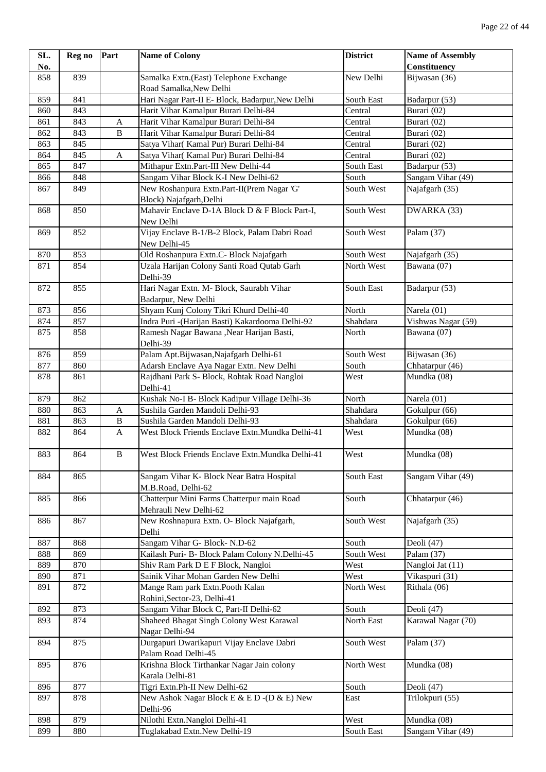| SL. | Reg no | Part         | <b>Name of Colony</b>                                                 | <b>District</b> | <b>Name of Assembly</b> |
|-----|--------|--------------|-----------------------------------------------------------------------|-----------------|-------------------------|
| No. |        |              |                                                                       |                 | Constituency            |
| 858 | 839    |              | Samalka Extn.(East) Telephone Exchange                                | New Delhi       | Bijwasan (36)           |
|     |        |              | Road Samalka, New Delhi                                               |                 |                         |
| 859 | 841    |              | Hari Nagar Part-II E- Block, Badarpur, New Delhi                      | South East      | Badarpur (53)           |
| 860 | 843    |              | Harit Vihar Kamalpur Burari Delhi-84                                  | Central         | Burari (02)             |
| 861 | 843    | A            | Harit Vihar Kamalpur Burari Delhi-84                                  | Central         | Burari (02)             |
| 862 | 843    | $\, {\bf B}$ | Harit Vihar Kamalpur Burari Delhi-84                                  | Central         | Burari (02)             |
| 863 | 845    |              | Satya Vihar(Kamal Pur) Burari Delhi-84                                | Central         | Burari (02)             |
| 864 | 845    | A            | Satya Vihar(Kamal Pur) Burari Delhi-84                                | Central         | Burari (02)             |
| 865 | 847    |              | Mithapur Extn.Part-III New Delhi-44                                   | South East      | Badarpur (53)           |
| 866 | 848    |              | Sangam Vihar Block K-I New Delhi-62                                   | South           | Sangam Vihar (49)       |
| 867 | 849    |              | New Roshanpura Extn.Part-II(Prem Nagar 'G'<br>Block) Najafgarh, Delhi | South West      | Najafgarh (35)          |
| 868 | 850    |              | Mahavir Enclave D-1A Block D & F Block Part-I,<br>New Delhi           | South West      | DWARKA (33)             |
| 869 | 852    |              | Vijay Enclave B-1/B-2 Block, Palam Dabri Road<br>New Delhi-45         | South West      | Palam (37)              |
| 870 | 853    |              | Old Roshanpura Extn.C- Block Najafgarh                                | South West      | Najafgarh (35)          |
| 871 | 854    |              | Uzala Harijan Colony Santi Road Qutab Garh<br>Delhi-39                | North West      | Bawana (07)             |
| 872 | 855    |              | Hari Nagar Extn. M- Block, Saurabh Vihar<br>Badarpur, New Delhi       | South East      | Badarpur (53)           |
| 873 | 856    |              | Shyam Kunj Colony Tikri Khurd Delhi-40                                | North           | Narela (01)             |
| 874 | 857    |              | Indra Puri -(Harijan Basti) Kakardooma Delhi-92                       | Shahdara        | Vishwas Nagar (59)      |
| 875 | 858    |              | Ramesh Nagar Bawana , Near Harijan Basti,<br>Delhi-39                 | North           | Bawana (07)             |
| 876 | 859    |              | Palam Apt.Bijwasan, Najafgarh Delhi-61                                | South West      | Bijwasan (36)           |
| 877 | 860    |              | Adarsh Enclave Aya Nagar Extn. New Delhi                              | South           | Chhatarpur (46)         |
| 878 | 861    |              | Rajdhani Park S- Block, Rohtak Road Nangloi<br>Delhi-41               | West            | Mundka (08)             |
| 879 | 862    |              | Kushak No-I B- Block Kadipur Village Delhi-36                         | North           | Narela (01)             |
| 880 | 863    | A            | Sushila Garden Mandoli Delhi-93                                       | Shahdara        | Gokulpur (66)           |
| 881 | 863    | $\, {\bf B}$ | Sushila Garden Mandoli Delhi-93                                       | Shahdara        | Gokulpur (66)           |
| 882 | 864    | A            | West Block Friends Enclave Extn.Mundka Delhi-41                       | West            | Mundka (08)             |
| 883 | 864    | $\, {\bf B}$ | West Block Friends Enclave Extn.Mundka Delhi-41                       | West            | Mundka (08)             |
| 884 | 865    |              | Sangam Vihar K- Block Near Batra Hospital<br>M.B.Road, Delhi-62       | South East      | Sangam Vihar (49)       |
| 885 | 866    |              | Chatterpur Mini Farms Chatterpur main Road<br>Mehrauli New Delhi-62   | South           | Chhatarpur (46)         |
| 886 | 867    |              | New Roshnapura Extn. O- Block Najafgarh,<br>Delhi                     | South West      | Najafgarh (35)          |
| 887 | 868    |              | Sangam Vihar G- Block-N.D-62                                          | South           | Deoli (47)              |
| 888 | 869    |              | Kailash Puri- B- Block Palam Colony N.Delhi-45                        | South West      | Palam (37)              |
| 889 | 870    |              | Shiv Ram Park D E F Block, Nangloi                                    | West            | Nangloi Jat (11)        |
| 890 | 871    |              | Sainik Vihar Mohan Garden New Delhi                                   | West            | Vikaspuri (31)          |
| 891 | 872    |              | Mange Ram park Extn. Pooth Kalan<br>Rohini, Sector-23, Delhi-41       | North West      | Rithala (06)            |
| 892 | 873    |              | Sangam Vihar Block C, Part-II Delhi-62                                | South           | Deoli (47)              |
| 893 | 874    |              | Shaheed Bhagat Singh Colony West Karawal                              | North East      | Karawal Nagar (70)      |
| 894 | 875    |              | Nagar Delhi-94<br>Durgapuri Dwarikapuri Vijay Enclave Dabri           | South West      | Palam (37)              |
| 895 | 876    |              | Palam Road Delhi-45<br>Krishna Block Tirthankar Nagar Jain colony     | North West      | Mundka (08)             |
|     |        |              | Karala Delhi-81                                                       |                 |                         |
| 896 | 877    |              | Tigri Extn.Ph-II New Delhi-62                                         | South           | Deoli (47)              |
| 897 | 878    |              | New Ashok Nagar Block E & E D - (D & E) New<br>Delhi-96               | East            | Trilokpuri (55)         |
| 898 | 879    |              | Nilothi Extn.Nangloi Delhi-41                                         | West            | Mundka (08)             |
| 899 | 880    |              | Tuglakabad Extn.New Delhi-19                                          | South East      | Sangam Vihar (49)       |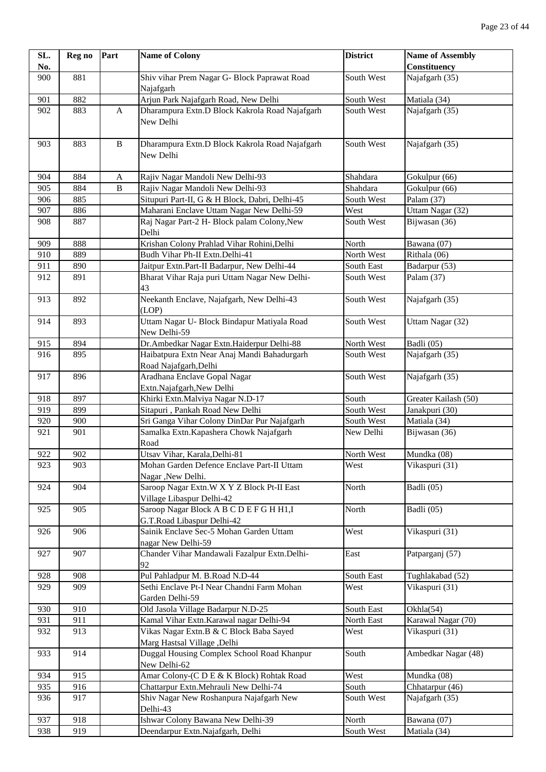| SL. | Reg no | Part         | <b>Name of Colony</b>                                                    | <b>District</b> | <b>Name of Assembly</b>        |
|-----|--------|--------------|--------------------------------------------------------------------------|-----------------|--------------------------------|
| No. |        |              |                                                                          |                 | Constituency                   |
| 900 | 881    |              | Shiv vihar Prem Nagar G- Block Paprawat Road<br>Najafgarh                | South West      | Najafgarh (35)                 |
| 901 | 882    |              | Arjun Park Najafgarh Road, New Delhi                                     | South West      | $\overline{\text{Matial}}(34)$ |
| 902 | 883    | $\mathbf{A}$ | Dharampura Extn.D Block Kakrola Road Najafgarh<br>New Delhi              | South West      | Najafgarh (35)                 |
| 903 | 883    | $\, {\bf B}$ | Dharampura Extn.D Block Kakrola Road Najafgarh<br>New Delhi              | South West      | Najafgarh (35)                 |
| 904 | 884    | A            | Rajiv Nagar Mandoli New Delhi-93                                         | Shahdara        | Gokulpur (66)                  |
| 905 | 884    | $\, {\bf B}$ | Rajiv Nagar Mandoli New Delhi-93                                         | Shahdara        | Gokulpur (66)                  |
| 906 | 885    |              | Situpuri Part-II, G & H Block, Dabri, Delhi-45                           | South West      | Palam (37)                     |
| 907 | 886    |              | Maharani Enclave Uttam Nagar New Delhi-59                                | West            | Uttam Nagar (32)               |
| 908 | 887    |              | Raj Nagar Part-2 H- Block palam Colony, New<br>Delhi                     | South West      | Bijwasan (36)                  |
| 909 | 888    |              | Krishan Colony Prahlad Vihar Rohini, Delhi                               | North           | Bawana (07)                    |
| 910 | 889    |              | Budh Vihar Ph-II Extn.Delhi-41                                           | North West      | Rithala (06)                   |
| 911 | 890    |              | Jaitpur Extn.Part-II Badarpur, New Delhi-44                              | South East      | Badarpur (53)                  |
| 912 | 891    |              | Bharat Vihar Raja puri Uttam Nagar New Delhi-<br>43                      | South West      | Palam (37)                     |
| 913 | 892    |              | Neekanth Enclave, Najafgarh, New Delhi-43<br>(LOP)                       | South West      | Najafgarh (35)                 |
| 914 | 893    |              | Uttam Nagar U- Block Bindapur Matiyala Road<br>New Delhi-59              | South West      | Uttam Nagar (32)               |
| 915 | 894    |              | Dr. Ambedkar Nagar Extn. Haiderpur Delhi-88                              | North West      | Badli (05)                     |
| 916 | 895    |              | Haibatpura Extn Near Anaj Mandi Bahadurgarh<br>Road Najafgarh, Delhi     | South West      | Najafgarh (35)                 |
| 917 | 896    |              | Aradhana Enclave Gopal Nagar<br>Extn.Najafgarh,New Delhi                 | South West      | Najafgarh (35)                 |
| 918 | 897    |              | Khirki Extn.Malviya Nagar N.D-17                                         | South           | Greater Kailash (50)           |
| 919 | 899    |              | Sitapuri, Pankah Road New Delhi                                          | South West      | Janakpuri (30)                 |
| 920 | 900    |              | Sri Ganga Vihar Colony DinDar Pur Najafgarh                              | South West      | Matiala (34)                   |
| 921 | 901    |              | Samalka Extn. Kapashera Chowk Najafgarh<br>Road                          | New Delhi       | Bijwasan (36)                  |
| 922 | 902    |              | Utsav Vihar, Karala, Delhi-81                                            | North West      | Mundka (08)                    |
| 923 | 903    |              | Mohan Garden Defence Enclave Part-II Uttam<br>Nagar , New Delhi.         | West            | Vikaspuri (31)                 |
| 924 | 904    |              | Saroop Nagar Extn. W X Y Z Block Pt-II East<br>Village Libaspur Delhi-42 | North           | Badli (05)                     |
| 925 | 905    |              | Saroop Nagar Block A B C D E F G H H1, I<br>G.T.Road Libaspur Delhi-42   | North           | Badli (05)                     |
| 926 | 906    |              | Sainik Enclave Sec-5 Mohan Garden Uttam<br>nagar New Delhi-59            | West            | Vikaspuri (31)                 |
| 927 | 907    |              | Chander Vihar Mandawali Fazalpur Extn.Delhi-<br>92                       | East            | Patparganj (57)                |
| 928 | 908    |              | Pul Pahladpur M. B.Road N.D-44                                           | South East      | Tughlakabad (52)               |
| 929 | 909    |              | Sethi Enclave Pt-I Near Chandni Farm Mohan<br>Garden Delhi-59            | West            | Vikaspuri (31)                 |
| 930 | 910    |              | Old Jasola Village Badarpur N.D-25                                       | South East      | Okhla(54)                      |
| 931 | 911    |              | Kamal Vihar Extn. Karawal nagar Delhi-94                                 | North East      | Karawal Nagar (70)             |
| 932 | 913    |              | Vikas Nagar Extn.B & C Block Baba Sayed<br>Marg Hastsal Village , Delhi  | West            | Vikaspuri (31)                 |
| 933 | 914    |              | Duggal Housing Complex School Road Khanpur<br>New Delhi-62               | South           | Ambedkar Nagar (48)            |
| 934 | 915    |              | Amar Colony-(C D E & K Block) Rohtak Road                                | West            | Mundka (08)                    |
| 935 | 916    |              | Chattarpur Extn.Mehrauli New Delhi-74                                    | South           | Chhatarpur (46)                |
| 936 | 917    |              | Shiv Nagar New Roshanpura Najafgarh New<br>Delhi-43                      | South West      | Najafgarh (35)                 |
| 937 | 918    |              | Ishwar Colony Bawana New Delhi-39                                        | North           | Bawana (07)                    |
| 938 | 919    |              | Deendarpur Extn.Najafgarh, Delhi                                         | South West      | Matiala (34)                   |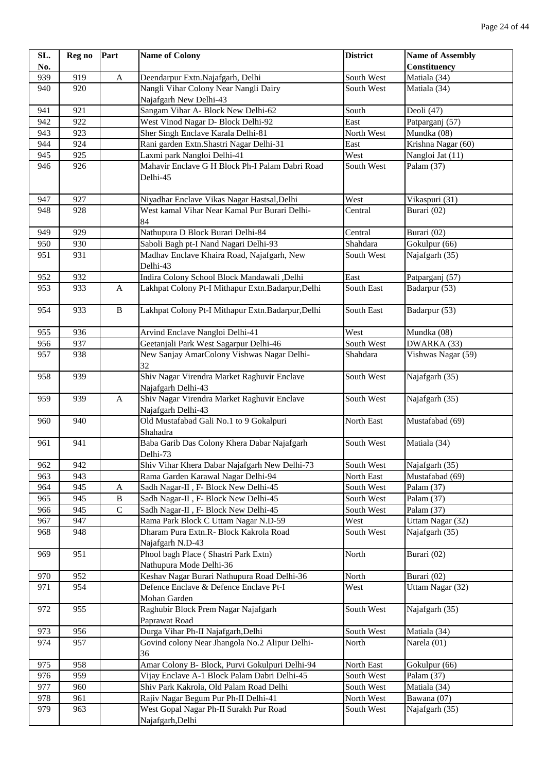| SL. | Reg no | Part         | <b>Name of Colony</b>                                             | <b>District</b> | <b>Name of Assembly</b>              |
|-----|--------|--------------|-------------------------------------------------------------------|-----------------|--------------------------------------|
| No. |        |              |                                                                   |                 | Constituency                         |
| 939 | 919    | $\mathbf{A}$ | Deendarpur Extn.Najafgarh, Delhi                                  | South West      | Matiala (34)                         |
| 940 | 920    |              | Nangli Vihar Colony Near Nangli Dairy<br>Najafgarh New Delhi-43   | South West      | Matiala (34)                         |
| 941 | 921    |              | Sangam Vihar A- Block New Delhi-62                                | South           | Deoli (47)                           |
| 942 | 922    |              | West Vinod Nagar D- Block Delhi-92                                | East            | Patparganj (57)                      |
| 943 | 923    |              | Sher Singh Enclave Karala Delhi-81                                | North West      | Mundka (08)                          |
| 944 | 924    |              | Rani garden Extn. Shastri Nagar Delhi-31                          | East            | Krishna Nagar (60)                   |
| 945 | 925    |              | Laxmi park Nangloi Delhi-41                                       | West            | Nangloi Jat (11)                     |
| 946 | 926    |              | Mahavir Enclave G H Block Ph-I Palam Dabri Road<br>Delhi-45       | South West      | Palam (37)                           |
| 947 | 927    |              | Niyadhar Enclave Vikas Nagar Hastsal, Delhi                       | West            | Vikaspuri (31)                       |
| 948 | 928    |              | West kamal Vihar Near Kamal Pur Burari Delhi-<br>84               | Central         | Burari (02)                          |
| 949 | 929    |              | Nathupura D Block Burari Delhi-84                                 | Central         | Burari (02)                          |
| 950 | 930    |              | Saboli Bagh pt-I Nand Nagari Delhi-93                             | Shahdara        | Gokulpur (66)                        |
| 951 | 931    |              | Madhav Enclave Khaira Road, Najafgarh, New<br>Delhi-43            | South West      | Najafgarh (35)                       |
| 952 | 932    |              | Indira Colony School Block Mandawali ,Delhi                       | East            | Patparganj (57)                      |
| 953 | 933    | A            | Lakhpat Colony Pt-I Mithapur Extn.Badarpur,Delhi                  | South East      | Badarpur (53)                        |
| 954 | 933    | $\, {\bf B}$ | Lakhpat Colony Pt-I Mithapur Extn.Badarpur,Delhi                  | South East      | Badarpur (53)                        |
| 955 | 936    |              | Arvind Enclave Nangloi Delhi-41                                   | West            | Mundka (08)                          |
| 956 | 937    |              | Geetanjali Park West Sagarpur Delhi-46                            | South West      | DWARKA (33)                          |
| 957 | 938    |              | New Sanjay AmarColony Vishwas Nagar Delhi-<br>32                  | Shahdara        | Vishwas Nagar (59)                   |
| 958 | 939    |              | Shiv Nagar Virendra Market Raghuvir Enclave<br>Najafgarh Delhi-43 | South West      | Najafgarh (35)                       |
| 959 | 939    | A            | Shiv Nagar Virendra Market Raghuvir Enclave<br>Najafgarh Delhi-43 | South West      | Najafgarh (35)                       |
| 960 | 940    |              | Old Mustafabad Gali No.1 to 9 Gokalpuri<br>Shahadra               | North East      | Mustafabad (69)                      |
| 961 | 941    |              | Baba Garib Das Colony Khera Dabar Najafgarh<br>Delhi-73           | South West      | Matiala (34)                         |
| 962 | 942    |              | Shiv Vihar Khera Dabar Najafgarh New Delhi-73                     | South West      | Najafgarh (35)                       |
| 963 | 943    |              | Rama Garden Karawal Nagar Delhi-94                                | North East      | $\overline{\text{M}}$ ustafabad (69) |
| 964 | 945    | A            | Sadh Nagar-II, F- Block New Delhi-45                              | South West      | Palam (37)                           |
| 965 | 945    | B            | Sadh Nagar-II, F- Block New Delhi-45                              | South West      | Palam (37)                           |
| 966 | 945    | $\mathbf C$  | Sadh Nagar-II, F- Block New Delhi-45                              | South West      | Palam (37)                           |
| 967 | 947    |              | Rama Park Block C Uttam Nagar N.D-59                              | West            | Uttam Nagar (32)                     |
| 968 | 948    |              | Dharam Pura Extn.R- Block Kakrola Road<br>Najafgarh N.D-43        | South West      | Najafgarh (35)                       |
| 969 | 951    |              | Phool bagh Place (Shastri Park Extn)<br>Nathupura Mode Delhi-36   | North           | Burari (02)                          |
| 970 | 952    |              | Keshav Nagar Burari Nathupura Road Delhi-36                       | North           | Burari (02)                          |
| 971 | 954    |              | Defence Enclave & Defence Enclave Pt-I<br>Mohan Garden            | West            | Uttam Nagar (32)                     |
| 972 | 955    |              | Raghubir Block Prem Nagar Najafgarh<br>Paprawat Road              | South West      | Najafgarh (35)                       |
| 973 | 956    |              | Durga Vihar Ph-II Najafgarh, Delhi                                | South West      | Matiala (34)                         |
| 974 | 957    |              | Govind colony Near Jhangola No.2 Alipur Delhi-<br>36              | North           | Narela (01)                          |
| 975 | 958    |              | Amar Colony B- Block, Purvi Gokulpuri Delhi-94                    | North East      | Gokulpur (66)                        |
| 976 | 959    |              | Vijay Enclave A-1 Block Palam Dabri Delhi-45                      | South West      | Palam (37)                           |
| 977 | 960    |              | Shiv Park Kakrola, Old Palam Road Delhi                           | South West      | Matiala (34)                         |
| 978 | 961    |              | Rajiv Nagar Begum Pur Ph-II Delhi-41                              | North West      | Bawana (07)                          |
| 979 | 963    |              | West Gopal Nagar Ph-II Surakh Pur Road<br>Najafgarh, Delhi        | South West      | Najafgarh (35)                       |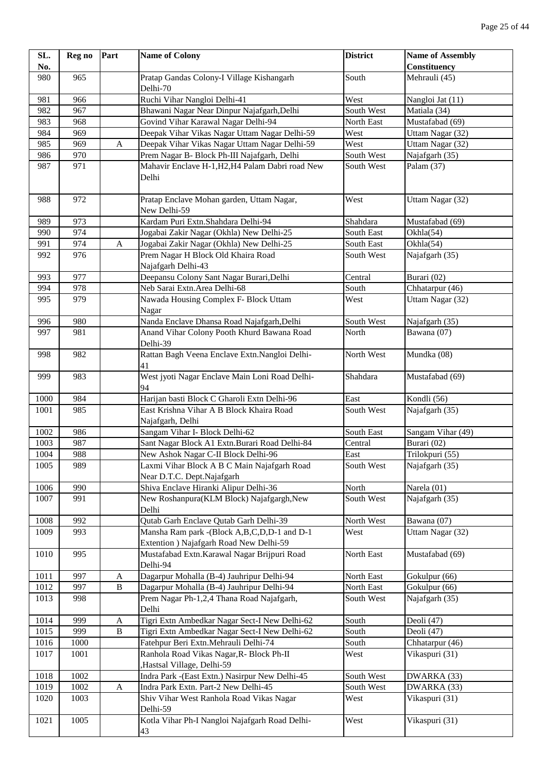| SL.  | Reg no | Part         | <b>Name of Colony</b>                                                                  | <b>District</b>   | <b>Name of Assembly</b> |
|------|--------|--------------|----------------------------------------------------------------------------------------|-------------------|-------------------------|
| No.  |        |              |                                                                                        |                   | Constituency            |
| 980  | 965    |              | Pratap Gandas Colony-I Village Kishangarh                                              | South             | Mehrauli (45)           |
|      |        |              | Delhi-70                                                                               |                   |                         |
| 981  | 966    |              | Ruchi Vihar Nangloi Delhi-41                                                           | West              | Nangloi Jat (11)        |
| 982  | 967    |              | Bhawani Nagar Near Dinpur Najafgarh, Delhi                                             | South West        | Matiala (34)            |
| 983  | 968    |              | Govind Vihar Karawal Nagar Delhi-94                                                    | North East        | Mustafabad (69)         |
| 984  | 969    |              | Deepak Vihar Vikas Nagar Uttam Nagar Delhi-59                                          | West              | Uttam Nagar (32)        |
| 985  | 969    | A            | Deepak Vihar Vikas Nagar Uttam Nagar Delhi-59                                          | West              | Uttam Nagar (32)        |
| 986  | 970    |              | Prem Nagar B- Block Ph-III Najafgarh, Delhi                                            | South West        | Najafgarh (35)          |
| 987  | 971    |              | Mahavir Enclave H-1, H2, H4 Palam Dabri road New                                       | South West        | Palam (37)              |
|      |        |              | Delhi                                                                                  |                   |                         |
| 988  | 972    |              | Pratap Enclave Mohan garden, Uttam Nagar,<br>New Delhi-59                              | West              | Uttam Nagar (32)        |
| 989  | 973    |              | Kardam Puri Extn.Shahdara Delhi-94                                                     | Shahdara          | Mustafabad (69)         |
| 990  | 974    |              | Jogabai Zakir Nagar (Okhla) New Delhi-25                                               | <b>South East</b> | Okhla(54)               |
| 991  | 974    | A            | Jogabai Zakir Nagar (Okhla) New Delhi-25                                               | South East        | Okhla(54)               |
| 992  | 976    |              | Prem Nagar H Block Old Khaira Road                                                     | South West        | Najafgarh (35)          |
|      |        |              | Najafgarh Delhi-43                                                                     |                   |                         |
| 993  | 977    |              | Deepansu Colony Sant Nagar Burari, Delhi                                               | Central           | Burari (02)             |
| 994  | 978    |              | Neb Sarai Extn.Area Delhi-68                                                           | South             | Chhatarpur (46)         |
| 995  | 979    |              | Nawada Housing Complex F- Block Uttam                                                  | West              | Uttam Nagar (32)        |
|      |        |              | Nagar                                                                                  |                   |                         |
| 996  | 980    |              | Nanda Enclave Dhansa Road Najafgarh, Delhi                                             | South West        | Najafgarh (35)          |
| 997  | 981    |              | Anand Vihar Colony Pooth Khurd Bawana Road                                             | North             | Bawana (07)             |
|      |        |              | Delhi-39                                                                               |                   |                         |
| 998  | 982    |              | Rattan Bagh Veena Enclave Extn.Nangloi Delhi-<br>41                                    | North West        | Mundka (08)             |
| 999  | 983    |              | West jyoti Nagar Enclave Main Loni Road Delhi-<br>94                                   | Shahdara          | Mustafabad (69)         |
| 1000 | 984    |              | Harijan basti Block C Gharoli Extn Delhi-96                                            | East              | Kondli (56)             |
| 1001 | 985    |              | East Krishna Vihar A B Block Khaira Road<br>Najafgarh, Delhi                           | South West        | Najafgarh (35)          |
| 1002 | 986    |              | Sangam Vihar I- Block Delhi-62                                                         | South East        | Sangam Vihar (49)       |
| 1003 | 987    |              | Sant Nagar Block A1 Extn.Burari Road Delhi-84                                          | Central           | Burari (02)             |
| 1004 | 988    |              | New Ashok Nagar C-II Block Delhi-96                                                    | East              | Trilokpuri (55)         |
| 1005 | 989    |              | Laxmi Vihar Block A B C Main Najafgarh Road<br>Near D.T.C. Dept.Najafgarh              | South West        | Najafgarh (35)          |
| 1006 | 990    |              | Shiva Enclave Hiranki Alipur Delhi-36                                                  | North             | Narela (01)             |
| 1007 | 991    |              | New Roshanpura(KLM Block) Najafgargh, New<br>Delhi                                     | South West        | Najafgarh (35)          |
| 1008 | 992    |              | Qutab Garh Enclave Qutab Garh Delhi-39                                                 | North West        | Bawana (07)             |
| 1009 | 993    |              | Mansha Ram park -(Block A,B,C,D,D-1 and D-1<br>Extention ) Najafgarh Road New Delhi-59 | West              | Uttam Nagar (32)        |
| 1010 | 995    |              | Mustafabad Extn. Karawal Nagar Brijpuri Road<br>Delhi-94                               | North East        | Mustafabad (69)         |
| 1011 | 997    | A            | Dagarpur Mohalla (B-4) Jauhripur Delhi-94                                              | North East        | Gokulpur (66)           |
| 1012 | 997    | $\, {\bf B}$ | Dagarpur Mohalla (B-4) Jauhripur Delhi-94                                              | North East        | Gokulpur (66)           |
| 1013 | 998    |              | Prem Nagar Ph-1,2,4 Thana Road Najafgarh,<br>Delhi                                     | South West        | Najafgarh (35)          |
| 1014 | 999    | A            | Tigri Extn Ambedkar Nagar Sect-I New Delhi-62                                          | South             | Deoli (47)              |
| 1015 | 999    | $\, {\bf B}$ | Tigri Extn Ambedkar Nagar Sect-I New Delhi-62                                          | South             | Deoli (47)              |
| 1016 | 1000   |              | Fatehpur Beri Extn.Mehrauli Delhi-74                                                   | South             | Chhatarpur (46)         |
| 1017 | 1001   |              | Ranhola Road Vikas Nagar, R- Block Ph-II                                               | West              | Vikaspuri (31)          |
|      |        |              | Hastsal Village, Delhi-59                                                              |                   |                         |
| 1018 | 1002   |              | Indra Park -(East Extn.) Nasirpur New Delhi-45                                         | South West        | DWARKA (33)             |
| 1019 | 1002   | $\mathbf{A}$ | Indra Park Extn. Part-2 New Delhi-45                                                   | South West        | DWARKA (33)             |
| 1020 | 1003   |              | Shiv Vihar West Ranhola Road Vikas Nagar<br>Delhi-59                                   | West              | Vikaspuri (31)          |
| 1021 | 1005   |              | Kotla Vihar Ph-I Nangloi Najafgarh Road Delhi-<br>43                                   | West              | Vikaspuri (31)          |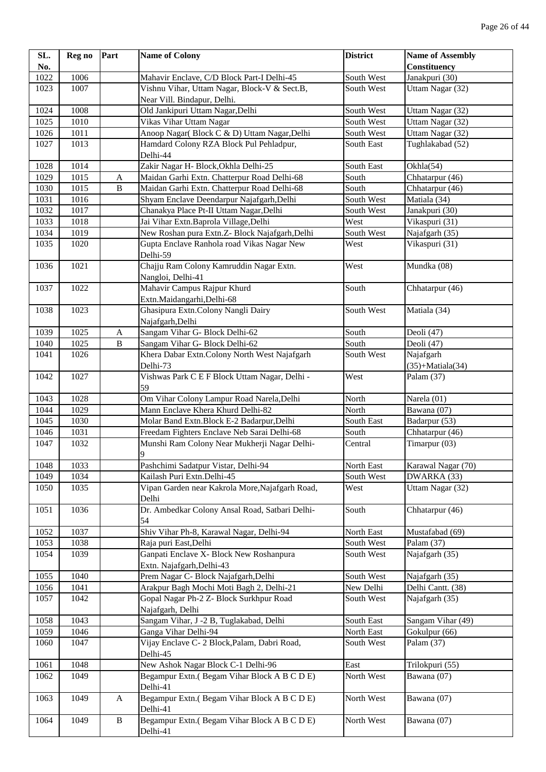| SL.  | Reg no | Part         | <b>Name of Colony</b>                                                       | <b>District</b> | <b>Name of Assembly</b>   |
|------|--------|--------------|-----------------------------------------------------------------------------|-----------------|---------------------------|
| No.  |        |              |                                                                             |                 | Constituency              |
| 1022 | 1006   |              | Mahavir Enclave, C/D Block Part-I Delhi-45                                  | South West      | Janakpuri (30)            |
| 1023 | 1007   |              | Vishnu Vihar, Uttam Nagar, Block-V & Sect.B,<br>Near Vill. Bindapur, Delhi. | South West      | Uttam Nagar (32)          |
| 1024 | 1008   |              | Old Jankipuri Uttam Nagar, Delhi                                            | South West      | Uttam Nagar (32)          |
| 1025 | 1010   |              | Vikas Vihar Uttam Nagar                                                     | South West      | Uttam Nagar (32)          |
| 1026 | 1011   |              | Anoop Nagar(Block C & D) Uttam Nagar, Delhi                                 | South West      | Uttam Nagar (32)          |
| 1027 | 1013   |              | Hamdard Colony RZA Block Pul Pehladpur,                                     | South East      | Tughlakabad (52)          |
|      |        |              | Delhi-44                                                                    |                 |                           |
| 1028 | 1014   |              | Zakir Nagar H- Block, Okhla Delhi-25                                        | South East      | Okhla(54)                 |
| 1029 | 1015   | A            | Maidan Garhi Extn. Chatterpur Road Delhi-68                                 | South           | Chhatarpur (46)           |
| 1030 | 1015   | $\, {\bf B}$ | Maidan Garhi Extn. Chatterpur Road Delhi-68                                 | South           | Chhatarpur (46)           |
| 1031 | 1016   |              | Shyam Enclave Deendarpur Najafgarh, Delhi                                   | South West      | Matiala (34)              |
| 1032 | 1017   |              | Chanakya Place Pt-II Uttam Nagar, Delhi                                     | South West      | Janakpuri (30)            |
| 1033 | 1018   |              | Jai Vihar Extn. Baprola Village, Delhi                                      | West            | Vikaspuri (31)            |
| 1034 | 1019   |              | New Roshan pura Extn.Z- Block Najafgarh, Delhi                              | South West      | Najafgarh (35)            |
| 1035 | 1020   |              | Gupta Enclave Ranhola road Vikas Nagar New<br>Delhi-59                      | West            | Vikaspuri (31)            |
| 1036 | 1021   |              | Chajju Ram Colony Kamruddin Nagar Extn.<br>Nangloi, Delhi-41                | West            | Mundka (08)               |
| 1037 | 1022   |              | Mahavir Campus Rajpur Khurd<br>Extn.Maidangarhi,Delhi-68                    | South           | Chhatarpur (46)           |
| 1038 | 1023   |              | Ghasipura Extn.Colony Nangli Dairy<br>Najafgarh, Delhi                      | South West      | Matiala (34)              |
| 1039 | 1025   | A            | Sangam Vihar G- Block Delhi-62                                              | South           | Deoli (47)                |
| 1040 | 1025   | $\, {\bf B}$ | Sangam Vihar G- Block Delhi-62                                              | South           | Deoli (47)                |
| 1041 | 1026   |              | Khera Dabar Extn.Colony North West Najafgarh                                | South West      | Najafgarh                 |
|      |        |              | Delhi-73                                                                    |                 | $(35)+\text{Matiala}(34)$ |
| 1042 | 1027   |              | Vishwas Park C E F Block Uttam Nagar, Delhi -<br>59                         | West            | Palam (37)                |
| 1043 | 1028   |              | Om Vihar Colony Lampur Road Narela, Delhi                                   | North           | Narela $(01)$             |
| 1044 | 1029   |              | Mann Enclave Khera Khurd Delhi-82                                           | North           | Bawana (07)               |
| 1045 | 1030   |              | Molar Band Extn.Block E-2 Badarpur, Delhi                                   | South East      | Badarpur (53)             |
| 1046 | 1031   |              | Freedam Fighters Enclave Neb Sarai Delhi-68                                 | South           | Chhatarpur (46)           |
| 1047 | 1032   |              | Munshi Ram Colony Near Mukherji Nagar Delhi-                                | Central         | Timarpur (03)             |
|      |        |              | 9                                                                           |                 |                           |
| 1048 | 1033   |              | Pashchimi Sadatpur Vistar, Delhi-94                                         | North East      | Karawal Nagar (70)        |
| 1049 | 1034   |              | Kailash Puri Extn.Delhi-45                                                  | South West      | DWARKA (33)               |
| 1050 | 1035   |              | Vipan Garden near Kakrola More, Najafgarh Road,<br>Delhi                    | West            | Uttam Nagar (32)          |
| 1051 | 1036   |              | Dr. Ambedkar Colony Ansal Road, Satbari Delhi-<br>54                        | South           | Chhatarpur (46)           |
| 1052 | 1037   |              | Shiv Vihar Ph-8, Karawal Nagar, Delhi-94                                    | North East      | Mustafabad (69)           |
| 1053 | 1038   |              | Raja puri East, Delhi                                                       | South West      | Palam (37)                |
| 1054 | 1039   |              | Ganpati Enclave X- Block New Roshanpura                                     | South West      | Najafgarh (35)            |
|      |        |              | Extn. Najafgarh, Delhi-43                                                   |                 |                           |
| 1055 | 1040   |              | Prem Nagar C- Block Najafgarh, Delhi                                        | South West      | Najafgarh (35)            |
| 1056 | 1041   |              | Arakpur Bagh Mochi Moti Bagh 2, Delhi-21                                    | New Delhi       | Delhi Cantt. (38)         |
| 1057 | 1042   |              | Gopal Nagar Ph-2 Z- Block Surkhpur Road                                     | South West      | Najafgarh (35)            |
|      |        |              | Najafgarh, Delhi                                                            |                 |                           |
| 1058 | 1043   |              | Sangam Vihar, J -2 B, Tuglakabad, Delhi                                     | South East      | Sangam Vihar (49)         |
| 1059 | 1046   |              | Ganga Vihar Delhi-94                                                        | North East      | Gokulpur (66)             |
| 1060 | 1047   |              | Vijay Enclave C- 2 Block, Palam, Dabri Road,<br>Delhi-45                    | South West      | Palam (37)                |
| 1061 | 1048   |              | New Ashok Nagar Block C-1 Delhi-96                                          | East            | Trilokpuri (55)           |
| 1062 | 1049   |              | Begampur Extn.(Begam Vihar Block A B C D E)<br>Delhi-41                     | North West      | Bawana (07)               |
| 1063 | 1049   | $\mathbf{A}$ | Begampur Extn.(Begam Vihar Block A B C D E)<br>Delhi-41                     | North West      | Bawana (07)               |
| 1064 | 1049   | $\, {\bf B}$ | Begampur Extn.(Begam Vihar Block A B C D E)<br>Delhi-41                     | North West      | Bawana (07)               |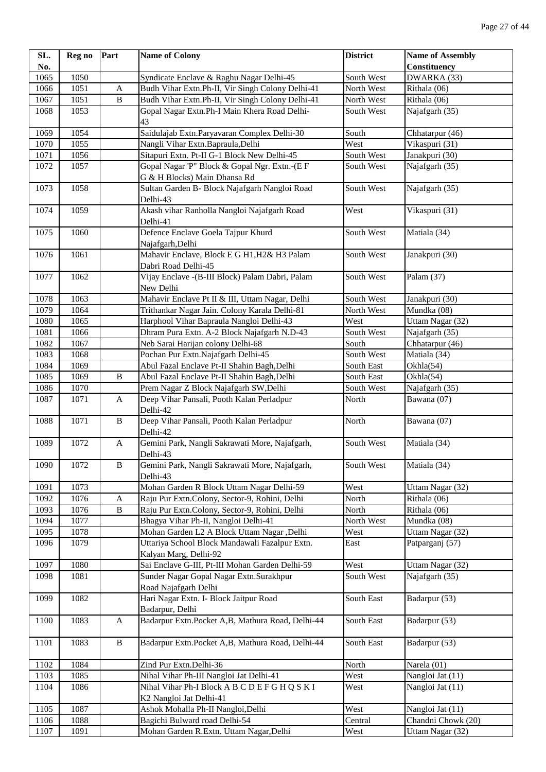| SL.  | Reg no | Part                      | <b>Name of Colony</b>                            | <b>District</b> | <b>Name of Assembly</b> |
|------|--------|---------------------------|--------------------------------------------------|-----------------|-------------------------|
| No.  |        |                           |                                                  |                 | Constituency            |
| 1065 | 1050   |                           | Syndicate Enclave & Raghu Nagar Delhi-45         | South West      | DWARKA (33)             |
| 1066 | 1051   | $\boldsymbol{\mathsf{A}}$ | Budh Vihar Extn.Ph-II, Vir Singh Colony Delhi-41 | North West      | Rithala (06)            |
| 1067 | 1051   | $\, {\bf B}$              | Budh Vihar Extn.Ph-II, Vir Singh Colony Delhi-41 | North West      | Rithala (06)            |
| 1068 | 1053   |                           | Gopal Nagar Extn.Ph-I Main Khera Road Delhi-     | South West      | Najafgarh (35)          |
|      |        |                           | 43                                               |                 |                         |
| 1069 | 1054   |                           | Saidulajab Extn. Paryavaran Complex Delhi-30     | South           | Chhatarpur (46)         |
| 1070 | 1055   |                           | Nangli Vihar Extn.Bapraula,Delhi                 | West            | Vikaspuri (31)          |
| 1071 | 1056   |                           | Sitapuri Extn. Pt-II G-1 Block New Delhi-45      | South West      | Janakpuri (30)          |
| 1072 | 1057   |                           | Gopal Nagar 'P" Block & Gopal Ngr. Extn.-(E F    | South West      | Najafgarh (35)          |
|      |        |                           | G & H Blocks) Main Dhansa Rd                     |                 |                         |
| 1073 | 1058   |                           | Sultan Garden B- Block Najafgarh Nangloi Road    | South West      | Najafgarh (35)          |
|      |        |                           | Delhi-43                                         |                 |                         |
| 1074 | 1059   |                           | Akash vihar Ranholla Nangloi Najafgarh Road      | West            | Vikaspuri (31)          |
|      |        |                           | Delhi-41                                         |                 |                         |
| 1075 | 1060   |                           | Defence Enclave Goela Tajpur Khurd               | South West      | Matiala (34)            |
|      |        |                           | Najafgarh, Delhi                                 |                 |                         |
| 1076 | 1061   |                           | Mahavir Enclave, Block E G H1, H2& H3 Palam      | South West      | Janakpuri (30)          |
|      |        |                           | Dabri Road Delhi-45                              |                 |                         |
| 1077 | 1062   |                           | Vijay Enclave - (B-III Block) Palam Dabri, Palam | South West      | Palam (37)              |
|      |        |                           | New Delhi                                        |                 |                         |
| 1078 | 1063   |                           | Mahavir Enclave Pt II & III, Uttam Nagar, Delhi  | South West      | Janakpuri (30)          |
| 1079 | 1064   |                           | Trithankar Nagar Jain. Colony Karala Delhi-81    | North West      | Mundka (08)             |
| 1080 | 1065   |                           | Harphool Vihar Bapraula Nangloi Delhi-43         | West            | Uttam Nagar (32)        |
| 1081 | 1066   |                           | Dhram Pura Extn. A-2 Block Najafgarh N.D-43      | South West      | Najafgarh (35)          |
| 1082 | 1067   |                           | Neb Sarai Harijan colony Delhi-68                | South           | Chhatarpur (46)         |
| 1083 | 1068   |                           | Pochan Pur Extn.Najafgarh Delhi-45               | South West      | Matiala (34)            |
| 1084 | 1069   |                           | Abul Fazal Enclave Pt-II Shahin Bagh, Delhi      | South East      | Okhla(54)               |
| 1085 | 1069   | $\, {\bf B}$              | Abul Fazal Enclave Pt-II Shahin Bagh, Delhi      | South East      | Okhla(54)               |
| 1086 | 1070   |                           | Prem Nagar Z Block Najafgarh SW, Delhi           | South West      | Najafgarh (35)          |
| 1087 | 1071   | A                         | Deep Vihar Pansali, Pooth Kalan Perladpur        | North           | Bawana (07)             |
|      |        |                           | Delhi-42                                         |                 |                         |
| 1088 | 1071   | $\, {\bf B}$              | Deep Vihar Pansali, Pooth Kalan Perladpur        | North           | Bawana (07)             |
|      |        |                           | Delhi-42                                         |                 |                         |
| 1089 | 1072   | A                         | Gemini Park, Nangli Sakrawati More, Najafgarh,   | South West      | Matiala (34)            |
|      |        |                           | Delhi-43                                         |                 |                         |
| 1090 | 1072   | $\, {\bf B}$              | Gemini Park, Nangli Sakrawati More, Najafgarh,   | South West      | Matiala (34)            |
|      |        |                           | Delhi-43                                         |                 |                         |
| 1091 | 1073   |                           | Mohan Garden R Block Uttam Nagar Delhi-59        | West            | Uttam Nagar (32)        |
| 1092 | 1076   | A                         | Raju Pur Extn.Colony, Sector-9, Rohini, Delhi    | North           | Rithala (06)            |
| 1093 | 1076   | $\, {\bf B}$              | Raju Pur Extn.Colony, Sector-9, Rohini, Delhi    | North           | Rithala (06)            |
| 1094 | 1077   |                           | Bhagya Vihar Ph-II, Nangloi Delhi-41             | North West      | Mundka (08)             |
| 1095 | 1078   |                           | Mohan Garden L2 A Block Uttam Nagar ,Delhi       | West            | Uttam Nagar (32)        |
| 1096 | 1079   |                           | Uttariya School Block Mandawali Fazalpur Extn.   | East            | Patparganj (57)         |
|      |        |                           | Kalyan Marg, Delhi-92                            |                 |                         |
| 1097 | 1080   |                           | Sai Enclave G-III, Pt-III Mohan Garden Delhi-59  | West            | Uttam Nagar (32)        |
| 1098 | 1081   |                           | Sunder Nagar Gopal Nagar Extn.Surakhpur          | South West      | Najafgarh (35)          |
|      |        |                           | Road Najafgarh Delhi                             |                 |                         |
| 1099 | 1082   |                           | Hari Nagar Extn. I- Block Jaitpur Road           | South East      | Badarpur (53)           |
|      |        |                           | Badarpur, Delhi                                  |                 |                         |
| 1100 | 1083   | A                         | Badarpur Extn.Pocket A,B, Mathura Road, Delhi-44 | South East      | Badarpur (53)           |
|      |        |                           |                                                  |                 |                         |
| 1101 | 1083   | $\, {\bf B}$              | Badarpur Extn.Pocket A,B, Mathura Road, Delhi-44 | South East      | Badarpur (53)           |
|      |        |                           |                                                  |                 |                         |
| 1102 | 1084   |                           | Zind Pur Extn.Delhi-36                           | North           | Narela (01)             |
| 1103 | 1085   |                           | Nihal Vihar Ph-III Nangloi Jat Delhi-41          | West            | Nangloi Jat (11)        |
| 1104 | 1086   |                           | Nihal Vihar Ph-I Block A B C D E F G H Q S K I   | West            | Nangloi Jat (11)        |
|      |        |                           | K2 Nangloi Jat Delhi-41                          |                 |                         |
| 1105 | 1087   |                           | Ashok Mohalla Ph-II Nangloi, Delhi               | West            | Nangloi Jat (11)        |
| 1106 | 1088   |                           | Bagichi Bulward road Delhi-54                    | Central         | Chandni Chowk (20)      |
| 1107 | 1091   |                           | Mohan Garden R.Extn. Uttam Nagar, Delhi          | West            | Uttam Nagar (32)        |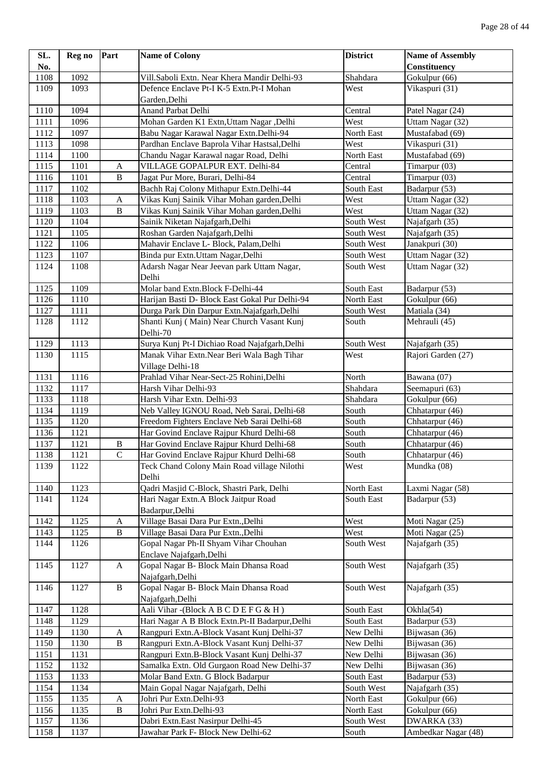| SL.  | Reg no           | Part                  | <b>Name of Colony</b>                                   | <b>District</b> | <b>Name of Assembly</b>              |
|------|------------------|-----------------------|---------------------------------------------------------|-----------------|--------------------------------------|
| No.  |                  |                       |                                                         |                 | Constituency                         |
| 1108 | <sup>1</sup> 092 |                       | Vill.Saboli Extn. Near Khera Mandir Delhi-93            | Shahdara        | Gokulpur (66)                        |
| 1109 | 1093             |                       | Defence Enclave Pt-I K-5 Extn.Pt-I Mohan                | West            | Vikaspuri (31)                       |
|      |                  |                       | Garden, Delhi                                           |                 |                                      |
| 1110 | 1094             |                       | Anand Parbat Delhi                                      | Central         | Patel Nagar (24)                     |
| 1111 | 1096             |                       | Mohan Garden K1 Extn, Uttam Nagar , Delhi               | West            | Uttam Nagar (32)                     |
| 1112 | 1097             |                       | Babu Nagar Karawal Nagar Extn.Delhi-94                  | North East      | Mustafabad (69)                      |
| 1113 | 1098             |                       | Pardhan Enclave Baprola Vihar Hastsal, Delhi            | West            | Vikaspuri (31)                       |
| 1114 | 1100             |                       | Chandu Nagar Karawal nagar Road, Delhi                  | North East      | Mustafabad (69)                      |
| 1115 | 1101             | A                     | VILLAGE GOPALPUR EXT. Delhi-84                          | Central         | Timarpur (03)                        |
| 1116 | 1101             | $\, {\bf B}$          | Jagat Pur More, Burari, Delhi-84                        | Central         | Timarpur (03)                        |
| 1117 | 1102             |                       | Bachh Raj Colony Mithapur Extn.Delhi-44                 | South East      | Badarpur (53)                        |
| 1118 | 1103             | $\mathbf{A}$          | Vikas Kunj Sainik Vihar Mohan garden, Delhi             | West            | Uttam Nagar (32)                     |
| 1119 | 1103             | $\, {\bf B}$          | Vikas Kunj Sainik Vihar Mohan garden, Delhi             | West            | Uttam Nagar (32)                     |
| 1120 | 1104             |                       | Sainik Niketan Najafgarh, Delhi                         | South West      | Najafgarh (35)                       |
| 1121 | 1105             |                       | Roshan Garden Najafgarh, Delhi                          | South West      | Najafgarh (35)                       |
| 1122 | 1106             |                       | Mahavir Enclave L- Block, Palam, Delhi                  | South West      | Janakpuri (30)                       |
| 1123 | 1107             |                       | Binda pur Extn. Uttam Nagar, Delhi                      | South West      | Uttam Nagar (32)                     |
| 1124 | 1108             |                       | Adarsh Nagar Near Jeevan park Uttam Nagar,<br>Delhi     | South West      | Uttam Nagar (32)                     |
| 1125 | 1109             |                       | Molar band Extn.Block F-Delhi-44                        | South East      | Badarpur (53)                        |
| 1126 | 1110             |                       | Harijan Basti D- Block East Gokal Pur Delhi-94          | North East      | Gokulpur (66)                        |
| 1127 | 1111             |                       | Durga Park Din Darpur Extn.Najafgarh,Delhi              | South West      | Matiala (34)                         |
| 1128 | 1112             |                       | Shanti Kunj (Main) Near Church Vasant Kunj<br>Delhi-70  | South           | Mehrauli (45)                        |
| 1129 | 1113             |                       | Surya Kunj Pt-I Dichiao Road Najafgarh, Delhi           | South West      | Najafgarh (35)                       |
| 1130 | 1115             |                       | Manak Vihar Extn. Near Beri Wala Bagh Tihar             | West            | Rajori Garden (27)                   |
|      |                  |                       | Village Delhi-18                                        |                 |                                      |
| 1131 | 1116             |                       | Prahlad Vihar Near-Sect-25 Rohini, Delhi                | North           | Bawana (07)                          |
| 1132 | 1117             |                       | Harsh Vihar Delhi-93                                    | Shahdara        | Seemapuri (63)                       |
| 1133 | 1118             |                       | Harsh Vihar Extn. Delhi-93                              | Shahdara        | Gokulpur (66)                        |
| 1134 | 1119             |                       | Neb Valley IGNOU Road, Neb Sarai, Delhi-68              | South           | Chhatarpur (46)                      |
| 1135 | 1120             |                       | Freedom Fighters Enclave Neb Sarai Delhi-68             | South           | Chhatarpur (46)                      |
| 1136 | 1121             |                       | Har Govind Enclave Rajpur Khurd Delhi-68                | South           | Chhatarpur (46)                      |
| 1137 | 1121             | $\, {\bf B}$          | Har Govind Enclave Rajpur Khurd Delhi-68                | South           | Chhatarpur (46)                      |
| 1138 | 1121             | $\mathcal{C}$         | Har Govind Enclave Rajpur Khurd Delhi-68                | South           | $\overline{\text{Ch}}$ hatarpur (46) |
| 1139 | 1122             |                       | Teck Chand Colony Main Road village Nilothi<br>Delhi    | West            | Mundka (08)                          |
| 1140 | 1123             |                       | Qadri Masjid C-Block, Shastri Park, Delhi               | North East      | Laxmi Nagar (58)                     |
| 1141 | 1124             |                       | Hari Nagar Extn.A Block Jaitpur Road<br>Badarpur, Delhi | South East      | Badarpur (53)                        |
| 1142 | 1125             | A                     | Village Basai Dara Pur Extn., Delhi                     | West            | Moti Nagar (25)                      |
| 1143 | 1125             | $\, {\bf B}$          | Village Basai Dara Pur Extn., Delhi                     | West            | Moti Nagar (25)                      |
| 1144 | 1126             |                       | Gopal Nagar Ph-II Shyam Vihar Chouhan                   | South West      | Najafgarh (35)                       |
|      |                  |                       | Enclave Najafgarh, Delhi                                |                 |                                      |
| 1145 | 1127             | $\mathbf{A}$          | Gopal Nagar B- Block Main Dhansa Road                   | South West      | Najafgarh (35)                       |
|      |                  |                       | Najafgarh, Delhi                                        |                 |                                      |
| 1146 | 1127             | $\, {\bf B}$          | Gopal Nagar B- Block Main Dhansa Road                   | South West      | Najafgarh (35)                       |
|      |                  |                       | Najafgarh, Delhi                                        |                 |                                      |
| 1147 | 1128             |                       | Aali Vihar - (Block A B C D E F G & H)                  | South East      | Okhla(54)                            |
| 1148 | 1129             |                       | Hari Nagar A B Block Extn.Pt-II Badarpur, Delhi         | South East      | Badarpur (53)                        |
| 1149 | 1130             | A                     | Rangpuri Extn.A-Block Vasant Kunj Delhi-37              | New Delhi       | Bijwasan (36)                        |
| 1150 | 1130             | $\, {\bf B}$          | Rangpuri Extn.A-Block Vasant Kunj Delhi-37              | New Delhi       | Bijwasan (36)                        |
| 1151 | 1131             |                       | Rangpuri Extn.B-Block Vasant Kunj Delhi-37              | New Delhi       | Bijwasan (36)                        |
| 1152 | 1132             |                       | Samalka Extn. Old Gurgaon Road New Delhi-37             | New Delhi       | Bijwasan (36)                        |
| 1153 | 1133             |                       | Molar Band Extn. G Block Badarpur                       | South East      | Badarpur (53)                        |
| 1154 | 1134             |                       | Main Gopal Nagar Najafgarh, Delhi                       | South West      | Najafgarh (35)                       |
| 1155 | 1135             | $\boldsymbol{\rm{A}}$ | Johri Pur Extn.Delhi-93                                 | North East      | Gokulpur (66)                        |
| 1156 | 1135             | $\, {\bf B}$          | Johri Pur Extn.Delhi-93                                 | North East      | Gokulpur (66)                        |
| 1157 | 1136             |                       | Dabri Extn. East Nasirpur Delhi-45                      | South West      | DWARKA (33)                          |
| 1158 | 1137             |                       | Jawahar Park F- Block New Delhi-62                      | South           | Ambedkar Nagar (48)                  |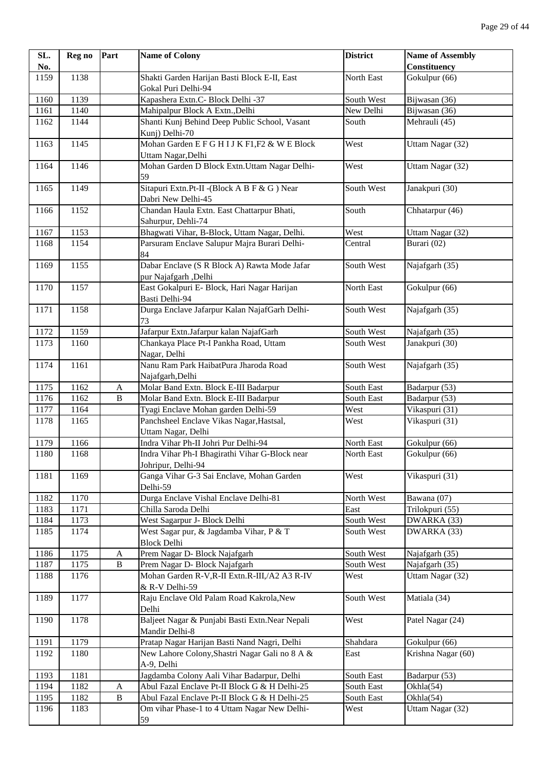| SL.  | Reg no | Part         | <b>Name of Colony</b>                                                | <b>District</b> | <b>Name of Assembly</b> |
|------|--------|--------------|----------------------------------------------------------------------|-----------------|-------------------------|
| No.  |        |              |                                                                      |                 | Constituency            |
| 1159 | 1138   |              | Shakti Garden Harijan Basti Block E-II, East                         | North East      | Gokulpur (66)           |
|      |        |              | Gokal Puri Delhi-94                                                  |                 |                         |
| 1160 | 1139   |              | Kapashera Extn.C- Block Delhi -37                                    | South West      | Bijwasan (36)           |
| 1161 | 1140   |              | Mahipalpur Block A Extn., Delhi                                      | New Delhi       | Bijwasan (36)           |
| 1162 | 1144   |              | Shanti Kunj Behind Deep Public School, Vasant                        | South           | Mehrauli (45)           |
|      |        |              | Kunj) Delhi-70                                                       |                 |                         |
| 1163 | 1145   |              | Mohan Garden E F G H I J K F1, F2 & W E Block<br>Uttam Nagar, Delhi  | West            | Uttam Nagar (32)        |
| 1164 | 1146   |              | Mohan Garden D Block Extn. Uttam Nagar Delhi-<br>59                  | West            | Uttam Nagar (32)        |
| 1165 | 1149   |              | Sitapuri Extn.Pt-II - (Block A B F & G ) Near<br>Dabri New Delhi-45  | South West      | Janakpuri (30)          |
| 1166 | 1152   |              | Chandan Haula Extn. East Chattarpur Bhati,<br>Sahurpur, Dehli-74     | South           | Chhatarpur (46)         |
| 1167 | 1153   |              | Bhagwati Vihar, B-Block, Uttam Nagar, Delhi.                         | West            | Uttam Nagar (32)        |
| 1168 | 1154   |              | Parsuram Enclave Salupur Majra Burari Delhi-                         | Central         | Burari (02)             |
|      |        |              | 84                                                                   |                 |                         |
| 1169 | 1155   |              | Dabar Enclave (S R Block A) Rawta Mode Jafar<br>pur Najafgarh ,Delhi | South West      | Najafgarh (35)          |
| 1170 | 1157   |              | East Gokalpuri E- Block, Hari Nagar Harijan<br>Basti Delhi-94        | North East      | Gokulpur (66)           |
| 1171 | 1158   |              | Durga Enclave Jafarpur Kalan NajafGarh Delhi-<br>73                  | South West      | Najafgarh (35)          |
| 1172 | 1159   |              | Jafarpur Extn.Jafarpur kalan NajafGarh                               | South West      | Najafgarh (35)          |
| 1173 | 1160   |              | Chankaya Place Pt-I Pankha Road, Uttam<br>Nagar, Delhi               | South West      | Janakpuri (30)          |
| 1174 | 1161   |              | Nanu Ram Park HaibatPura Jharoda Road<br>Najafgarh, Delhi            | South West      | Najafgarh (35)          |
| 1175 | 1162   | A            | Molar Band Extn. Block E-III Badarpur                                | South East      | Badarpur (53)           |
| 1176 | 1162   | $\, {\bf B}$ | Molar Band Extn. Block E-III Badarpur                                | South East      | Badarpur (53)           |
| 1177 | 1164   |              | Tyagi Enclave Mohan garden Delhi-59                                  | West            | Vikaspuri (31)          |
| 1178 | 1165   |              | Panchsheel Enclave Vikas Nagar, Hastsal,                             | West            | Vikaspuri (31)          |
|      |        |              | Uttam Nagar, Delhi                                                   |                 |                         |
| 1179 | 1166   |              | Indra Vihar Ph-II Johri Pur Delhi-94                                 | North East      | Gokulpur (66)           |
| 1180 | 1168   |              | Indra Vihar Ph-I Bhagirathi Vihar G-Block near<br>Johripur, Delhi-94 | North East      | Gokulpur (66)           |
| 1181 | 1169   |              | Ganga Vihar G-3 Sai Enclave, Mohan Garden<br>Delhi-59                | West            | Vikaspuri (31)          |
| 1182 | 1170   |              | Durga Enclave Vishal Enclave Delhi-81                                | North West      | Bawana (07)             |
| 1183 | 1171   |              | Chilla Saroda Delhi                                                  | East            | Trilokpuri (55)         |
| 1184 | 1173   |              | West Sagarpur J- Block Delhi                                         | South West      | DWARKA (33)             |
| 1185 | 1174   |              | West Sagar pur, & Jagdamba Vihar, P & T<br><b>Block Delhi</b>        | South West      | DWARKA (33)             |
| 1186 | 1175   | A            | Prem Nagar D- Block Najafgarh                                        | South West      | Najafgarh (35)          |
| 1187 | 1175   | $\, {\bf B}$ | Prem Nagar D- Block Najafgarh                                        | South West      | Najafgarh (35)          |
| 1188 | 1176   |              | Mohan Garden R-V, R-II Extn. R-III, / A2 A3 R-IV<br>& R-V Delhi-59   | West            | Uttam Nagar (32)        |
| 1189 | 1177   |              | Raju Enclave Old Palam Road Kakrola, New<br>Delhi                    | South West      | Matiala (34)            |
| 1190 | 1178   |              | Baljeet Nagar & Punjabi Basti Extn.Near Nepali<br>Mandir Delhi-8     | West            | Patel Nagar (24)        |
| 1191 | 1179   |              | Pratap Nagar Harijan Basti Nand Nagri, Delhi                         | Shahdara        | Gokulpur (66)           |
| 1192 | 1180   |              | New Lahore Colony, Shastri Nagar Gali no 8 A &<br>A-9, Delhi         | East            | Krishna Nagar (60)      |
| 1193 | 1181   |              | Jagdamba Colony Aali Vihar Badarpur, Delhi                           | South East      | Badarpur (53)           |
| 1194 | 1182   | A            | Abul Fazal Enclave Pt-II Block G & H Delhi-25                        | South East      | Okhla(54)               |
| 1195 | 1182   | $\, {\bf B}$ | Abul Fazal Enclave Pt-II Block G & H Delhi-25                        | South East      | Okhla(54)               |
| 1196 | 1183   |              | Om vihar Phase-1 to 4 Uttam Nagar New Delhi-                         | West            | Uttam Nagar (32)        |
|      |        |              | 59                                                                   |                 |                         |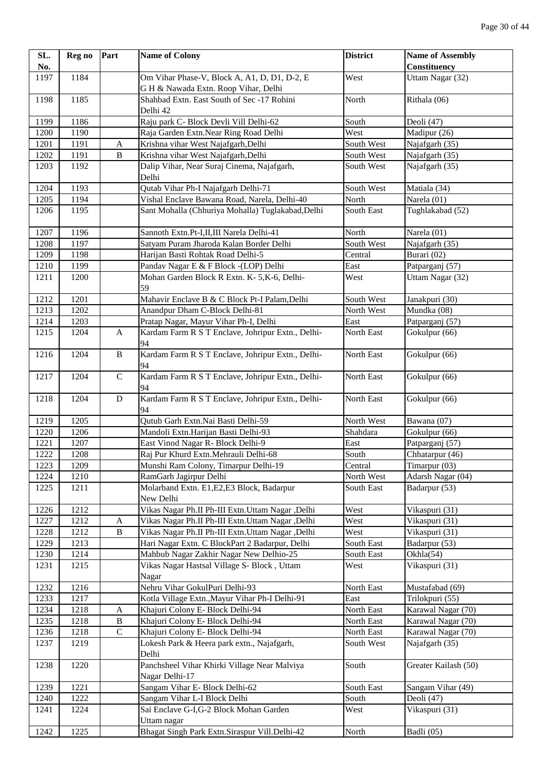| SL.  | Reg no | Part         | <b>Name of Colony</b>                                          | <b>District</b> | <b>Name of Assembly</b> |
|------|--------|--------------|----------------------------------------------------------------|-----------------|-------------------------|
| No.  |        |              |                                                                |                 | <b>Constituency</b>     |
| 1197 | 1184   |              | Om Vihar Phase-V, Block A, A1, D, D1, D-2, E                   | West            | Uttam Nagar (32)        |
|      |        |              | G H & Nawada Extn. Roop Vihar, Delhi                           |                 |                         |
| 1198 | 1185   |              | Shahbad Extn. East South of Sec -17 Rohini<br>Delhi 42         | North           | Rithala (06)            |
| 1199 | 1186   |              | Raju park C- Block Devli Vill Delhi-62                         | South           | Deoli (47)              |
| 1200 | 1190   |              | Raja Garden Extn.Near Ring Road Delhi                          | West            | Madipur (26)            |
| 1201 | 1191   | $\mathbf A$  | Krishna vihar West Najafgarh, Delhi                            | South West      | Najafgarh (35)          |
| 1202 | 1191   | $\, {\bf B}$ | Krishna vihar West Najafgarh, Delhi                            | South West      | Najafgarh (35)          |
| 1203 | 1192   |              | Dalip Vihar, Near Suraj Cinema, Najafgarh,<br>Delhi            | South West      | Najafgarh (35)          |
| 1204 | 1193   |              | Qutab Vihar Ph-I Najafgarh Delhi-71                            | South West      | Matiala (34)            |
| 1205 | 1194   |              | Vishal Enclave Bawana Road, Narela, Delhi-40                   | North           | Narela (01)             |
| 1206 | 1195   |              | Sant Mohalla (Chhuriya Mohalla) Tuglakabad, Delhi              | South East      | Tughlakabad (52)        |
|      |        |              |                                                                |                 |                         |
| 1207 | 1196   |              | Sannoth Extn.Pt-I,II,III Narela Delhi-41                       | North           | Narela (01)             |
| 1208 | 1197   |              | Satyam Puram Jharoda Kalan Border Delhi                        | South West      | Najafgarh (35)          |
| 1209 | 1198   |              | Harijan Basti Rohtak Road Delhi-5                              | Central         | Burari (02)             |
| 1210 | 1199   |              | Pandav Nagar E & F Block -(LOP) Delhi                          | East            | Patparganj (57)         |
| 1211 | 1200   |              | Mohan Garden Block R Extn. K- 5, K-6, Delhi-<br>59             | West            | Uttam Nagar (32)        |
| 1212 | 1201   |              | Mahavir Enclave B & C Block Pt-I Palam, Delhi                  | South West      | Janakpuri (30)          |
| 1213 | 1202   |              | Anandpur Dham C-Block Delhi-81                                 | North West      | Mundka (08)             |
| 1214 | 1203   |              | Pratap Nagar, Mayur Vihar Ph-I, Delhi                          | East            | Patparganj (57)         |
| 1215 | 1204   | A            | Kardam Farm R S T Enclave, Johripur Extn., Delhi-<br>94        | North East      | Gokulpur (66)           |
| 1216 | 1204   | $\, {\bf B}$ | Kardam Farm R S T Enclave, Johripur Extn., Delhi-<br>94        | North East      | Gokulpur (66)           |
| 1217 | 1204   | ${\bf C}$    | Kardam Farm R S T Enclave, Johripur Extn., Delhi-<br>94        | North East      | Gokulpur (66)           |
| 1218 | 1204   | $\mathbf D$  | Kardam Farm R S T Enclave, Johripur Extn., Delhi-<br>94        | North East      | Gokulpur (66)           |
| 1219 | 1205   |              | Qutub Garh Extn.Nai Basti Delhi-59                             | North West      | Bawana (07)             |
| 1220 | 1206   |              | Mandoli Extn.Harijan Basti Delhi-93                            | Shahdara        | Gokulpur (66)           |
| 1221 | 1207   |              | East Vinod Nagar R- Block Delhi-9                              | East            | Patparganj (57)         |
| 1222 | 1208   |              | Raj Pur Khurd Extn. Mehrauli Delhi-68                          | South           | Chhatarpur (46)         |
| 1223 | 1209   |              | Munshi Ram Colony, Timarpur Delhi-19                           | Central         | Timarpur (03)           |
| 1224 | 1210   |              | RamGarh Jagirpur Delhi                                         | North West      | Adarsh Nagar (04)       |
| 1225 | 1211   |              | Molarband Extn. E1, E2, E3 Block, Badarpur                     | South East      | Badarpur (53)           |
|      |        |              | New Delhi                                                      |                 |                         |
| 1226 | 1212   |              | Vikas Nagar Ph.II Ph-III Extn.Uttam Nagar ,Delhi               | West            | Vikaspuri (31)          |
| 1227 | 1212   | A            | Vikas Nagar Ph.II Ph-III Extn.Uttam Nagar ,Delhi               | West            | Vikaspuri (31)          |
| 1228 | 1212   | $\, {\bf B}$ | Vikas Nagar Ph.II Ph-III Extn.Uttam Nagar ,Delhi               | West            | Vikaspuri (31)          |
| 1229 | 1213   |              | Hari Nagar Extn. C BlockPart 2 Badarpur, Delhi                 | South East      | Badarpur (53)           |
| 1230 | 1214   |              | Mahbub Nagar Zakhir Nagar New Delhio-25                        | South East      | Okhla(54)               |
| 1231 | 1215   |              | Vikas Nagar Hastsal Village S- Block, Uttam<br>Nagar           | West            | Vikaspuri (31)          |
| 1232 | 1216   |              | Nehru Vihar GokulPuri Delhi-93                                 | North East      | Mustafabad (69)         |
| 1233 | 1217   |              | Kotla Village Extn., Mayur Vihar Ph-I Delhi-91                 | East            | Trilokpuri (55)         |
| 1234 | 1218   | A            | Khajuri Colony E- Block Delhi-94                               | North East      | Karawal Nagar (70)      |
| 1235 | 1218   | $\, {\bf B}$ | Khajuri Colony E- Block Delhi-94                               | North East      | Karawal Nagar (70)      |
| 1236 | 1218   | $\mathbf C$  | Khajuri Colony E- Block Delhi-94                               | North East      | Karawal Nagar (70)      |
| 1237 | 1219   |              | Lokesh Park & Heera park extn., Najafgarh,                     | South West      | Najafgarh (35)          |
|      |        |              | Delhi                                                          |                 |                         |
| 1238 | 1220   |              | Panchsheel Vihar Khirki Village Near Malviya<br>Nagar Delhi-17 | South           | Greater Kailash (50)    |
| 1239 | 1221   |              | Sangam Vihar E- Block Delhi-62                                 | South East      | Sangam Vihar (49)       |
| 1240 | 1222   |              | Sangam Vihar L-I Block Delhi                                   | South           | Deoli (47)              |
| 1241 | 1224   |              | Sai Enclave G-I, G-2 Block Mohan Garden<br>Uttam nagar         | West            | Vikaspuri (31)          |
| 1242 | 1225   |              | Bhagat Singh Park Extn.Siraspur Vill.Delhi-42                  | North           | Badli (05)              |
|      |        |              |                                                                |                 |                         |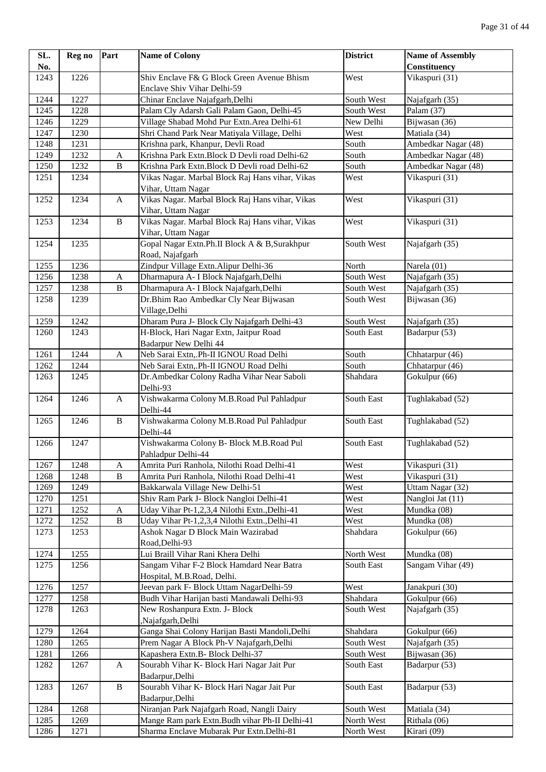| SL.  | Reg no | Part                      | <b>Name of Colony</b>                                                   | <b>District</b> | <b>Name of Assembly</b> |
|------|--------|---------------------------|-------------------------------------------------------------------------|-----------------|-------------------------|
| No.  |        |                           |                                                                         |                 | Constituency            |
| 1243 | 1226   |                           | Shiv Enclave F& G Block Green Avenue Bhism                              | West            | Vikaspuri (31)          |
|      |        |                           | Enclave Shiv Vihar Delhi-59                                             |                 |                         |
| 1244 | 1227   |                           | Chinar Enclave Najafgarh, Delhi                                         | South West      | Najafgarh (35)          |
| 1245 | 1228   |                           | Palam Cly Adarsh Gali Palam Gaon, Delhi-45                              | South West      | Palam (37)              |
| 1246 | 1229   |                           | Village Shabad Mohd Pur Extn.Area Delhi-61                              | New Delhi       | Bijwasan (36)           |
| 1247 | 1230   |                           | Shri Chand Park Near Matiyala Village, Delhi                            | West            | Matiala (34)            |
| 1248 | 1231   |                           | Krishna park, Khanpur, Devli Road                                       | South           | Ambedkar Nagar (48)     |
| 1249 | 1232   | A                         | Krishna Park Extn.Block D Devli road Delhi-62                           | South           | Ambedkar Nagar (48)     |
| 1250 | 1232   | $\, {\bf B}$              | Krishna Park Extn.Block D Devli road Delhi-62                           | South           | Ambedkar Nagar (48)     |
| 1251 | 1234   |                           | Vikas Nagar. Marbal Block Raj Hans vihar, Vikas<br>Vihar, Uttam Nagar   | West            | Vikaspuri (31)          |
| 1252 | 1234   | A                         | Vikas Nagar. Marbal Block Raj Hans vihar, Vikas<br>Vihar, Uttam Nagar   | West            | Vikaspuri (31)          |
| 1253 | 1234   | $\, {\bf B}$              | Vikas Nagar. Marbal Block Raj Hans vihar, Vikas<br>Vihar, Uttam Nagar   | West            | Vikaspuri (31)          |
| 1254 | 1235   |                           | Gopal Nagar Extn.Ph.II Block A & B,Surakhpur<br>Road, Najafgarh         | South West      | Najafgarh (35)          |
| 1255 | 1236   |                           | Zindpur Village Extn. Alipur Delhi-36                                   | North           | Narela (01)             |
| 1256 | 1238   | A                         | Dharmapura A- I Block Najafgarh, Delhi                                  | South West      | Najafgarh (35)          |
| 1257 | 1238   | B                         | Dharmapura A- I Block Najafgarh, Delhi                                  | South West      | Najafgarh (35)          |
| 1258 | 1239   |                           | Dr.Bhim Rao Ambedkar Cly Near Bijwasan                                  | South West      | Bijwasan (36)           |
|      |        |                           | Village, Delhi                                                          |                 |                         |
| 1259 | 1242   |                           | Dharam Pura J- Block Cly Najafgarh Delhi-43                             | South West      | Najafgarh (35)          |
| 1260 | 1243   |                           | H-Block, Hari Nagar Extn, Jaitpur Road<br>Badarpur New Delhi 44         | South East      | Badarpur (53)           |
| 1261 | 1244   | $\boldsymbol{\mathsf{A}}$ | Neb Sarai Extn,.Ph-II IGNOU Road Delhi                                  | South           | Chhatarpur (46)         |
| 1262 | 1244   |                           | Neb Sarai Extn,.Ph-II IGNOU Road Delhi                                  | South           | Chhatarpur (46)         |
| 1263 | 1245   |                           | Dr.Ambedkar Colony Radha Vihar Near Saboli<br>Delhi-93                  | Shahdara        | Gokulpur (66)           |
| 1264 | 1246   | A                         | Vishwakarma Colony M.B.Road Pul Pahladpur<br>Delhi-44                   | South East      | Tughlakabad (52)        |
| 1265 | 1246   | $\, {\bf B}$              | Vishwakarma Colony M.B.Road Pul Pahladpur<br>Delhi-44                   | South East      | Tughlakabad (52)        |
| 1266 | 1247   |                           | Vishwakarma Colony B- Block M.B.Road Pul<br>Pahladpur Delhi-44          | South East      | Tughlakabad (52)        |
| 1267 | 1248   | A                         | Amrita Puri Ranhola, Nilothi Road Delhi-41                              | West            | Vikaspuri (31)          |
| 1268 | 1248   | $\, {\bf B}$              | Amrita Puri Ranhola, Nilothi Road Delhi-41                              | West            | Vikaspuri (31)          |
| 1269 | 1249   |                           | Bakkarwala Village New Delhi-51                                         | West            | Uttam Nagar (32)        |
| 1270 | 1251   |                           | Shiv Ram Park J- Block Nangloi Delhi-41                                 | West            | Nangloi Jat (11)        |
| 1271 | 1252   | A                         | Uday Vihar Pt-1,2,3,4 Nilothi Extn., Delhi-41                           | West            | Mundka (08)             |
| 1272 | 1252   | $\, {\bf B}$              | Uday Vihar Pt-1,2,3,4 Nilothi Extn., Delhi-41                           | West            | Mundka (08)             |
| 1273 | 1253   |                           | Ashok Nagar D Block Main Wazirabad<br>Road, Delhi-93                    | Shahdara        | Gokulpur (66)           |
| 1274 | 1255   |                           | Lui Braill Vihar Rani Khera Delhi                                       | North West      | Mundka (08)             |
| 1275 | 1256   |                           | Sangam Vihar F-2 Block Hamdard Near Batra<br>Hospital, M.B.Road, Delhi. | South East      | Sangam Vihar (49)       |
| 1276 | 1257   |                           | Jeevan park F- Block Uttam NagarDelhi-59                                | West            | Janakpuri (30)          |
| 1277 | 1258   |                           | Budh Vihar Harijan basti Mandawali Delhi-93                             | Shahdara        | Gokulpur (66)           |
| 1278 | 1263   |                           | New Roshanpura Extn. J- Block<br>,Najafgarh,Delhi                       | South West      | Najafgarh (35)          |
| 1279 | 1264   |                           | Ganga Shai Colony Harijan Basti Mandoli, Delhi                          | Shahdara        | Gokulpur (66)           |
| 1280 | 1265   |                           | Prem Nagar A Block Ph-V Najafgarh, Delhi                                | South West      | Najafgarh (35)          |
| 1281 | 1266   |                           | Kapashera Extn.B- Block Delhi-37                                        | South West      | Bijwasan (36)           |
| 1282 | 1267   | $\mathbf{A}$              | Sourabh Vihar K- Block Hari Nagar Jait Pur<br>Badarpur, Delhi           | South East      | Badarpur (53)           |
| 1283 | 1267   | $\, {\bf B}$              | Sourabh Vihar K- Block Hari Nagar Jait Pur<br>Badarpur, Delhi           | South East      | Badarpur (53)           |
| 1284 | 1268   |                           | Niranjan Park Najafgarh Road, Nangli Dairy                              | South West      | Matiala (34)            |
| 1285 | 1269   |                           | Mange Ram park Extn.Budh vihar Ph-II Delhi-41                           | North West      | Rithala (06)            |
| 1286 | 1271   |                           | Sharma Enclave Mubarak Pur Extn.Delhi-81                                | North West      | Kirari (09)             |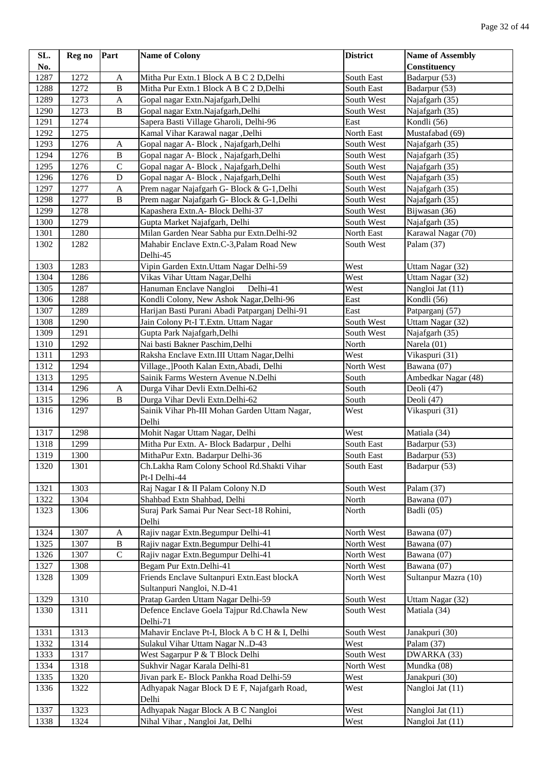| SL.          | Reg no       | Part                      | <b>Name of Colony</b>                                                           | <b>District</b>    | <b>Name of Assembly</b>         |
|--------------|--------------|---------------------------|---------------------------------------------------------------------------------|--------------------|---------------------------------|
| No.          |              |                           |                                                                                 |                    | Constituency                    |
| 1287         | 1272         | $\mathbf A$               | Mitha Pur Extn.1 Block A B C 2 D, Delhi                                         | South East         | Badarpur (53)                   |
| 1288         | 1272         | $\overline{B}$            | Mitha Pur Extn.1 Block A B C 2 D, Delhi                                         | South East         | Badarpur (53)                   |
| 1289         | 1273         | $\boldsymbol{\mathsf{A}}$ | Gopal nagar Extn.Najafgarh,Delhi                                                | South West         | Najafgarh (35)                  |
| 1290         | 1273         | $\, {\bf B}$              | Gopal nagar Extn.Najafgarh,Delhi                                                | South West         | Najafgarh (35)                  |
| 1291         | 1274         |                           | Sapera Basti Village Gharoli, Delhi-96                                          | East               | Kondli (56)                     |
| 1292         | 1275         |                           | Kamal Vihar Karawal nagar ,Delhi                                                | North East         | Mustafabad (69)                 |
| 1293         | 1276         | A                         | Gopal nagar A- Block, Najafgarh, Delhi                                          | South West         | Najafgarh (35)                  |
| 1294         | 1276         | $\, {\bf B}$              | Gopal nagar A- Block, Najafgarh, Delhi                                          | South West         | Najafgarh (35)                  |
| 1295         | 1276         | ${\bf C}$                 | Gopal nagar A- Block, Najafgarh, Delhi                                          | South West         | Najafgarh (35)                  |
| 1296         | 1276         | ${\bf D}$                 | Gopal nagar A- Block, Najafgarh, Delhi                                          | South West         | Najafgarh (35)                  |
| 1297         | 1277         | A                         | Prem nagar Najafgarh G- Block & G-1, Delhi                                      | South West         | Najafgarh (35)                  |
| 1298         | 1277         | $\, {\bf B}$              | Prem nagar Najafgarh G- Block & G-1, Delhi                                      | South West         | Najafgarh (35)                  |
| 1299         | 1278         |                           | Kapashera Extn.A- Block Delhi-37                                                | South West         | Bijwasan (36)                   |
| 1300         | 1279         |                           | Gupta Market Najafgarh, Delhi                                                   | South West         | Najafgarh (35)                  |
| 1301         | 1280         |                           | Milan Garden Near Sabha pur Extn.Delhi-92                                       | North East         | Karawal Nagar (70)              |
| 1302         | 1282         |                           | Mahabir Enclave Extn.C-3, Palam Road New                                        | South West         | Palam (37)                      |
|              |              |                           | Delhi-45                                                                        |                    |                                 |
| 1303         | 1283         |                           | Vipin Garden Extn. Uttam Nagar Delhi-59                                         | West               | Uttam Nagar (32)                |
| 1304         | 1286         |                           | Vikas Vihar Uttam Nagar, Delhi                                                  | West               | Uttam Nagar (32)                |
| 1305<br>1306 | 1287<br>1288 |                           | Hanuman Enclave Nangloi<br>Delhi-41<br>Kondli Colony, New Ashok Nagar, Delhi-96 | West<br>East       | Nangloi Jat (11)<br>Kondli (56) |
|              |              |                           |                                                                                 |                    |                                 |
| 1307<br>1308 | 1289<br>1290 |                           | Harijan Basti Purani Abadi Patparganj Delhi-91                                  | East<br>South West | Patparganj (57)                 |
| 1309         | 1291         |                           | Jain Colony Pt-I T.Extn. Uttam Nagar                                            | South West         | Uttam Nagar (32)                |
| 1310         | 1292         |                           | Gupta Park Najafgarh, Delhi<br>Nai basti Bakner Paschim, Delhi                  | North              | Najafgarh (35)<br>Narela (01)   |
| 1311         | 1293         |                           | Raksha Enclave Extn.III Uttam Nagar, Delhi                                      | West               | Vikaspuri (31)                  |
| 1312         | 1294         |                           | Village., ]Pooth Kalan Extn, Abadi, Delhi                                       | North West         | Bawana (07)                     |
| 1313         | 1295         |                           | Sainik Farms Western Avenue N.Delhi                                             | South              | Ambedkar Nagar (48)             |
| 1314         | 1296         | A                         | Durga Vihar Devli Extn.Delhi-62                                                 | South              | Deoli (47)                      |
| 1315         | 1296         | $\, {\bf B}$              | Durga Vihar Devli Extn.Delhi-62                                                 | South              | Deoli (47)                      |
| 1316         | 1297         |                           | Sainik Vihar Ph-III Mohan Garden Uttam Nagar,                                   | West               | Vikaspuri (31)                  |
|              |              |                           | Delhi                                                                           |                    |                                 |
| 1317         | 1298         |                           | Mohit Nagar Uttam Nagar, Delhi                                                  | West               | Matiala (34)                    |
| 1318         | 1299         |                           | Mitha Pur Extn. A- Block Badarpur, Delhi                                        | South East         | Badarpur (53)                   |
| 1319         | 1300         |                           | MithaPur Extn. Badarpur Delhi-36                                                | South East         | Badarpur (53)                   |
| 1320         | 1301         |                           | Ch.Lakha Ram Colony School Rd.Shakti Vihar                                      | South East         | Badarpur (53)                   |
|              |              |                           | Pt-I Delhi-44                                                                   |                    |                                 |
| 1321         | 1303         |                           | Raj Nagar I & II Palam Colony N.D                                               | South West         | Palam (37)                      |
| 1322         | 1304         |                           | Shahbad Extn Shahbad, Delhi                                                     | North              | Bawana (07)                     |
| 1323         | 1306         |                           | Suraj Park Samai Pur Near Sect-18 Rohini,                                       | North              | Badli (05)                      |
|              |              |                           | Delhi                                                                           |                    |                                 |
| 1324         | 1307         | $\mathbf{A}$              | Rajiv nagar Extn.Begumpur Delhi-41                                              | North West         | Bawana (07)                     |
| 1325         | 1307         | $\, {\bf B}$              | Rajiv nagar Extn.Begumpur Delhi-41                                              | North West         | Bawana (07)                     |
| 1326         | 1307         | $\mathbf C$               | Rajiv nagar Extn.Begumpur Delhi-41                                              | North West         | Bawana (07)                     |
| 1327         | 1308         |                           | Begam Pur Extn.Delhi-41                                                         | North West         | Bawana (07)                     |
| 1328         | 1309         |                           | Friends Enclave Sultanpuri Extn.East blockA                                     | North West         | Sultanpur Mazra (10)            |
|              |              |                           | Sultanpuri Nangloi, N.D-41                                                      |                    |                                 |
| 1329         | 1310         |                           | Pratap Garden Uttam Nagar Delhi-59                                              | South West         | Uttam Nagar (32)                |
| 1330         | 1311         |                           | Defence Enclave Goela Tajpur Rd.Chawla New                                      | South West         | Matiala (34)                    |
| 1331         | 1313         |                           | Delhi-71<br>Mahavir Enclave Pt-I, Block A b C H & I, Delhi                      | South West         | Janakpuri (30)                  |
| 1332         | 1314         |                           | Sulakul Vihar Uttam Nagar N.D-43                                                | West               | Palam (37)                      |
| 1333         | 1317         |                           | West Sagarpur P & T Block Delhi                                                 | South West         | DWARKA (33)                     |
| 1334         | 1318         |                           | Sukhvir Nagar Karala Delhi-81                                                   | North West         | Mundka (08)                     |
| 1335         | 1320         |                           | Jivan park E- Block Pankha Road Delhi-59                                        | West               | Janakpuri (30)                  |
| 1336         | 1322         |                           | Adhyapak Nagar Block D E F, Najafgarh Road,                                     | West               | Nangloi Jat (11)                |
|              |              |                           | Delhi                                                                           |                    |                                 |
| 1337         | 1323         |                           | Adhyapak Nagar Block A B C Nangloi                                              | West               | Nangloi Jat (11)                |
| 1338         | 1324         |                           | Nihal Vihar, Nangloi Jat, Delhi                                                 | West               | Nangloi Jat (11)                |
|              |              |                           |                                                                                 |                    |                                 |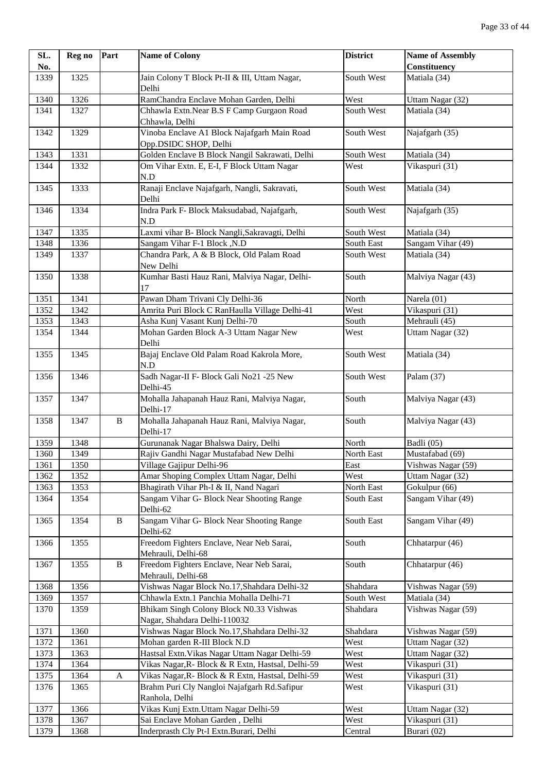| SL.  | Reg no | Part         | <b>Name of Colony</b>                             | <b>District</b> | <b>Name of Assembly</b> |
|------|--------|--------------|---------------------------------------------------|-----------------|-------------------------|
| No.  |        |              |                                                   |                 | Constituency            |
| 1339 | 1325   |              | Jain Colony T Block Pt-II & III, Uttam Nagar,     | South West      | Matiala (34)            |
|      |        |              | Delhi                                             |                 |                         |
| 1340 | 1326   |              | RamChandra Enclave Mohan Garden, Delhi            | West            | Uttam Nagar (32)        |
| 1341 | 1327   |              | Chhawla Extn.Near B.S F Camp Gurgaon Road         | South West      | Matiala (34)            |
|      |        |              | Chhawla, Delhi                                    |                 |                         |
| 1342 | 1329   |              | Vinoba Enclave A1 Block Najafgarh Main Road       | South West      | Najafgarh (35)          |
|      |        |              | Opp.DSIDC SHOP, Delhi                             |                 |                         |
| 1343 | 1331   |              | Golden Enclave B Block Nangil Sakrawati, Delhi    | South West      | Matiala (34)            |
| 1344 | 1332   |              | Om Vihar Extn. E, E-I, F Block Uttam Nagar        | West            | Vikaspuri (31)          |
|      |        |              | N.D                                               |                 |                         |
| 1345 | 1333   |              | Ranaji Enclave Najafgarh, Nangli, Sakravati,      | South West      | Matiala (34)            |
|      |        |              | Delhi                                             |                 |                         |
| 1346 | 1334   |              | Indra Park F- Block Maksudabad, Najafgarh,        | South West      | Najafgarh (35)          |
|      |        |              | N.D                                               |                 |                         |
| 1347 | 1335   |              | Laxmi vihar B- Block Nangli, Sakravagti, Delhi    | South West      | Matiala (34)            |
| 1348 | 1336   |              | Sangam Vihar F-1 Block , N.D                      | South East      | Sangam Vihar (49)       |
| 1349 | 1337   |              | Chandra Park, A & B Block, Old Palam Road         | South West      | Matiala (34)            |
|      |        |              | New Delhi                                         |                 |                         |
| 1350 | 1338   |              | Kumhar Basti Hauz Rani, Malviya Nagar, Delhi-     | South           | Malviya Nagar (43)      |
|      |        |              | 17                                                |                 |                         |
| 1351 | 1341   |              | Pawan Dham Trivani Cly Delhi-36                   | North           | Narela (01)             |
| 1352 | 1342   |              | Amrita Puri Block C RanHaulla Village Delhi-41    | West            | Vikaspuri (31)          |
| 1353 | 1343   |              | Asha Kunj Vasant Kunj Delhi-70                    | South           | Mehrauli (45)           |
| 1354 | 1344   |              | Mohan Garden Block A-3 Uttam Nagar New            | West            | Uttam Nagar (32)        |
|      |        |              | Delhi                                             |                 |                         |
| 1355 | 1345   |              | Bajaj Enclave Old Palam Road Kakrola More,        | South West      | Matiala (34)            |
|      |        |              | N.D                                               |                 |                         |
| 1356 | 1346   |              | Sadh Nagar-II F- Block Gali No21 -25 New          | South West      | Palam (37)              |
|      |        |              | Delhi-45                                          |                 |                         |
| 1357 | 1347   |              | Mohalla Jahapanah Hauz Rani, Malviya Nagar,       | South           | Malviya Nagar (43)      |
|      |        |              | Delhi-17                                          |                 |                         |
| 1358 | 1347   | $\, {\bf B}$ | Mohalla Jahapanah Hauz Rani, Malviya Nagar,       | South           | Malviya Nagar (43)      |
|      |        |              | Delhi-17                                          |                 |                         |
| 1359 | 1348   |              | Gurunanak Nagar Bhalswa Dairy, Delhi              | North           | Badli (05)              |
| 1360 | 1349   |              | Rajiv Gandhi Nagar Mustafabad New Delhi           | North East      | Mustafabad (69)         |
| 1361 | 1350   |              | Village Gajipur Delhi-96                          | East            | Vishwas Nagar (59)      |
| 1362 | 1352   |              | Amar Shoping Complex Uttam Nagar, Delhi           | West            | Uttam Nagar (32)        |
| 1363 | 1353   |              | Bhagirath Vihar Ph-I & II, Nand Nagari            | North East      | Gokulpur (66)           |
| 1364 | 1354   |              | Sangam Vihar G- Block Near Shooting Range         | South East      | Sangam Vihar (49)       |
|      |        |              | Delhi-62                                          |                 |                         |
| 1365 | 1354   | $\bf{B}$     | Sangam Vihar G- Block Near Shooting Range         | South East      | Sangam Vihar (49)       |
|      |        |              | Delhi-62                                          |                 |                         |
| 1366 | 1355   |              | Freedom Fighters Enclave, Near Neb Sarai,         | South           | Chhatarpur (46)         |
|      |        |              | Mehrauli, Delhi-68                                |                 |                         |
| 1367 | 1355   | $\, {\bf B}$ | Freedom Fighters Enclave, Near Neb Sarai,         | South           | Chhatarpur (46)         |
|      |        |              | Mehrauli, Delhi-68                                |                 |                         |
| 1368 | 1356   |              | Vishwas Nagar Block No.17, Shahdara Delhi-32      | Shahdara        | Vishwas Nagar (59)      |
| 1369 | 1357   |              | Chhawla Extn.1 Panchia Mohalla Delhi-71           | South West      | Matiala (34)            |
| 1370 | 1359   |              | Bhikam Singh Colony Block N0.33 Vishwas           | Shahdara        | Vishwas Nagar (59)      |
|      |        |              | Nagar, Shahdara Delhi-110032                      |                 |                         |
| 1371 | 1360   |              | Vishwas Nagar Block No.17, Shahdara Delhi-32      | Shahdara        | Vishwas Nagar (59)      |
| 1372 | 1361   |              | Mohan garden R-III Block N.D                      | West            | Uttam Nagar (32)        |
| 1373 | 1363   |              | Hastsal Extn. Vikas Nagar Uttam Nagar Delhi-59    | West            | Uttam Nagar (32)        |
| 1374 | 1364   |              | Vikas Nagar, R- Block & R Extn, Hastsal, Delhi-59 | West            | Vikaspuri (31)          |
| 1375 | 1364   | $\mathbf A$  | Vikas Nagar, R- Block & R Extn, Hastsal, Delhi-59 | West            | Vikaspuri (31)          |
| 1376 | 1365   |              | Brahm Puri Cly Nangloi Najafgarh Rd.Safipur       | West            | Vikaspuri (31)          |
|      |        |              | Ranhola, Delhi                                    |                 |                         |
| 1377 | 1366   |              | Vikas Kunj Extn. Uttam Nagar Delhi-59             | West            | Uttam Nagar (32)        |
| 1378 | 1367   |              | Sai Enclave Mohan Garden, Delhi                   | West            | Vikaspuri (31)          |
| 1379 | 1368   |              | Inderprasth Cly Pt-I Extn.Burari, Delhi           | Central         | Burari (02)             |
|      |        |              |                                                   |                 |                         |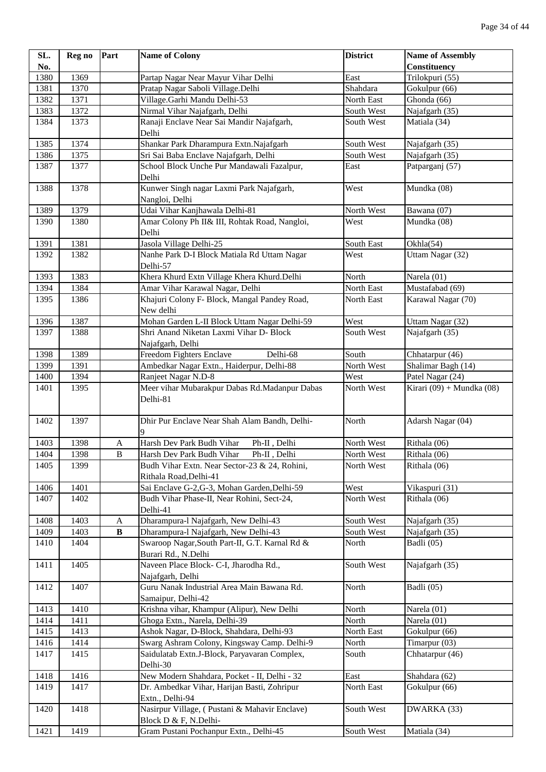| SL.  | Reg no | Part         | <b>Name of Colony</b>                                                   | <b>District</b> | <b>Name of Assembly</b>   |
|------|--------|--------------|-------------------------------------------------------------------------|-----------------|---------------------------|
| No.  |        |              |                                                                         |                 | <b>Constituency</b>       |
| 1380 | 1369   |              | Partap Nagar Near Mayur Vihar Delhi                                     | East            | Trilokpuri (55)           |
| 1381 | 1370   |              | Pratap Nagar Saboli Village.Delhi                                       | Shahdara        | Gokulpur (66)             |
| 1382 | 1371   |              | Village.Garhi Mandu Delhi-53                                            | North East      | Ghonda (66)               |
| 1383 | 1372   |              | Nirmal Vihar Najafgarh, Delhi                                           | South West      | Najafgarh (35)            |
| 1384 | 1373   |              | Ranaji Enclave Near Sai Mandir Najafgarh,<br>Delhi                      | South West      | Matiala (34)              |
| 1385 | 1374   |              | Shankar Park Dharampura Extn.Najafgarh                                  | South West      | Najafgarh (35)            |
| 1386 | 1375   |              | Sri Sai Baba Enclave Najafgarh, Delhi                                   | South West      | Najafgarh (35)            |
| 1387 | 1377   |              | School Block Unche Pur Mandawali Fazalpur,<br>Delhi                     | East            | Patparganj (57)           |
| 1388 | 1378   |              | Kunwer Singh nagar Laxmi Park Najafgarh,<br>Nangloi, Delhi              | West            | Mundka (08)               |
| 1389 | 1379   |              | Udai Vihar Kanjhawala Delhi-81                                          | North West      | Bawana (07)               |
| 1390 | 1380   |              | Amar Colony Ph II& III, Rohtak Road, Nangloi,<br>Delhi                  | West            | Mundka (08)               |
| 1391 | 1381   |              | Jasola Village Delhi-25                                                 | South East      | Okhla(54)                 |
| 1392 | 1382   |              | Nanhe Park D-I Block Matiala Rd Uttam Nagar<br>Delhi-57                 | West            | Uttam Nagar (32)          |
| 1393 | 1383   |              | Khera Khurd Extn Village Khera Khurd.Delhi                              | North           | Narela (01)               |
| 1394 | 1384   |              | Amar Vihar Karawal Nagar, Delhi                                         | North East      | Mustafabad (69)           |
| 1395 | 1386   |              | Khajuri Colony F- Block, Mangal Pandey Road,<br>New delhi               | North East      | Karawal Nagar (70)        |
| 1396 | 1387   |              | Mohan Garden L-II Block Uttam Nagar Delhi-59                            | West            | Uttam Nagar (32)          |
| 1397 | 1388   |              | Shri Anand Niketan Laxmi Vihar D- Block                                 | South West      | Najafgarh (35)            |
|      |        |              | Najafgarh, Delhi                                                        |                 |                           |
| 1398 | 1389   |              | Freedom Fighters Enclave<br>Delhi-68                                    | South           | Chhatarpur (46)           |
| 1399 | 1391   |              | Ambedkar Nagar Extn., Haiderpur, Delhi-88                               | North West      | Shalimar Bagh (14)        |
| 1400 | 1394   |              | Ranjeet Nagar N.D-8                                                     | West            | Patel Nagar (24)          |
| 1401 | 1395   |              | Meer vihar Mubarakpur Dabas Rd.Madanpur Dabas<br>Delhi-81               | North West      | Kirari (09) + Mundka (08) |
| 1402 | 1397   |              | Dhir Pur Enclave Near Shah Alam Bandh, Delhi-<br>9                      | North           | Adarsh Nagar (04)         |
| 1403 | 1398   | A            | Harsh Dev Park Budh Vihar<br>Ph-II, Delhi                               | North West      | Rithala (06)              |
| 1404 | 1398   | $\, {\bf B}$ | Ph-II, Delhi<br>Harsh Dev Park Budh Vihar                               | North West      | Rithala (06)              |
| 1405 | 1399   |              | Budh Vihar Extn. Near Sector-23 & 24, Rohini,<br>Rithala Road, Delhi-41 | North West      | Rithala (06)              |
| 1406 | 1401   |              | Sai Enclave G-2, G-3, Mohan Garden, Delhi-59                            | West            | Vikaspuri (31)            |
| 1407 | 1402   |              | Budh Vihar Phase-II, Near Rohini, Sect-24,<br>Delhi-41                  | North West      | Rithala (06)              |
| 1408 | 1403   | A            | Dharampura-l Najafgarh, New Delhi-43                                    | South West      | Najafgarh (35)            |
| 1409 | 1403   | $\, {\bf B}$ | Dharampura-l Najafgarh, New Delhi-43                                    | South West      | Najafgarh (35)            |
| 1410 | 1404   |              | Swaroop Nagar, South Part-II, G.T. Karnal Rd &<br>Burari Rd., N.Delhi   | North           | Badli (05)                |
| 1411 | 1405   |              | Naveen Place Block- C-I, Jharodha Rd.,<br>Najafgarh, Delhi              | South West      | Najafgarh (35)            |
| 1412 | 1407   |              | Guru Nanak Industrial Area Main Bawana Rd.<br>Samaipur, Delhi-42        | North           | Badli (05)                |
| 1413 | 1410   |              | Krishna vihar, Khampur (Alipur), New Delhi                              | North           | Narela (01)               |
| 1414 | 1411   |              | Ghoga Extn., Narela, Delhi-39                                           | North           | Narela (01)               |
| 1415 | 1413   |              | Ashok Nagar, D-Block, Shahdara, Delhi-93                                | North East      | Gokulpur (66)             |
| 1416 | 1414   |              | Swarg Ashram Colony, Kingsway Camp. Delhi-9                             | North           | Timarpur (03)             |
| 1417 | 1415   |              | Saidulatab Extn.J-Block, Paryavaran Complex,<br>Delhi-30                | South           | Chhatarpur (46)           |
| 1418 | 1416   |              | New Modern Shahdara, Pocket - II, Delhi - 32                            | East            | Shahdara (62)             |
| 1419 | 1417   |              | Dr. Ambedkar Vihar, Harijan Basti, Zohripur<br>Extn., Delhi-94          | North East      | Gokulpur (66)             |
| 1420 | 1418   |              | Nasirpur Village, (Pustani & Mahavir Enclave)<br>Block D & F, N.Delhi-  | South West      | DWARKA (33)               |
| 1421 | 1419   |              | Gram Pustani Pochanpur Extn., Delhi-45                                  | South West      | Matiala (34)              |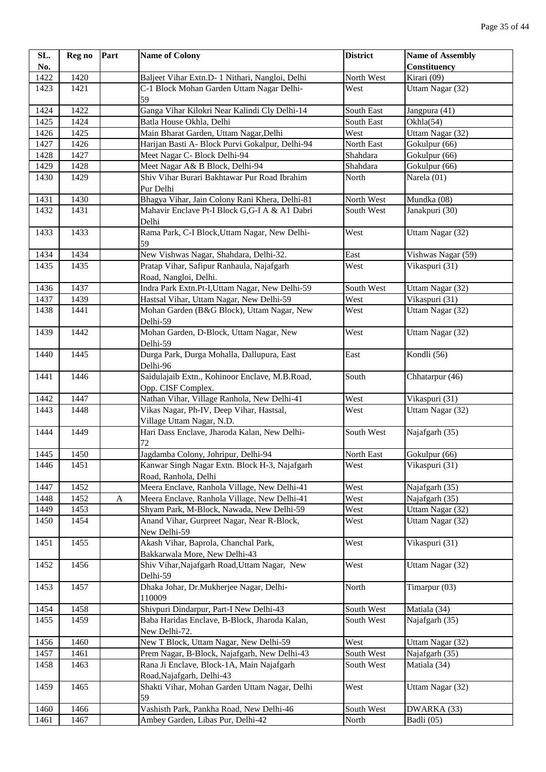| SL.  | Reg no | Part         | <b>Name of Colony</b>                                                     | <b>District</b> | <b>Name of Assembly</b>             |
|------|--------|--------------|---------------------------------------------------------------------------|-----------------|-------------------------------------|
| No.  |        |              |                                                                           |                 | Constituency                        |
| 1422 | 1420   |              | Baljeet Vihar Extn.D- 1 Nithari, Nangloi, Delhi                           | North West      | $\overline{\text{Kirari}}(09)$      |
| 1423 | 1421   |              | C-1 Block Mohan Garden Uttam Nagar Delhi-<br>59                           | West            | Uttam Nagar (32)                    |
| 1424 | 1422   |              | Ganga Vihar Kilokri Near Kalindi Cly Delhi-14                             | South East      | Jangpura (41)                       |
| 1425 | 1424   |              | Batla House Okhla, Delhi                                                  | South East      | Okhla(54)                           |
| 1426 | 1425   |              | Main Bharat Garden, Uttam Nagar, Delhi                                    | West            | Uttam Nagar (32)                    |
| 1427 | 1426   |              | Harijan Basti A- Block Purvi Gokalpur, Delhi-94                           | North East      | Gokulpur (66)                       |
| 1428 | 1427   |              | Meet Nagar C- Block Delhi-94                                              | Shahdara        | Gokulpur (66)                       |
| 1429 | 1428   |              | Meet Nagar A& B Block, Delhi-94                                           | Shahdara        | Gokulpur (66)                       |
| 1430 | 1429   |              | Shiv Vihar Burari Bakhtawar Pur Road Ibrahim<br>Pur Delhi                 | North           | Narela (01)                         |
| 1431 | 1430   |              | Bhagya Vihar, Jain Colony Rani Khera, Delhi-81                            | North West      | Mundka (08)                         |
| 1432 | 1431   |              | Mahavir Enclave Pt-I Block G,G-I A & A1 Dabri<br>Delhi                    | South West      | Janakpuri (30)                      |
| 1433 | 1433   |              | Rama Park, C-I Block, Uttam Nagar, New Delhi-<br>59                       | West            | Uttam Nagar (32)                    |
| 1434 | 1434   |              | New Vishwas Nagar, Shahdara, Delhi-32.                                    | East            | Vishwas Nagar (59)                  |
| 1435 | 1435   |              | Pratap Vihar, Safipur Ranhaula, Najafgarh<br>Road, Nangloi, Delhi.        | West            | Vikaspuri (31)                      |
| 1436 | 1437   |              | Indra Park Extn.Pt-I, Uttam Nagar, New Delhi-59                           | South West      | Uttam Nagar (32)                    |
| 1437 | 1439   |              | Hastsal Vihar, Uttam Nagar, New Delhi-59                                  | West            | Vikaspuri (31)                      |
| 1438 | 1441   |              | Mohan Garden (B&G Block), Uttam Nagar, New<br>Delhi-59                    | West            | Uttam Nagar (32)                    |
| 1439 | 1442   |              | Mohan Garden, D-Block, Uttam Nagar, New<br>Delhi-59                       | West            | Uttam Nagar (32)                    |
| 1440 | 1445   |              | Durga Park, Durga Mohalla, Dallupura, East<br>Delhi-96                    | East            | Kondli (56)                         |
| 1441 | 1446   |              | Saidulajaib Extn., Kohinoor Enclave, M.B.Road,<br>Opp. CISF Complex.      | South           | Chhatarpur (46)                     |
| 1442 | 1447   |              | Nathan Vihar, Village Ranhola, New Delhi-41                               | West            | Vikaspuri (31)                      |
| 1443 | 1448   |              | Vikas Nagar, Ph-IV, Deep Vihar, Hastsal,                                  | West            | $\overline{\text{Utam Nagar}}$ (32) |
| 1444 | 1449   |              | Village Uttam Nagar, N.D.<br>Hari Dass Enclave, Jharoda Kalan, New Delhi- | South West      | Najafgarh (35)                      |
| 1445 | 1450   |              | 72<br>Jagdamba Colony, Johripur, Delhi-94                                 | North East      | Gokulpur (66)                       |
| 1446 | 1451   |              | Kanwar Singh Nagar Extn. Block H-3, Najafgarh                             | West            | Vikaspuri (31)                      |
|      |        |              | Road, Ranhola, Delhi                                                      |                 |                                     |
| 1447 | 1452   |              | Meera Enclave, Ranhola Village, New Delhi-41                              | West            | Najafgarh (35)                      |
| 1448 | 1452   | $\mathbf{A}$ | Meera Enclave, Ranhola Village, New Delhi-41                              | West            | Najafgarh (35)                      |
| 1449 | 1453   |              | Shyam Park, M-Block, Nawada, New Delhi-59                                 | West            | Uttam Nagar (32)                    |
| 1450 | 1454   |              | Anand Vihar, Gurpreet Nagar, Near R-Block,<br>New Delhi-59                | West            | Uttam Nagar (32)                    |
| 1451 | 1455   |              | Akash Vihar, Baprola, Chanchal Park,<br>Bakkarwala More, New Delhi-43     | West            | Vikaspuri (31)                      |
| 1452 | 1456   |              | Shiv Vihar, Najafgarh Road, Uttam Nagar, New<br>Delhi-59                  | West            | Uttam Nagar (32)                    |
| 1453 | 1457   |              | Dhaka Johar, Dr.Mukherjee Nagar, Delhi-<br>110009                         | North           | Timarpur (03)                       |
| 1454 | 1458   |              | Shivpuri Dindarpur, Part-I New Delhi-43                                   | South West      | Matiala (34)                        |
| 1455 | 1459   |              | Baba Haridas Enclave, B-Block, Jharoda Kalan,<br>New Delhi-72.            | South West      | Najafgarh (35)                      |
| 1456 | 1460   |              | New T Block, Uttam Nagar, New Delhi-59                                    | West            | Uttam Nagar (32)                    |
| 1457 | 1461   |              | Prem Nagar, B-Block, Najafgarh, New Delhi-43                              | South West      | Najafgarh (35)                      |
| 1458 | 1463   |              | Rana Ji Enclave, Block-1A, Main Najafgarh                                 | South West      | Matiala (34)                        |
|      |        |              | Road, Najafgarh, Delhi-43                                                 |                 |                                     |
| 1459 | 1465   |              | Shakti Vihar, Mohan Garden Uttam Nagar, Delhi<br>59                       | West            | Uttam Nagar (32)                    |
| 1460 | 1466   |              | Vashisth Park, Pankha Road, New Delhi-46                                  | South West      | DWARKA (33)                         |
| 1461 | 1467   |              | Ambey Garden, Libas Pur, Delhi-42                                         | North           | Badli (05)                          |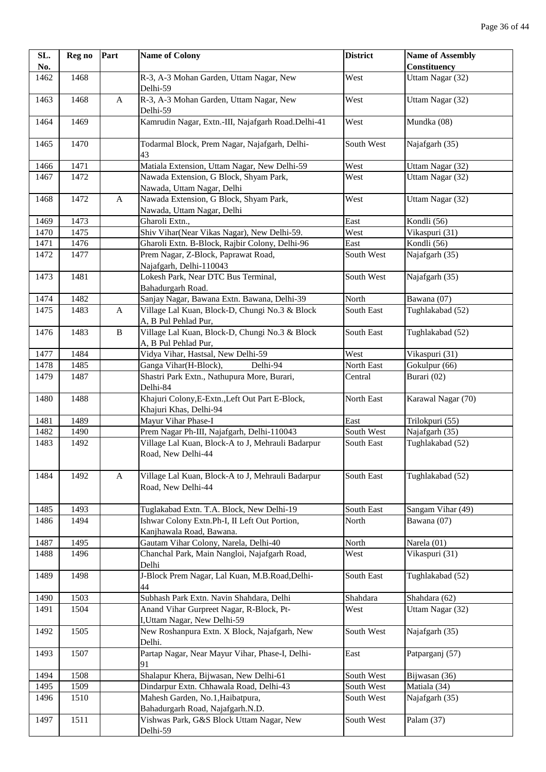| SL.  | Reg no | Part         | <b>Name of Colony</b>                                                     | <b>District</b> | <b>Name of Assembly</b> |
|------|--------|--------------|---------------------------------------------------------------------------|-----------------|-------------------------|
| No.  |        |              |                                                                           |                 | Constituency            |
| 1462 | 1468   |              | R-3, A-3 Mohan Garden, Uttam Nagar, New<br>Delhi-59                       | West            | Uttam Nagar (32)        |
| 1463 | 1468   | $\mathbf{A}$ | R-3, A-3 Mohan Garden, Uttam Nagar, New<br>Delhi-59                       | West            | Uttam Nagar (32)        |
| 1464 | 1469   |              | Kamrudin Nagar, Extn.-III, Najafgarh Road.Delhi-41                        | West            | Mundka (08)             |
| 1465 | 1470   |              | Todarmal Block, Prem Nagar, Najafgarh, Delhi-<br>43                       | South West      | Najafgarh (35)          |
| 1466 | 1471   |              | Matiala Extension, Uttam Nagar, New Delhi-59                              | West            | Uttam Nagar (32)        |
| 1467 | 1472   |              | Nawada Extension, G Block, Shyam Park,<br>Nawada, Uttam Nagar, Delhi      | West            | Uttam Nagar (32)        |
| 1468 | 1472   | $\mathbf{A}$ | Nawada Extension, G Block, Shyam Park,<br>Nawada, Uttam Nagar, Delhi      | West            | Uttam Nagar (32)        |
| 1469 | 1473   |              | Gharoli Extn.,                                                            | East            | Kondli (56)             |
| 1470 | 1475   |              | Shiv Vihar(Near Vikas Nagar), New Delhi-59.                               | West            | Vikaspuri (31)          |
| 1471 | 1476   |              | Gharoli Extn. B-Block, Rajbir Colony, Delhi-96                            | East            | Kondli (56)             |
| 1472 | 1477   |              | Prem Nagar, Z-Block, Paprawat Road,<br>Najafgarh, Delhi-110043            | South West      | Najafgarh (35)          |
| 1473 | 1481   |              | Lokesh Park, Near DTC Bus Terminal,<br>Bahadurgarh Road.                  | South West      | Najafgarh (35)          |
| 1474 | 1482   |              | Sanjay Nagar, Bawana Extn. Bawana, Delhi-39                               | North           | Bawana (07)             |
| 1475 | 1483   | A            | Village Lal Kuan, Block-D, Chungi No.3 & Block<br>A, B Pul Pehlad Pur,    | South East      | Tughlakabad (52)        |
| 1476 | 1483   | $\, {\bf B}$ | Village Lal Kuan, Block-D, Chungi No.3 & Block<br>A, B Pul Pehlad Pur,    | South East      | Tughlakabad (52)        |
| 1477 | 1484   |              | Vidya Vihar, Hastsal, New Delhi-59                                        | West            | Vikaspuri (31)          |
| 1478 | 1485   |              | Ganga Vihar(H-Block),<br>Delhi-94                                         | North East      | Gokulpur (66)           |
| 1479 | 1487   |              | Shastri Park Extn., Nathupura More, Burari,<br>Delhi-84                   | Central         | Burari (02)             |
| 1480 | 1488   |              | Khajuri Colony, E-Extn., Left Out Part E-Block,<br>Khajuri Khas, Delhi-94 | North East      | Karawal Nagar (70)      |
| 1481 | 1489   |              | Mayur Vihar Phase-I                                                       | East            | Trilokpuri (55)         |
| 1482 | 1490   |              | Prem Nagar Ph-III, Najafgarh, Delhi-110043                                | South West      | Najafgarh (35)          |
| 1483 | 1492   |              | Village Lal Kuan, Block-A to J, Mehrauli Badarpur<br>Road, New Delhi-44   | South East      | Tughlakabad (52)        |
| 1484 | 1492   | A            | Village Lal Kuan, Block-A to J, Mehrauli Badarpur<br>Road, New Delhi-44   | South East      | Tughlakabad (52)        |
| 1485 | 1493   |              | Tuglakabad Extn. T.A. Block, New Delhi-19                                 | South East      | Sangam Vihar (49)       |
| 1486 | 1494   |              | Ishwar Colony Extn.Ph-I, II Left Out Portion,<br>Kanjhawala Road, Bawana. | North           | Bawana (07)             |
| 1487 | 1495   |              | Gautam Vihar Colony, Narela, Delhi-40                                     | North           | Narela (01)             |
| 1488 | 1496   |              | Chanchal Park, Main Nangloi, Najafgarh Road,<br>Delhi                     | West            | Vikaspuri (31)          |
| 1489 | 1498   |              | J-Block Prem Nagar, Lal Kuan, M.B.Road, Delhi-<br>44                      | South East      | Tughlakabad (52)        |
| 1490 | 1503   |              | Subhash Park Extn. Navin Shahdara, Delhi                                  | Shahdara        | Shahdara (62)           |
| 1491 | 1504   |              | Anand Vihar Gurpreet Nagar, R-Block, Pt-<br>I, Uttam Nagar, New Delhi-59  | West            | Uttam Nagar (32)        |
| 1492 | 1505   |              | New Roshanpura Extn. X Block, Najafgarh, New<br>Delhi.                    | South West      | Najafgarh (35)          |
| 1493 | 1507   |              | Partap Nagar, Near Mayur Vihar, Phase-I, Delhi-<br>91                     | East            | Patparganj (57)         |
| 1494 | 1508   |              | Shalapur Khera, Bijwasan, New Delhi-61                                    | South West      | Bijwasan (36)           |
| 1495 | 1509   |              | Dindarpur Extn. Chhawala Road, Delhi-43                                   | South West      | Matiala (34)            |
| 1496 | 1510   |              | Mahesh Garden, No.1, Haibatpura,<br>Bahadurgarh Road, Najafgarh.N.D.      | South West      | Najafgarh (35)          |
| 1497 | 1511   |              | Vishwas Park, G&S Block Uttam Nagar, New<br>Delhi-59                      | South West      | Palam (37)              |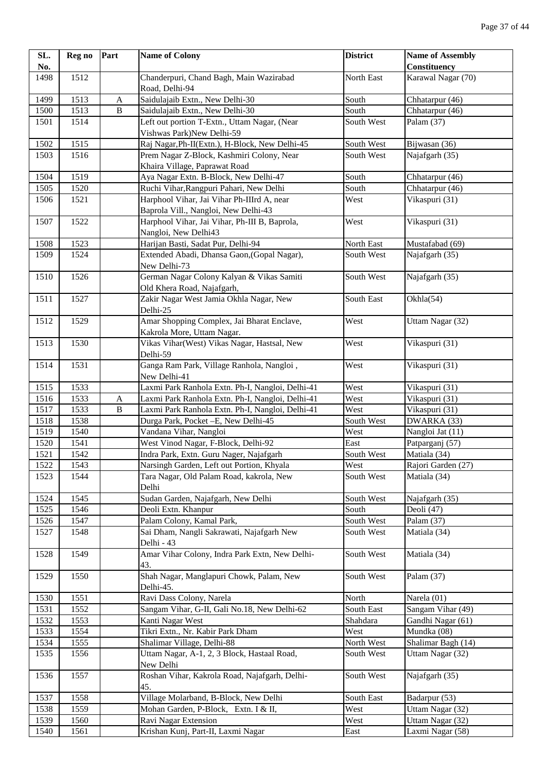| SL.          | Reg no       | Part         | <b>Name of Colony</b>                                                      | <b>District</b>          | <b>Name of Assembly</b> |
|--------------|--------------|--------------|----------------------------------------------------------------------------|--------------------------|-------------------------|
| No.          |              |              |                                                                            |                          | Constituency            |
| 1498         | 1512         |              | Chanderpuri, Chand Bagh, Main Wazirabad                                    | North East               | Karawal Nagar (70)      |
|              |              |              | Road, Delhi-94                                                             |                          |                         |
| 1499         | 1513         | A            | Saidulajaib Extn., New Delhi-30                                            | South                    | Chhatarpur (46)         |
| 1500         | 1513         | $\, {\bf B}$ | Saidulajaib Extn., New Delhi-30                                            | South                    | Chhatarpur (46)         |
| 1501         | 1514         |              | Left out portion T-Extn., Uttam Nagar, (Near                               | South West               | Palam (37)              |
|              |              |              | Vishwas Park)New Delhi-59                                                  |                          |                         |
| 1502<br>1503 | 1515<br>1516 |              | Raj Nagar, Ph-II(Extn.), H-Block, New Delhi-45                             | South West<br>South West | Bijwasan (36)           |
|              |              |              | Prem Nagar Z-Block, Kashmiri Colony, Near<br>Khaira Village, Paprawat Road |                          | Najafgarh (35)          |
| 1504         | 1519         |              | Aya Nagar Extn. B-Block, New Delhi-47                                      | South                    | Chhatarpur (46)         |
| 1505         | 1520         |              | Ruchi Vihar, Rangpuri Pahari, New Delhi                                    | South                    | Chhatarpur (46)         |
| 1506         | 1521         |              | Harphool Vihar, Jai Vihar Ph-IIIrd A, near                                 | West                     | Vikaspuri (31)          |
|              |              |              | Baprola Vill., Nangloi, New Delhi-43                                       |                          |                         |
| 1507         | 1522         |              | Harphool Vihar, Jai Vihar, Ph-III B, Baprola,                              | West                     | Vikaspuri (31)          |
|              |              |              | Nangloi, New Delhi43                                                       |                          |                         |
| 1508         | 1523         |              | Harijan Basti, Sadat Pur, Delhi-94                                         | North East               | Mustafabad (69)         |
| 1509         | 1524         |              | Extended Abadi, Dhansa Gaon, (Gopal Nagar),<br>New Delhi-73                | South West               | Najafgarh (35)          |
| 1510         | 1526         |              | German Nagar Colony Kalyan & Vikas Samiti                                  | South West               | Najafgarh (35)          |
|              |              |              | Old Khera Road, Najafgarh,                                                 |                          |                         |
| 1511         | 1527         |              | Zakir Nagar West Jamia Okhla Nagar, New                                    | South East               | Okhla(54)               |
|              |              |              | Delhi-25                                                                   |                          |                         |
| 1512         | 1529         |              | Amar Shopping Complex, Jai Bharat Enclave,                                 | West                     | Uttam Nagar (32)        |
|              |              |              | Kakrola More, Uttam Nagar.                                                 |                          |                         |
| 1513         | 1530         |              | Vikas Vihar(West) Vikas Nagar, Hastsal, New<br>Delhi-59                    | West                     | Vikaspuri (31)          |
| 1514         | 1531         |              | Ganga Ram Park, Village Ranhola, Nangloi,                                  | West                     | Vikaspuri (31)          |
|              |              |              | New Delhi-41                                                               |                          |                         |
| 1515         | 1533         |              | Laxmi Park Ranhola Extn. Ph-I, Nangloi, Delhi-41                           | West                     | Vikaspuri (31)          |
| 1516         | 1533         | A            | Laxmi Park Ranhola Extn. Ph-I, Nangloi, Delhi-41                           | West                     | Vikaspuri (31)          |
| 1517         | 1533         | B            | Laxmi Park Ranhola Extn. Ph-I, Nangloi, Delhi-41                           | West                     | Vikaspuri (31)          |
| 1518         | 1538         |              | Durga Park, Pocket - E, New Delhi-45                                       | South West               | DWARKA (33)             |
| 1519         | 1540         |              | Vandana Vihar, Nangloi                                                     | West                     | Nangloi Jat (11)        |
| 1520         | 1541         |              | West Vinod Nagar, F-Block, Delhi-92                                        | East                     | Patparganj (57)         |
| 1521         | 1542         |              | Indra Park, Extn. Guru Nager, Najafgarh                                    | South West               | Matiala (34)            |
| 1522         | 1543         |              | Narsingh Garden, Left out Portion, Khyala                                  | West                     | Rajori Garden (27)      |
| 1523         | 1544         |              | Tara Nagar, Old Palam Road, kakrola, New<br>Delhi                          | South West               | Matiala (34)            |
| 1524         | 1545         |              | Sudan Garden, Najafgarh, New Delhi                                         | South West               | Najafgarh (35)          |
| 1525         | 1546         |              | Deoli Extn. Khanpur                                                        | South                    | Deoli (47)              |
| 1526         | 1547         |              | Palam Colony, Kamal Park,                                                  | South West               | Palam $(37)$            |
| 1527         | 1548         |              | Sai Dham, Nangli Sakrawati, Najafgarh New                                  | South West               | Matiala (34)            |
|              |              |              | Delhi - 43                                                                 |                          |                         |
| 1528         | 1549         |              | Amar Vihar Colony, Indra Park Extn, New Delhi-<br>43.                      | South West               | Matiala (34)            |
| 1529         | 1550         |              | Shah Nagar, Manglapuri Chowk, Palam, New<br>Delhi-45.                      | South West               | Palam (37)              |
| 1530         | 1551         |              | Ravi Dass Colony, Narela                                                   | North                    | Narela (01)             |
| 1531         | 1552         |              | Sangam Vihar, G-II, Gali No.18, New Delhi-62                               | South East               | Sangam Vihar $(49)$     |
| 1532         | 1553         |              | Kanti Nagar West                                                           | Shahdara                 | Gandhi Nagar (61)       |
| 1533         | 1554         |              | Tikri Extn., Nr. Kabir Park Dham                                           | West                     | Mundka (08)             |
| 1534         | 1555         |              | Shalimar Village, Delhi-88                                                 | North West               | Shalimar Bagh (14)      |
| 1535         | 1556         |              | Uttam Nagar, A-1, 2, 3 Block, Hastaal Road,                                | South West               | Uttam Nagar (32)        |
|              |              |              | New Delhi                                                                  |                          |                         |
| 1536         | 1557         |              | Roshan Vihar, Kakrola Road, Najafgarh, Delhi-<br>45.                       | South West               | Najafgarh (35)          |
| 1537         | 1558         |              | Village Molarband, B-Block, New Delhi                                      | South East               | Badarpur (53)           |
| 1538         | 1559         |              | Mohan Garden, P-Block, Extn. I & II,                                       | West                     | Uttam Nagar (32)        |
| 1539         | 1560         |              | Ravi Nagar Extension                                                       | West                     | Uttam Nagar (32)        |
| 1540         | 1561         |              | Krishan Kunj, Part-II, Laxmi Nagar                                         | East                     | Laxmi Nagar (58)        |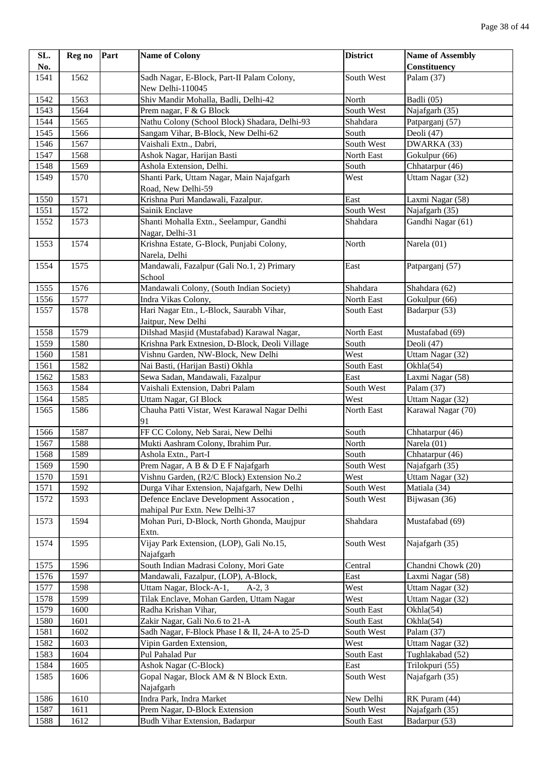| SL.  | Reg no | Part | <b>Name of Colony</b>                                                  | <b>District</b>     | <b>Name of Assembly</b>           |
|------|--------|------|------------------------------------------------------------------------|---------------------|-----------------------------------|
| No.  |        |      |                                                                        |                     | <b>Constituency</b>               |
| 1541 | 1562   |      | Sadh Nagar, E-Block, Part-II Palam Colony,                             | South West          | Palam (37)                        |
|      |        |      | New Delhi-110045                                                       |                     |                                   |
| 1542 | 1563   |      | Shiv Mandir Mohalla, Badli, Delhi-42                                   | North               | Badli (05)                        |
| 1543 | 1564   |      | Prem nagar, F & G Block                                                | South West          | Najafgarh (35)                    |
| 1544 | 1565   |      | Nathu Colony (School Block) Shadara, Delhi-93                          | Shahdara            | Patparganj (57)                   |
| 1545 | 1566   |      | Sangam Vihar, B-Block, New Delhi-62                                    | South               | Deoli (47)                        |
| 1546 | 1567   |      | Vaishali Extn., Dabri,                                                 | South West          | DWARKA (33)                       |
| 1547 | 1568   |      | Ashok Nagar, Harijan Basti                                             | North East          | Gokulpur (66)                     |
| 1548 | 1569   |      | Ashola Extension, Delhi.                                               | South               | Chhatarpur (46)                   |
| 1549 | 1570   |      | Shanti Park, Uttam Nagar, Main Najafgarh                               | West                | Uttam Nagar (32)                  |
|      |        |      | Road, New Delhi-59                                                     |                     |                                   |
| 1550 | 1571   |      | Krishna Puri Mandawali, Fazalpur.                                      | East                | Laxmi Nagar (58)                  |
| 1551 | 1572   |      | Sainik Enclave                                                         | South West          | Najafgarh (35)                    |
| 1552 | 1573   |      | Shanti Mohalla Extn., Seelampur, Gandhi                                | Shahdara            | Gandhi Nagar (61)                 |
|      |        |      | Nagar, Delhi-31                                                        |                     |                                   |
| 1553 | 1574   |      | Krishna Estate, G-Block, Punjabi Colony,                               | North               | Narela (01)                       |
|      |        |      | Narela, Delhi                                                          |                     |                                   |
| 1554 | 1575   |      | Mandawali, Fazalpur (Gali No.1, 2) Primary                             | East                | Patparganj (57)                   |
|      |        |      | School                                                                 |                     |                                   |
| 1555 | 1576   |      | Mandawali Colony, (South Indian Society)                               | Shahdara            | Shahdara (62)                     |
| 1556 | 1577   |      | Indra Vikas Colony,                                                    | North East          | Gokulpur (66)                     |
| 1557 | 1578   |      | Hari Nagar Etn., L-Block, Saurabh Vihar,                               | South East          | Badarpur (53)                     |
|      |        |      | Jaitpur, New Delhi                                                     |                     |                                   |
| 1558 | 1579   |      | Dilshad Masjid (Mustafabad) Karawal Nagar,                             | North East          | Mustafabad (69)                   |
| 1559 | 1580   |      | Krishna Park Extnesion, D-Block, Deoli Village                         | South               | Deoli (47)                        |
| 1560 | 1581   |      | Vishnu Garden, NW-Block, New Delhi                                     | West                | Uttam Nagar (32)                  |
| 1561 | 1582   |      | Nai Basti, (Harijan Basti) Okhla                                       | South East          | Okhla(54)                         |
| 1562 | 1583   |      | Sewa Sadan, Mandawali, Fazalpur                                        | East                | Laxmi Nagar (58)                  |
| 1563 | 1584   |      | Vaishali Extension, Dabri Palam                                        | South West          | Palam (37)                        |
| 1564 | 1585   |      |                                                                        | West                | Uttam Nagar (32)                  |
| 1565 | 1586   |      | Uttam Nagar, GI Block<br>Chauha Patti Vistar, West Karawal Nagar Delhi | North East          | Karawal Nagar (70)                |
|      |        |      | 91                                                                     |                     |                                   |
| 1566 | 1587   |      | FF CC Colony, Neb Sarai, New Delhi                                     | South               | Chhatarpur (46)                   |
| 1567 | 1588   |      |                                                                        | North               | Narela (01)                       |
|      |        |      | Mukti Aashram Colony, Ibrahim Pur.                                     |                     |                                   |
| 1568 | 1589   |      | Ashola Extn., Part-I<br>Prem Nagar, A B & D E F Najafgarh              | South<br>South West | Chhatarpur (46)<br>Najafgarh (35) |
| 1569 | 1590   |      |                                                                        |                     |                                   |
| 1570 | 1591   |      | Vishnu Garden, (R2/C Block) Extension No.2                             | West                | Uttam Nagar (32)                  |
| 1571 | 1592   |      | Durga Vihar Extension, Najafgarh, New Delhi                            | South West          | Matiala (34)                      |
| 1572 | 1593   |      | Defence Enclave Development Assocation,                                | South West          | Bijwasan (36)                     |
|      |        |      | mahipal Pur Extn. New Delhi-37                                         |                     |                                   |
| 1573 | 1594   |      | Mohan Puri, D-Block, North Ghonda, Maujpur                             | Shahdara            | Mustafabad (69)                   |
|      |        |      | Extn.                                                                  |                     |                                   |
| 1574 | 1595   |      | Vijay Park Extension, (LOP), Gali No.15,                               | South West          | Najafgarh (35)                    |
|      |        |      | Najafgarh                                                              |                     |                                   |
| 1575 | 1596   |      | South Indian Madrasi Colony, Mori Gate                                 | Central             | Chandni Chowk (20)                |
| 1576 | 1597   |      | Mandawali, Fazalpur, (LOP), A-Block,                                   | East                | Laxmi Nagar (58)                  |
| 1577 | 1598   |      | Uttam Nagar, Block-A-1,<br>$A-2, 3$                                    | West                | Uttam Nagar (32)                  |
| 1578 | 1599   |      | Tilak Enclave, Mohan Garden, Uttam Nagar                               | West                | Uttam Nagar (32)                  |
| 1579 | 1600   |      | Radha Krishan Vihar,                                                   | South East          | Okhla(54)                         |
| 1580 | 1601   |      | Zakir Nagar, Gali No.6 to 21-A                                         | South East          | Okhla(54)                         |
| 1581 | 1602   |      | Sadh Nagar, F-Block Phase I & II, 24-A to 25-D                         | South West          | Palam (37)                        |
| 1582 | 1603   |      | Vipin Garden Extension,                                                | West                | Uttam Nagar (32)                  |
| 1583 | 1604   |      | Pul Pahalad Pur                                                        | South East          | Tughlakabad (52)                  |
| 1584 | 1605   |      | Ashok Nagar (C-Block)                                                  | East                | Trilokpuri (55)                   |
| 1585 | 1606   |      | Gopal Nagar, Block AM & N Block Extn.                                  | South West          | Najafgarh (35)                    |
|      |        |      | Najafgarh                                                              |                     |                                   |
| 1586 | 1610   |      | Indra Park, Indra Market                                               | New Delhi           | RK Puram (44)                     |
| 1587 | 1611   |      | Prem Nagar, D-Block Extension                                          | South West          | Najafgarh (35)                    |
| 1588 | 1612   |      | <b>Budh Vihar Extension, Badarpur</b>                                  | South East          | Badarpur (53)                     |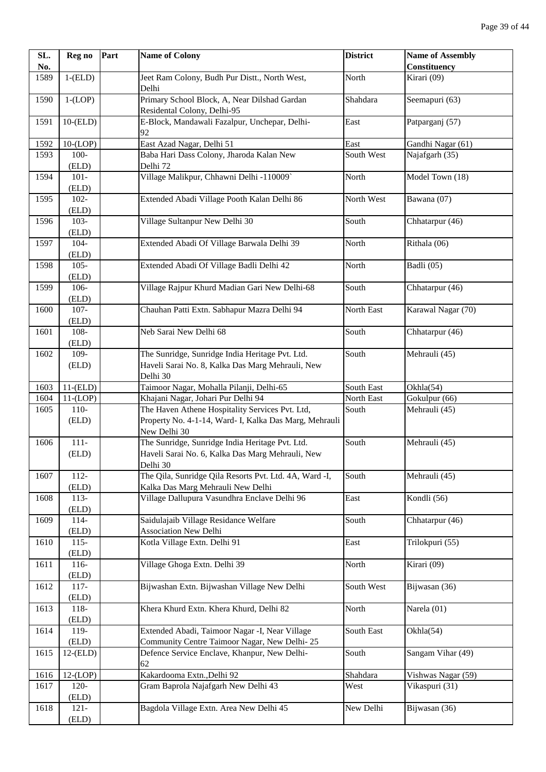| SL.  | Reg no         | Part | <b>Name of Colony</b>                                  | <b>District</b> | <b>Name of Assembly</b> |
|------|----------------|------|--------------------------------------------------------|-----------------|-------------------------|
| No.  |                |      |                                                        |                 | <b>Constituency</b>     |
| 1589 | $1-(ELD)$      |      | Jeet Ram Colony, Budh Pur Distt., North West,          | North           | Kirari (09)             |
|      |                |      | Delhi                                                  |                 |                         |
| 1590 | $1-(LOP)$      |      | Primary School Block, A, Near Dilshad Gardan           | Shahdara        | Seemapuri (63)          |
|      |                |      | Residental Colony, Delhi-95                            |                 |                         |
| 1591 | $10$ - $(ELD)$ |      | E-Block, Mandawali Fazalpur, Unchepar, Delhi-          | East            | Patparganj (57)         |
|      |                |      | 92                                                     |                 |                         |
| 1592 | $10-(LOP)$     |      | East Azad Nagar, Delhi 51                              | East            | Gandhi Nagar (61)       |
| 1593 | $100 -$        |      | Baba Hari Dass Colony, Jharoda Kalan New               | South West      | Najafgarh (35)          |
|      | (ELD)          |      | Delhi 72                                               |                 |                         |
| 1594 | $101 -$        |      | Village Malikpur, Chhawni Delhi -110009`               | North           | Model Town (18)         |
|      | (ELD)          |      |                                                        |                 |                         |
| 1595 | $102 -$        |      | Extended Abadi Village Pooth Kalan Delhi 86            | North West      | Bawana (07)             |
|      | (ELD)          |      |                                                        |                 |                         |
| 1596 | $103 -$        |      | Village Sultanpur New Delhi 30                         | South           | Chhatarpur (46)         |
|      | (ELD)          |      |                                                        |                 |                         |
| 1597 | $104 -$        |      | Extended Abadi Of Village Barwala Delhi 39             | North           | Rithala $(06)$          |
|      | (ELD)          |      |                                                        |                 |                         |
| 1598 | $105 -$        |      | Extended Abadi Of Village Badli Delhi 42               | North           | Badli (05)              |
|      | (ELD)          |      |                                                        |                 |                         |
| 1599 | 106-           |      | Village Rajpur Khurd Madian Gari New Delhi-68          | South           | Chhatarpur (46)         |
|      | (ELD)          |      |                                                        |                 |                         |
| 1600 | $107 -$        |      | Chauhan Patti Extn. Sabhapur Mazra Delhi 94            | North East      | Karawal Nagar (70)      |
|      | (ELD)          |      |                                                        |                 |                         |
| 1601 | 108-           |      | Neb Sarai New Delhi 68                                 | South           | Chhatarpur (46)         |
|      | (ELD)          |      |                                                        |                 |                         |
| 1602 | 109-           |      | The Sunridge, Sunridge India Heritage Pvt. Ltd.        | South           | Mehrauli (45)           |
|      | (ELD)          |      | Haveli Sarai No. 8, Kalka Das Marg Mehrauli, New       |                 |                         |
|      |                |      | Delhi 30                                               |                 |                         |
| 1603 | $11$ - $(ELD)$ |      | Taimoor Nagar, Mohalla Pilanji, Delhi-65               | South East      | Okhla(54)               |
| 1604 | $11-(LOP)$     |      | Khajani Nagar, Johari Pur Delhi 94                     | North East      | Gokulpur (66)           |
| 1605 | $110-$         |      | The Haven Athene Hospitality Services Pvt. Ltd,        | South           | Mehrauli (45)           |
|      | (ELD)          |      | Property No. 4-1-14, Ward- I, Kalka Das Marg, Mehrauli |                 |                         |
|      |                |      | New Delhi 30                                           |                 |                         |
| 1606 | $111 -$        |      | The Sunridge, Sunridge India Heritage Pvt. Ltd.        | South           | Mehrauli (45)           |
|      | (ELD)          |      | Haveli Sarai No. 6, Kalka Das Marg Mehrauli, New       |                 |                         |
|      |                |      | Delhi 30                                               |                 |                         |
| 1607 | $112 -$        |      | The Qila, Sunridge Qila Resorts Pvt. Ltd. 4A, Ward -I, | South           | Mehrauli (45)           |
|      | (ELD)          |      | Kalka Das Marg Mehrauli New Delhi                      |                 |                         |
| 1608 | $113-$         |      | Village Dallupura Vasundhra Enclave Delhi 96           | East            | Kondli (56)             |
|      | (ELD)          |      |                                                        |                 |                         |
| 1609 | $114-$         |      | Saidulajaib Village Residance Welfare                  | South           | Chhatarpur (46)         |
|      | (ELD)          |      | <b>Association New Delhi</b>                           |                 |                         |
| 1610 | $115-$         |      | Kotla Village Extn. Delhi 91                           | East            | Trilokpuri (55)         |
|      | (ELD)          |      |                                                        |                 |                         |
| 1611 | $116-$         |      | Village Ghoga Extn. Delhi 39                           | North           | Kirari (09)             |
|      | (ELD)          |      |                                                        |                 |                         |
| 1612 | $117-$         |      | Bijwashan Extn. Bijwashan Village New Delhi            | South West      | Bijwasan (36)           |
|      | (ELD)          |      |                                                        |                 |                         |
| 1613 | 118-           |      | Khera Khurd Extn. Khera Khurd, Delhi 82                | North           | Narela (01)             |
|      | (ELD)          |      |                                                        |                 |                         |
| 1614 | 119-           |      | Extended Abadi, Taimoor Nagar -I, Near Village         | South East      | Okhla(54)               |
|      | (ELD)          |      | Community Centre Taimoor Nagar, New Delhi-25           |                 |                         |
| 1615 | $12$ - $(ELD)$ |      | Defence Service Enclave, Khanpur, New Delhi-           | South           | Sangam Vihar (49)       |
|      |                |      | 62                                                     |                 |                         |
| 1616 | $12-(LOP)$     |      | Kakardooma Extn., Delhi 92                             | Shahdara        | Vishwas Nagar (59)      |
| 1617 | 120-           |      | Gram Baprola Najafgarh New Delhi 43                    | West            | Vikaspuri (31)          |
|      | (ELD)          |      |                                                        |                 |                         |
| 1618 | $121 -$        |      | Bagdola Village Extn. Area New Delhi 45                | New Delhi       | Bijwasan (36)           |
|      | (ELD)          |      |                                                        |                 |                         |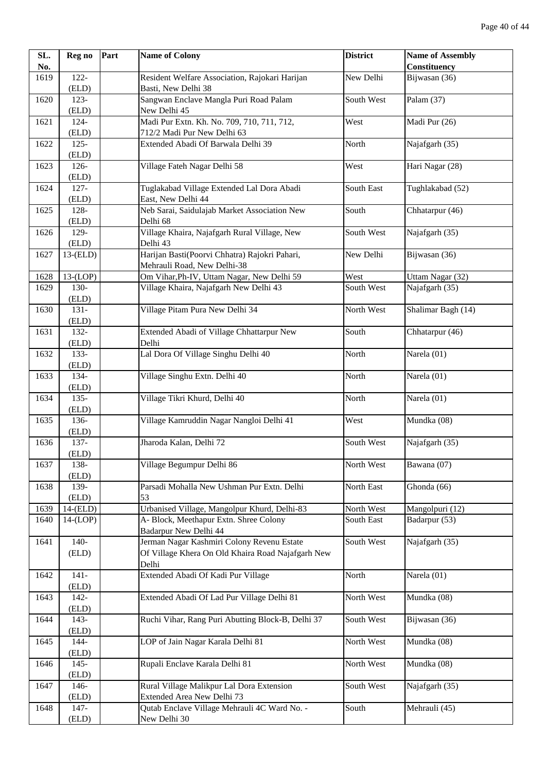| SL.  | Reg no         | Part | <b>Name of Colony</b>                                    | <b>District</b> | <b>Name of Assembly</b> |
|------|----------------|------|----------------------------------------------------------|-----------------|-------------------------|
| No.  |                |      |                                                          |                 | Constituency            |
| 1619 | 122-           |      | Resident Welfare Association, Rajokari Harijan           | New Delhi       | Bijwasan $(36)$         |
|      | (ELD)          |      | Basti, New Delhi 38                                      |                 |                         |
| 1620 | $123 -$        |      | Sangwan Enclave Mangla Puri Road Palam                   | South West      | Palam (37)              |
|      | (ELD)          |      | New Delhi 45                                             |                 |                         |
| 1621 | 124-           |      | Madi Pur Extn. Kh. No. 709, 710, 711, 712,               | West            | Madi Pur (26)           |
|      | (ELD)          |      | 712/2 Madi Pur New Delhi 63                              |                 |                         |
| 1622 | $125 -$        |      | Extended Abadi Of Barwala Delhi 39                       | North           | Najafgarh (35)          |
|      | (ELD)          |      |                                                          |                 |                         |
| 1623 | 126-           |      | Village Fateh Nagar Delhi 58                             | West            | Hari Nagar (28)         |
|      | (ELD)          |      |                                                          |                 |                         |
| 1624 | $127 -$        |      | Tuglakabad Village Extended Lal Dora Abadi               | South East      | Tughlakabad (52)        |
|      | (ELD)          |      | East, New Delhi 44                                       |                 |                         |
| 1625 | 128-           |      | Neb Sarai, Saidulajab Market Association New             | South           | Chhatarpur (46)         |
|      |                |      |                                                          |                 |                         |
|      | (ELD)<br>129-  |      | Delhi 68<br>Village Khaira, Najafgarh Rural Village, New | South West      | Najafgarh (35)          |
| 1626 |                |      |                                                          |                 |                         |
|      | (ELD)          |      | Delhi 43                                                 |                 |                         |
| 1627 | $13$ - $(ELD)$ |      | Harijan Basti(Poorvi Chhatra) Rajokri Pahari,            | New Delhi       | Bijwasan (36)           |
|      |                |      | Mehrauli Road, New Delhi-38                              |                 |                         |
| 1628 | $13-(LOP)$     |      | Om Vihar, Ph-IV, Uttam Nagar, New Delhi 59               | West            | Uttam Nagar (32)        |
| 1629 | 130-           |      | Village Khaira, Najafgarh New Delhi 43                   | South West      | Najafgarh (35)          |
|      | (ELD)          |      |                                                          |                 |                         |
| 1630 | $131 -$        |      | Village Pitam Pura New Delhi 34                          | North West      | Shalimar Bagh (14)      |
|      | (ELD)          |      |                                                          |                 |                         |
| 1631 | $132 -$        |      | Extended Abadi of Village Chhattarpur New                | South           | Chhatarpur (46)         |
|      | (ELD)          |      | Delhi                                                    |                 |                         |
| 1632 | 133-           |      | Lal Dora Of Village Singhu Delhi 40                      | North           | Narela (01)             |
|      | (ELD)          |      |                                                          |                 |                         |
| 1633 | 134-           |      | Village Singhu Extn. Delhi 40                            | North           | Narela (01)             |
|      | (ELD)          |      |                                                          |                 |                         |
| 1634 | $135 -$        |      | Village Tikri Khurd, Delhi 40                            | North           | Narela (01)             |
|      | (ELD)          |      |                                                          |                 |                         |
| 1635 | 136-           |      | Village Kamruddin Nagar Nangloi Delhi 41                 | West            | Mundka (08)             |
|      | (ELD)          |      |                                                          |                 |                         |
| 1636 | 137-           |      | Jharoda Kalan, Delhi 72                                  | South West      | Najafgarh (35)          |
|      | (ELD)          |      |                                                          |                 |                         |
| 1637 | 138-           |      | Village Begumpur Delhi 86                                | North West      | Bawana (07)             |
|      | (ELD)          |      |                                                          |                 |                         |
| 1638 | 139-           |      | Parsadi Mohalla New Ushman Pur Extn. Delhi               | North East      | Ghonda (66)             |
|      | (ELD)          |      | 53                                                       |                 |                         |
| 1639 | $14$ - $(ELD)$ |      | Urbanised Village, Mangolpur Khurd, Delhi-83             | North West      | Mangolpuri (12)         |
| 1640 | $14-(LOP)$     |      | A-Block, Meethapur Extn. Shree Colony                    | South East      | Badarpur (53)           |
|      |                |      | Badarpur New Delhi 44                                    |                 |                         |
| 1641 | $140 -$        |      | Jerman Nagar Kashmiri Colony Revenu Estate               | South West      | Najafgarh (35)          |
|      | (ELD)          |      | Of Village Khera On Old Khaira Road Najafgarh New        |                 |                         |
|      |                |      | Delhi                                                    |                 |                         |
| 1642 | $141 -$        |      | Extended Abadi Of Kadi Pur Village                       | North           | Narela (01)             |
|      |                |      |                                                          |                 |                         |
|      | (ELD)          |      |                                                          |                 |                         |
| 1643 | 142-           |      | Extended Abadi Of Lad Pur Village Delhi 81               | North West      | Mundka (08)             |
|      | (ELD)          |      |                                                          |                 |                         |
| 1644 | 143-           |      | Ruchi Vihar, Rang Puri Abutting Block-B, Delhi 37        | South West      | Bijwasan (36)           |
|      | (ELD)          |      |                                                          |                 |                         |
| 1645 | $144-$         |      | LOP of Jain Nagar Karala Delhi 81                        | North West      | Mundka (08)             |
|      | (ELD)          |      |                                                          |                 |                         |
| 1646 | $145 -$        |      | Rupali Enclave Karala Delhi 81                           | North West      | Mundka (08)             |
|      | (ELD)          |      |                                                          |                 |                         |
| 1647 | $146-$         |      | Rural Village Malikpur Lal Dora Extension                | South West      | Najafgarh (35)          |
|      | (ELD)          |      | Extended Area New Delhi 73                               |                 |                         |
| 1648 | $147 -$        |      | Qutab Enclave Village Mehrauli 4C Ward No. -             | South           | Mehrauli (45)           |
|      | (ELD)          |      | New Delhi 30                                             |                 |                         |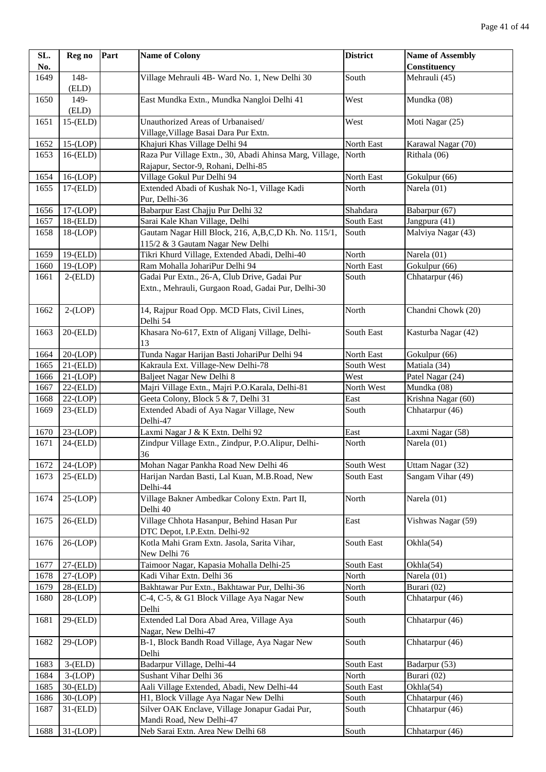| SL.  | Reg no         | Part | <b>Name of Colony</b>                                   | <b>District</b> | <b>Name of Assembly</b> |
|------|----------------|------|---------------------------------------------------------|-----------------|-------------------------|
| No.  |                |      |                                                         |                 | Constituency            |
| 1649 | 148-           |      | Village Mehrauli 4B- Ward No. 1, New Delhi 30           | South           | Mehrauli (45)           |
|      | (ELD)          |      |                                                         |                 |                         |
| 1650 | 149-           |      | East Mundka Extn., Mundka Nangloi Delhi 41              | West            | Mundka (08)             |
|      | (ELD)          |      |                                                         |                 |                         |
| 1651 | $15$ - $(ELD)$ |      | Unauthorized Areas of Urbanaised/                       | West            | Moti Nagar (25)         |
|      |                |      | Village, Village Basai Dara Pur Extn.                   |                 |                         |
| 1652 | $15-(LOP)$     |      | Khajuri Khas Village Delhi 94                           | North East      | Karawal Nagar (70)      |
| 1653 | $16$ - $(ELD)$ |      | Raza Pur Village Extn., 30, Abadi Ahinsa Marg, Village, | North           | Rithala (06)            |
|      |                |      | Rajapur, Sector-9, Rohani, Delhi-85                     |                 |                         |
| 1654 | $16-(LOP)$     |      | Village Gokul Pur Delhi 94                              | North East      | Gokulpur (66)           |
| 1655 | $17$ - $(ELD)$ |      | Extended Abadi of Kushak No-1, Village Kadi             | North           | Narela (01)             |
|      |                |      | Pur, Delhi-36                                           |                 |                         |
| 1656 | $17-(LOP)$     |      | Babarpur East Chajju Pur Delhi 32                       | Shahdara        | Babarpur (67)           |
| 1657 | $18$ - $(ELD)$ |      | Sarai Kale Khan Village, Delhi                          | South East      | Jangpura (41)           |
| 1658 | $18-(LOP)$     |      | Gautam Nagar Hill Block, 216, A,B,C,D Kh. No. 115/1,    | South           | Malviya Nagar (43)      |
|      |                |      | 115/2 & 3 Gautam Nagar New Delhi                        |                 |                         |
| 1659 | $19$ - $(ELD)$ |      | Tikri Khurd Village, Extended Abadi, Delhi-40           | North           | Narela (01)             |
| 1660 | $19-(LOP)$     |      | Ram Mohalla JohariPur Delhi 94                          | North East      | Gokulpur (66)           |
| 1661 | $2-(ELD)$      |      | Gadai Pur Extn., 26-A, Club Drive, Gadai Pur            | South           | Chhatarpur (46)         |
|      |                |      | Extn., Mehrauli, Gurgaon Road, Gadai Pur, Delhi-30      |                 |                         |
|      |                |      |                                                         |                 |                         |
| 1662 | $2-(LOP)$      |      | 14, Rajpur Road Opp. MCD Flats, Civil Lines,            | North           | Chandni Chowk (20)      |
|      |                |      | Delhi 54                                                |                 |                         |
| 1663 | $20$ -(ELD)    |      | Khasara No-617, Extn of Aliganj Village, Delhi-         | South East      | Kasturba Nagar (42)     |
|      |                |      | 13                                                      |                 |                         |
| 1664 | $20-(LOP)$     |      | Tunda Nagar Harijan Basti JohariPur Delhi 94            | North East      | Gokulpur (66)           |
| 1665 | $21$ -(ELD)    |      | Kakraula Ext. Village-New Delhi-78                      | South West      | Matiala (34)            |
| 1666 | $21-(LOP)$     |      | Baljeet Nagar New Delhi 8                               | West            | Patel Nagar (24)        |
| 1667 | $22$ - $(ELD)$ |      | Majri Village Extn., Majri P.O.Karala, Delhi-81         | North West      | Mundka (08)             |
| 1668 | $22-(LOP)$     |      | Geeta Colony, Block 5 & 7, Delhi 31                     | East            | Krishna Nagar (60)      |
| 1669 | $23$ - $(ELD)$ |      | Extended Abadi of Aya Nagar Village, New<br>Delhi-47    | South           | Chhatarpur (46)         |
| 1670 | $23-(LOP)$     |      | Laxmi Nagar J & K Extn. Delhi 92                        | East            | Laxmi Nagar (58)        |
| 1671 | $24$ -(ELD)    |      | Zindpur Village Extn., Zindpur, P.O.Alipur, Delhi-      | North           | Narela (01)             |
|      |                |      | 36                                                      |                 |                         |
| 1672 | $24-(LOP)$     |      | Mohan Nagar Pankha Road New Delhi 46                    | South West      | Uttam Nagar (32)        |
| 1673 | $25$ -(ELD)    |      | Harijan Nardan Basti, Lal Kuan, M.B.Road, New           | South East      | Sangam Vihar (49)       |
|      |                |      | Delhi-44                                                |                 |                         |
| 1674 | $25-(LOP)$     |      | Village Bakner Ambedkar Colony Extn. Part II,           | North           | Narela (01)             |
|      |                |      | Delhi 40                                                |                 |                         |
| 1675 | $26$ - $(ELD)$ |      | Village Chhota Hasanpur, Behind Hasan Pur               | East            | Vishwas Nagar (59)      |
|      |                |      | DTC Depot, I.P.Extn. Delhi-92                           |                 |                         |
| 1676 | $26-(LOP)$     |      | Kotla Mahi Gram Extn. Jasola, Sarita Vihar,             | South East      | Okhla(54)               |
|      |                |      | New Delhi 76                                            |                 |                         |
| 1677 | $27$ -(ELD)    |      | Taimoor Nagar, Kapasia Mohalla Delhi-25                 | South East      | Okhla(54)               |
| 1678 | $27-(LOP)$     |      | Kadi Vihar Extn. Delhi 36                               | North           | Narela (01)             |
| 1679 | $28$ -(ELD)    |      | Bakhtawar Pur Extn., Bakhtawar Pur, Delhi-36            | North           | Burari (02)             |
| 1680 | $28-(LOP)$     |      | C-4, C-5, & G1 Block Village Aya Nagar New              | South           | Chhatarpur (46)         |
|      |                |      | Delhi                                                   |                 |                         |
| 1681 | $29$ -(ELD)    |      | Extended Lal Dora Abad Area, Village Aya                | South           | Chhatarpur (46)         |
|      |                |      | Nagar, New Delhi-47                                     |                 |                         |
| 1682 | $29-(LOP)$     |      | B-1, Block Bandh Road Village, Aya Nagar New            | South           | Chhatarpur (46)         |
|      |                |      | Delhi                                                   |                 |                         |
| 1683 | $3-(ELD)$      |      | Badarpur Village, Delhi-44                              | South East      | Badarpur (53)           |
| 1684 | $3-(LOP)$      |      | Sushant Vihar Delhi 36                                  | North           | Burari (02)             |
| 1685 | $30$ - $(ELD)$ |      | Aali Village Extended, Abadi, New Delhi-44              | South East      | Okhla(54)               |
| 1686 | $30-(LOP)$     |      | H1, Block Village Aya Nagar New Delhi                   | South           | Chhatarpur (46)         |
| 1687 | $31$ - $(ELD)$ |      | Silver OAK Enclave, Village Jonapur Gadai Pur,          | South           | Chhatarpur (46)         |
|      |                |      | Mandi Road, New Delhi-47                                |                 |                         |
| 1688 | $31-(LOP)$     |      | Neb Sarai Extn. Area New Delhi 68                       | South           | Chhatarpur (46)         |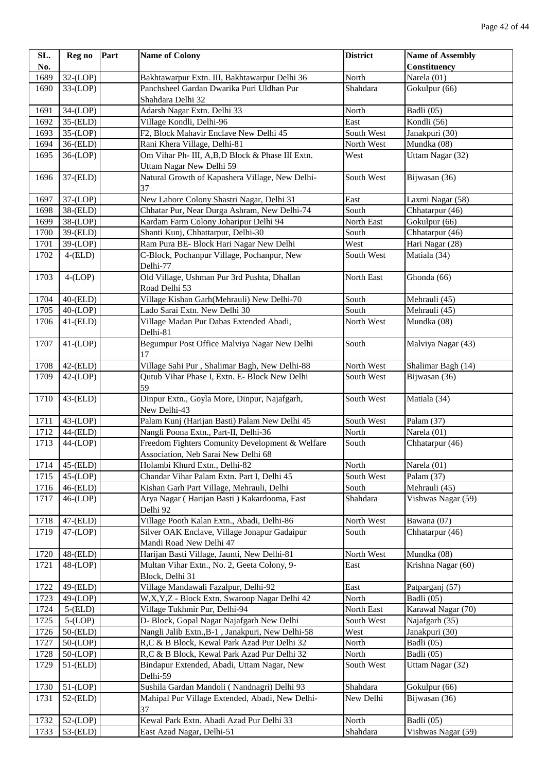| SL.  | Reg no         | Part | <b>Name of Colony</b>                                                         | <b>District</b> | <b>Name of Assembly</b> |
|------|----------------|------|-------------------------------------------------------------------------------|-----------------|-------------------------|
| No.  |                |      |                                                                               |                 | Constituency            |
| 1689 | $32-(LOP)$     |      | Bakhtawarpur Extn. III, Bakhtawarpur Delhi 36                                 | North           | Narela $(01)$           |
| 1690 | $33-(LOP)$     |      | Panchsheel Gardan Dwarika Puri Uldhan Pur                                     | Shahdara        | Gokulpur (66)           |
|      |                |      | Shahdara Delhi 32                                                             |                 |                         |
| 1691 | $34-(LOP)$     |      | Adarsh Nagar Extn. Delhi 33                                                   | North           | Badli (05)              |
| 1692 | $35$ - $(ELD)$ |      | Village Kondli, Delhi-96                                                      | East            | Kondli (56)             |
| 1693 | $35-(LOP)$     |      | F2, Block Mahavir Enclave New Delhi 45                                        | South West      | Janakpuri (30)          |
| 1694 | 36-(ELD)       |      | Rani Khera Village, Delhi-81                                                  | North West      | Mundka (08)             |
| 1695 | $36-(LOP)$     |      | Om Vihar Ph- III, A, B, D Block & Phase III Extn.<br>Uttam Nagar New Delhi 59 | West            | Uttam Nagar (32)        |
| 1696 | $37-(ELD)$     |      | Natural Growth of Kapashera Village, New Delhi-<br>37                         | South West      | Bijwasan (36)           |
| 1697 | $37-(LOP)$     |      | New Lahore Colony Shastri Nagar, Delhi 31                                     | East            | Laxmi Nagar (58)        |
| 1698 | 38-(ELD)       |      | Chhatar Pur, Near Durga Ashram, New Delhi-74                                  | South           | Chhatarpur (46)         |
| 1699 | $38-(LOP)$     |      | Kardam Farm Colony Joharipur Delhi 94                                         | North East      | Gokulpur (66)           |
| 1700 | $39$ - $(ELD)$ |      | Shanti Kunj, Chhattarpur, Delhi-30                                            | South           | Chhatarpur (46)         |
| 1701 | 39-(LOP)       |      | Ram Pura BE- Block Hari Nagar New Delhi                                       | West            | Hari Nagar (28)         |
| 1702 | $4$ - $(ELD)$  |      | C-Block, Pochanpur Village, Pochanpur, New<br>Delhi-77                        | South West      | Matiala (34)            |
| 1703 | $4-(LOP)$      |      | Old Village, Ushman Pur 3rd Pushta, Dhallan                                   | North East      | Ghonda (66)             |
|      |                |      | Road Delhi 53                                                                 |                 |                         |
| 1704 | $40$ - $(ELD)$ |      | Village Kishan Garh(Mehrauli) New Delhi-70                                    | South           | Mehrauli (45)           |
| 1705 | $40-(LOP)$     |      | Lado Sarai Extn. New Delhi 30                                                 | South           | Mehrauli (45)           |
| 1706 | $41$ - $(ELD)$ |      | Village Madan Pur Dabas Extended Abadi,                                       | North West      | Mundka (08)             |
|      |                |      | Delhi-81                                                                      |                 |                         |
| 1707 | $41-(LOP)$     |      | Begumpur Post Office Malviya Nagar New Delhi<br>17                            | South           | Malviya Nagar (43)      |
| 1708 | $42$ - $(ELD)$ |      | Village Sahi Pur, Shalimar Bagh, New Delhi-88                                 | North West      | Shalimar Bagh (14)      |
| 1709 | $42-(LOP)$     |      | Qutub Vihar Phase I, Extn. E- Block New Delhi<br>59                           | South West      | Bijwasan (36)           |
| 1710 | $43$ - $(ELD)$ |      | Dinpur Extn., Goyla More, Dinpur, Najafgarh,<br>New Delhi-43                  | South West      | Matiala (34)            |
| 1711 | $43-(LOP)$     |      | Palam Kunj (Harijan Basti) Palam New Delhi 45                                 | South West      | Palam (37)              |
| 1712 | 44-(ELD)       |      | Nangli Poona Extn., Part-II, Delhi-36                                         | North           | Narela (01)             |
| 1713 | $44-(LOP)$     |      | Freedom Fighters Comunity Development & Welfare                               | South           | Chhatarpur (46)         |
|      |                |      | Association, Neb Sarai New Delhi 68                                           |                 |                         |
| 1714 | $45$ - $(ELD)$ |      | Holambi Khurd Extn., Delhi-82                                                 | North           | Narela (01)             |
| 1715 | $45-(LOP)$     |      | Chandar Vihar Palam Extn. Part I, Delhi 45                                    | South West      | Palam (37)              |
| 1716 | $46$ - $(ELD)$ |      | Kishan Garh Part Village, Mehrauli, Delhi                                     | South           | Mehrauli (45)           |
| 1717 | $46-(LOP)$     |      | Arya Nagar (Harijan Basti) Kakardooma, East<br>Delhi 92                       | Shahdara        | Vishwas Nagar (59)      |
| 1718 | $47$ - $(ELD)$ |      | Village Pooth Kalan Extn., Abadi, Delhi-86                                    | North West      | Bawana (07)             |
| 1719 | $47-(LOP)$     |      | Silver OAK Enclave, Village Jonapur Gadaipur                                  | South           | Chhatarpur (46)         |
|      |                |      | Mandi Road New Delhi 47                                                       |                 |                         |
| 1720 | $48$ - $(ELD)$ |      | Harijan Basti Village, Jaunti, New Delhi-81                                   | North West      | Mundka (08)             |
| 1721 | $48-(LOP)$     |      | Multan Vihar Extn., No. 2, Geeta Colony, 9-                                   | East            | Krishna Nagar (60)      |
|      |                |      | Block, Delhi 31                                                               |                 |                         |
| 1722 | 49-(ELD)       |      | Village Mandawali Fazalpur, Delhi-92                                          | East            | Patparganj (57)         |
| 1723 | $49-(LOP)$     |      | W,X,Y,Z - Block Extn. Swaroop Nagar Delhi 42                                  | North           | Badli (05)              |
| 1724 | $5-(ELD)$      |      | Village Tukhmir Pur, Delhi-94                                                 | North East      | Karawal Nagar (70)      |
| 1725 | $5-(LOP)$      |      | D- Block, Gopal Nagar Najafgarh New Delhi                                     | South West      | Najafgarh (35)          |
| 1726 | $50-(ELD)$     |      | Nangli Jalib Extn., B-1, Janakpuri, New Delhi-58                              | West            | Janakpuri (30)          |
| 1727 | $50-(LOP)$     |      | R,C & B Block, Kewal Park Azad Pur Delhi 32                                   | North           | Badli (05)              |
| 1728 | $50-(LOP)$     |      | R,C & B Block, Kewal Park Azad Pur Delhi 32                                   | North           | Badli (05)              |
| 1729 | $51$ - $(ELD)$ |      | Bindapur Extended, Abadi, Uttam Nagar, New                                    | South West      | Uttam Nagar (32)        |
|      |                |      | Delhi-59                                                                      |                 |                         |
| 1730 | $51-(LOP)$     |      | Sushila Gardan Mandoli (Nandnagri) Delhi 93                                   | Shahdara        | Gokulpur (66)           |
| 1731 | $52$ - $(ELD)$ |      | Mahipal Pur Village Extended, Abadi, New Delhi-<br>37                         | New Delhi       | Bijwasan (36)           |
| 1732 | $52-(LOP)$     |      | Kewal Park Extn. Abadi Azad Pur Delhi 33                                      | North           | Badli (05)              |
| 1733 | $53-(ELD)$     |      | East Azad Nagar, Delhi-51                                                     | Shahdara        | Vishwas Nagar (59)      |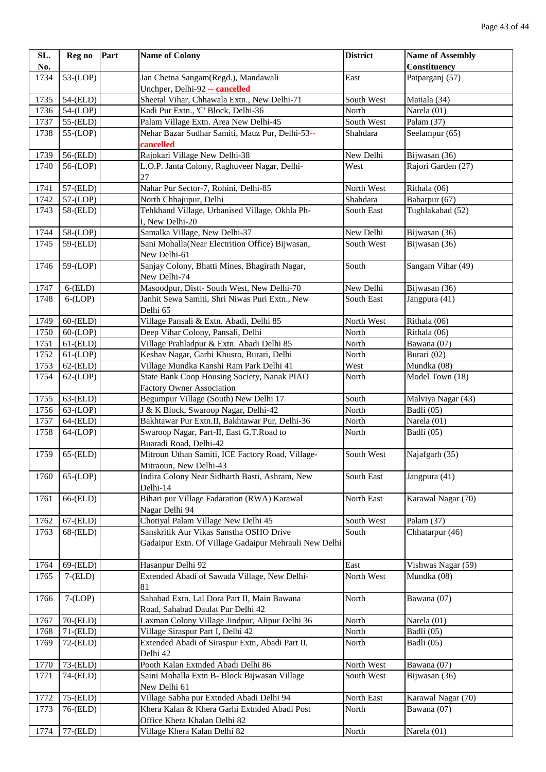| SL.  | Reg no         | Part | <b>Name of Colony</b>                                                            | <b>District</b> | <b>Name of Assembly</b> |
|------|----------------|------|----------------------------------------------------------------------------------|-----------------|-------------------------|
| No.  |                |      |                                                                                  |                 | <b>Constituency</b>     |
| 1734 | $53-(LOP)$     |      | Jan Chetna Sangam(Regd.), Mandawali                                              | East            | Patparganj (57)         |
|      |                |      | Unchper, Delhi-92 -- cancelled                                                   |                 |                         |
| 1735 | 54-(ELD)       |      | Sheetal Vihar, Chhawala Extn., New Delhi-71                                      | South West      | Matiala (34)            |
| 1736 | $54-(LOP)$     |      | Kadi Pur Extn., 'C' Block, Delhi-36                                              | North           | Narela (01)             |
| 1737 | $55-(ELD)$     |      | Palam Village Extn. Area New Delhi-45                                            | South West      | Palam (37)              |
| 1738 | $55-(LOP)$     |      | Nehar Bazar Sudhar Samiti, Mauz Pur, Delhi-53--<br>cancelled                     | Shahdara        | Seelampur (65)          |
| 1739 | 56-(ELD)       |      | Rajokari Village New Delhi-38                                                    | New Delhi       | Bijwasan (36)           |
| 1740 | $56-(LOP)$     |      | L.O.P. Janta Colony, Raghuveer Nagar, Delhi-                                     | West            | Rajori Garden (27)      |
|      |                |      | $27\,$                                                                           |                 |                         |
| 1741 | 57-(ELD)       |      | Nahar Pur Sector-7, Rohini, Delhi-85                                             | North West      | Rithala (06)            |
| 1742 | 57-(LOP)       |      | North Chhajupur, Delhi                                                           | Shahdara        | Babarpur (67)           |
| 1743 | 58-(ELD)       |      | Tehkhand Village, Urbanised Village, Okhla Ph-<br>I, New Delhi-20                | South East      | Tughlakabad (52)        |
| 1744 | 58-(LOP)       |      | Samalka Village, New Delhi-37                                                    | New Delhi       | Bijwasan (36)           |
| 1745 | 59-(ELD)       |      | Sani Mohalla(Near Electrition Office) Bijwasan,<br>New Delhi-61                  | South West      | Bijwasan (36)           |
| 1746 | 59-(LOP)       |      | Sanjay Colony, Bhatti Mines, Bhagirath Nagar,<br>New Delhi-74                    | South           | Sangam Vihar (49)       |
| 1747 | $6$ - $(ELD)$  |      | Masoodpur, Distt- South West, New Delhi-70                                       | New Delhi       | Bijwasan (36)           |
| 1748 | $6-(LOP)$      |      | Janhit Sewa Samiti, Shri Niwas Puri Extn., New                                   | South East      | Jangpura (41)           |
|      |                |      | Delhi 65                                                                         |                 |                         |
| 1749 | $60$ - $(ELD)$ |      | Village Pansali & Extn. Abadi, Delhi 85                                          | North West      | Rithala (06)            |
| 1750 | $60-(LOP)$     |      | Deep Vihar Colony, Pansali, Delhi                                                | North           | Rithala (06)            |
| 1751 | $61$ - $(ELD)$ |      | Village Prahladpur & Extn. Abadi Delhi 85                                        | North           | Bawana (07)             |
| 1752 | $61-(LOP)$     |      | Keshav Nagar, Garhi Khusro, Burari, Delhi                                        | North           | Burari (02)             |
| 1753 | $62$ - $(ELD)$ |      | Village Mundka Kanshi Ram Park Delhi 41                                          | West            | Mundka (08)             |
| 1754 | $62-(LOP)$     |      | State Bank Coop Housing Society, Nanak PIAO<br><b>Factory Owner Association</b>  | North           | Model Town (18)         |
| 1755 | $63$ - $(ELD)$ |      | Begumpur Village (South) New Delhi 17                                            | South           | Malviya Nagar (43)      |
| 1756 | $63-(LOP)$     |      | J & K Block, Swaroop Nagar, Delhi-42                                             | North           | Badli (05)              |
| 1757 | $64$ - $(ELD)$ |      | Bakhtawar Pur Extn.II, Bakhtawar Pur, Delhi-36                                   | North           | Narela (01)             |
| 1758 | 64-(LOP)       |      | Swaroop Nagar, Part-II, East G.T.Road to<br>Buaradi Road, Delhi-42               | North           | Badli (05)              |
| 1759 | $65$ - $(ELD)$ |      | Mitroun Uthan Samiti, ICE Factory Road, Village-<br>Mitraoun, New Delhi-43       | South West      | Najafgarh (35)          |
| 1760 | $65-(LOP)$     |      | Indira Colony Near Sidharth Basti, Ashram, New<br>Delhi-14                       | South East      | Jangpura (41)           |
| 1761 | 66-(ELD)       |      | Bihari pur Village Fadaration (RWA) Karawal<br>Nagar Delhi 94                    | North East      | Karawal Nagar (70)      |
| 1762 | $67$ - $(ELD)$ |      | Chotiyal Palam Village New Delhi 45                                              | South West      | Palam (37)              |
| 1763 | $68$ - $(ELD)$ |      | Sanskritik Aur Vikas Sanstha OSHO Drive                                          | South           | Chhatarpur (46)         |
|      |                |      | Gadaipur Extn. Of Village Gadaipur Mehrauli New Delhi                            |                 |                         |
| 1764 | 69-(ELD)       |      | Hasanpur Delhi 92                                                                | East            | Vishwas Nagar (59)      |
| 1765 | $7-(ELD)$      |      | Extended Abadi of Sawada Village, New Delhi-<br>81                               | North West      | Mundka (08)             |
| 1766 | $7-(LOP)$      |      | Sahabad Extn. Lal Dora Part II, Main Bawana<br>Road, Sahabad Daulat Pur Delhi 42 | North           | Bawana (07)             |
| 1767 | 70-(ELD)       |      | Laxman Colony Village Jindpur, Alipur Delhi 36                                   | North           | Narela (01)             |
| 1768 | $71$ - $(ELD)$ |      | Village Siraspur Part I, Delhi 42                                                | North           | Badli (05)              |
| 1769 | $72$ - $(ELD)$ |      | Extended Abadi of Siraspur Extn, Abadi Part II,<br>Delhi 42                      | North           | Badli (05)              |
| 1770 | $73$ - $(ELD)$ |      | Pooth Kalan Extnded Abadi Delhi 86                                               | North West      | Bawana (07)             |
| 1771 | 74-(ELD)       |      | Saini Mohalla Extn B- Block Bijwasan Village                                     | South West      | Bijwasan (36)           |
|      |                |      | New Delhi 61                                                                     |                 |                         |
| 1772 | $75$ - $(ELD)$ |      | Village Sabha pur Extnded Abadi Delhi 94                                         | North East      | Karawal Nagar (70)      |
| 1773 | 76-(ELD)       |      | Khera Kalan & Khera Garhi Extnded Abadi Post                                     | North           | Bawana (07)             |
|      |                |      | Office Khera Khalan Delhi 82                                                     |                 |                         |
| 1774 | 77-(ELD)       |      | Village Khera Kalan Delhi 82                                                     | North           | Narela (01)             |